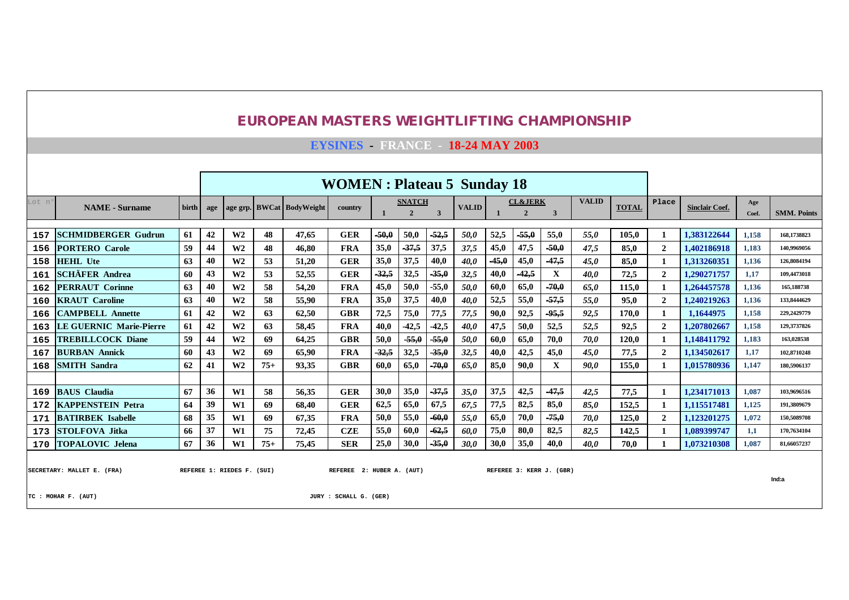**EYSINES - FRANCE - 18-24 MAY 2003**

|       |                            |              |     |                                                                                                                                 |       |                           | <b>WOMEN: Plateau 5 Sunday 18</b> |         |                                 |              |              |         |                                      |         |              |              |                |                       |              |                    |
|-------|----------------------------|--------------|-----|---------------------------------------------------------------------------------------------------------------------------------|-------|---------------------------|-----------------------------------|---------|---------------------------------|--------------|--------------|---------|--------------------------------------|---------|--------------|--------------|----------------|-----------------------|--------------|--------------------|
| Lot n | <b>NAME</b> - Surname      | <b>birth</b> | age |                                                                                                                                 |       | age grp. BWCat BodyWeight | country                           |         | <b>SNATCH</b><br>$\overline{2}$ | $\mathbf{3}$ | <b>VALID</b> |         | <b>CL&amp;JERK</b><br>$\overline{2}$ | 3       | <b>VALID</b> | <b>TOTAL</b> | Place          | <b>Sinclair Coef.</b> | Age<br>Coef. | <b>SMM. Points</b> |
|       |                            |              |     |                                                                                                                                 |       |                           |                                   |         |                                 |              |              |         |                                      |         |              |              |                |                       |              |                    |
| 157   | <b>SCHMIDBERGER Gudrun</b> | 61           | 42  | W <sub>2</sub>                                                                                                                  | 48    | 47.65                     | <b>GER</b>                        | $-50,0$ | 50,0                            | $-52,5$      | 50,0         | 52,5    | $-55,0$                              | 55,0    | 55.0         | 105.0        |                | 1,383122644           | 1,158        | 168.1738823        |
| 156   | <b>PORTERO</b> Carole      | 59           | 44  | W <sub>2</sub>                                                                                                                  | 48    | 46.80                     | <b>FRA</b>                        | 35,0    | $-37,5$                         | 37,5         | 37,5         | 45,0    | 47,5                                 | $-50,0$ | 47.5         | 85.0         | $\overline{2}$ | 1.402186918           | 1,183        | 140,9969056        |
| 158   | <b>HEHL</b> Ute            | 63           | 40  | W <sub>2</sub>                                                                                                                  | 53    | 51,20                     | <b>GER</b>                        | 35,0    | 37,5                            | 40,0         | 40,0         | $-45,0$ | 45,0                                 | $-47,5$ | 45,0         | 85.0         |                | 1,313260351           | 1.136        | 126,8084194        |
| 161   | <b>SCHÄFER Andrea</b>      | 60           | 43  | W <sub>2</sub>                                                                                                                  | 53    | 52.55                     | <b>GER</b>                        | $-32,5$ | 32,5                            | $-35,0$      | 32,5         | 40,0    | $-42,5$                              | X       | 40.0         | 72,5         | $\overline{2}$ | 1,290271757           | 1,17         | 109.4473018        |
| 162   | <b>PERRAUT Corinne</b>     | 63           | 40  | 45,0<br>$-70,0$<br>58<br>50,0<br>60,0<br>65,0<br>W <sub>2</sub><br>54,20<br><b>FRA</b><br>$-55,0$<br>50.0<br>65.0               |       |                           |                                   |         |                                 |              |              |         |                                      |         |              |              |                | 1.264457578           | 1.136        | 165,188738         |
| 160   | <b>KRAUT</b> Caroline      | 63           | 40  | 115,0<br>37,5<br>52,5<br>$-57,5$<br>W <sub>2</sub><br>35,0<br>40,0<br>55,0<br>95,0<br>58<br>55,90<br><b>FRA</b><br>40,0<br>55.0 |       |                           |                                   |         |                                 |              |              |         |                                      |         |              |              |                | 1.240219263           | 1,136        | 133,8444629        |
| 166   | <b>CAMPBELL Annette</b>    | 61           | 42  | W <sub>2</sub>                                                                                                                  | 63    | 62,50                     | <b>GBR</b>                        | 72,5    | 75,0                            | 77,5         | 77,5         | 90,0    | 92,5                                 | $-95,5$ | 92,5         | 170.0        | 1              | 1.1644975             | 1,158        | 229.2429779        |
| 163   | LE GUERNIC Marie-Pierre    | 61           | 42  | W <sub>2</sub>                                                                                                                  | 63    | 58.45                     | <b>FRA</b>                        | 40,0    | $-42,5$                         | $-42,5$      | 40,0         | 47,5    | 50,0                                 | 52,5    | 52,5         | 92,5         | $\overline{2}$ | 1.207802667           | 1.158        | 129,3737826        |
| 165   | <b>TREBILLCOCK Diane</b>   | 59           | 44  | W <sub>2</sub>                                                                                                                  | 69    | 64,25                     | <b>GBR</b>                        | 50,0    | $-55,0$                         | $-55,0$      | 50,0         | 60,0    | 65,0                                 | 70,0    | <b>70.0</b>  | 120.0        |                | 1.148411792           | 1.183        | 163,028538         |
| 167   | <b>BURBAN Annick</b>       | 60           | 43  | W <sub>2</sub>                                                                                                                  | 69    | 65,90                     | <b>FRA</b>                        | $-32,5$ | 32,5                            | $-35,0$      | 32,5         | 40,0    | 42,5                                 | 45,0    | 45,0         | 77,5         | $\overline{2}$ | 1.134502617           | 1,17         | 102,8710248        |
| 168   | <b>SMITH Sandra</b>        | 62           | 41  | W <sub>2</sub>                                                                                                                  | $75+$ | 93.35                     | <b>GBR</b>                        | 60.0    | 65.0                            | $-70,0$      | 65.0         | 85,0    | 90.0                                 | X       | 90.0         | 155.0        |                | 1.015780936           | 1.147        | 180,5906137        |
|       |                            |              |     |                                                                                                                                 |       |                           |                                   |         |                                 |              |              |         |                                      |         |              |              |                |                       |              |                    |
| 169   | <b>BAUS</b> Claudia        | 67           | 36  | W1                                                                                                                              | 58    | 56.35                     | <b>GER</b>                        | 30,0    | 35,0                            | $-37,5$      | 35,0         | 37,5    | 42,5                                 | $-47,5$ | 42,5         | 77,5         |                | 1.234171013           | 1,087        | 103,9696516        |
| 172   | <b>KAPPENSTEIN Petra</b>   | 64           | 39  | W1                                                                                                                              | 69    | 68.40                     | <b>GER</b>                        | 62,5    | 65,0                            | 67,5         | 67,5         | 77,5    | 82,5                                 | 85,0    | 85.0         | 152.5        |                | 1.115517481           | 1,125        | 191.3809679        |
| 171   | <b>BATIRBEK Isabelle</b>   | 68           | 35  | W1                                                                                                                              | 69    | 67.35                     | <b>FRA</b>                        | 50,0    | 55,0                            | $-60,0$      | 55,0         | 65,0    | 70,0                                 | $-75,0$ | 70.0         | 125,0        | $\overline{2}$ | 1.123201275           | 1,072        | 150,5089708        |
| 173   | <b>STOLFOVA Jitka</b>      | 66           | 37  | W1                                                                                                                              | 75    | 72,45                     | CZE                               | 55,0    | 60,0                            | $-62,5$      | 60,0         | 75,0    | 80,0                                 | 82,5    | 82,5         | 142,5        |                | 1,089399747           | 1,1          | 170,7634104        |
| 170   | <b>TOPALOVIC Jelena</b>    | 67           | 36  | W1                                                                                                                              | $75+$ | 75,45                     | <b>SER</b>                        | 25,0    | 30,0                            | $-35,0$      | 30,0         | 30,0    | 35,0                                 | 40,0    | 40.0         | 70,0         |                | 1,073210308           | 1,087        | 81,66057237        |
|       |                            |              |     |                                                                                                                                 |       |                           |                                   |         |                                 |              |              |         |                                      |         |              |              |                |                       |              |                    |

SECRETARY: MALLET E. (FRA) **REFEREE 1: RIEDES F. (SUI)** REFEREE 2: HUBER A. (AUT) REFEREE 3: KERR J. (GBR)

**Ind:a**

**TC : MOHAR F. (AUT) JURY : SCHALL G. (GER)**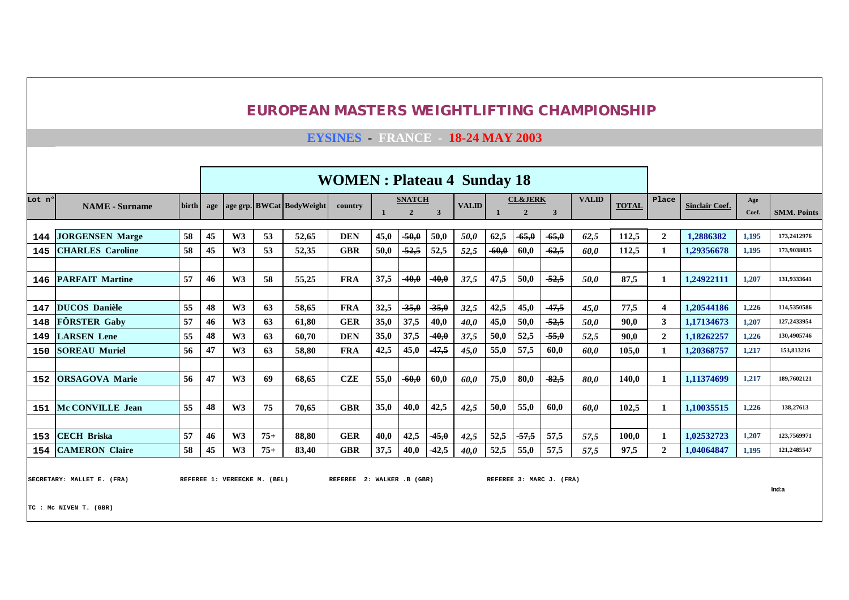**EYSINES - FRANCE - 18-24 MAY 2003**

|        |                           |       |     |                |       |                           | <b>WOMEN</b> : Plateau 4 Sunday 18 |      |                                 |              |              |         |                                      |         |              |              |                |                       |              |                    |
|--------|---------------------------|-------|-----|----------------|-------|---------------------------|------------------------------------|------|---------------------------------|--------------|--------------|---------|--------------------------------------|---------|--------------|--------------|----------------|-----------------------|--------------|--------------------|
| Lot n° | <b>NAME</b> - Surname     | birth | age |                |       | age grp. BWCat BodyWeight | country                            |      | <b>SNATCH</b><br>$\overline{2}$ | $\mathbf{3}$ | <b>VALID</b> |         | <b>CL&amp;JERK</b><br>$\overline{2}$ | 3       | <b>VALID</b> | <b>TOTAL</b> | Place          | <b>Sinclair Coef.</b> | Age<br>Coef. | <b>SMM. Points</b> |
|        |                           |       |     |                |       |                           |                                    |      |                                 |              |              |         |                                      |         |              |              |                |                       |              |                    |
| 144    | <b>JORGENSEN Marge</b>    | 58    | 45  | W <sub>3</sub> | 53    | 52,65                     | <b>DEN</b>                         | 45,0 | $-50,0$                         | 50,0         | 50,0         | 62,5    | $-65,0$                              | $-65,0$ | 62,5         | 112,5        | $\overline{2}$ | 1.2886382             | 1,195        | 173,2412976        |
| 145    | <b>CHARLES</b> Caroline   | 58    | 45  | W <sub>3</sub> | 53    | 52,35                     | <b>GBR</b>                         | 50,0 | $-52,5$                         | 52,5         | 52,5         | $-60,0$ | 60,0                                 | $-62,5$ | 60.0         | 112,5        |                | 1.29356678            | 1,195        | 173,9038835        |
|        |                           |       |     |                |       |                           |                                    |      |                                 |              |              |         |                                      |         |              |              |                |                       |              |                    |
| 146    | <b>PARFAIT Martine</b>    | 57    | 46  | W3             | 58    | 55,25                     | <b>FRA</b>                         | 37,5 | $-40,0$                         | $-40,0$      | 37,5         | 47,5    | 50,0                                 | $-52,5$ | 50,0         | 87,5         |                | 1,24922111            | 1,207        | 131,9333641        |
|        |                           |       |     |                |       |                           |                                    |      |                                 |              |              |         |                                      |         |              |              |                |                       |              |                    |
| 147    | <b>DUCOS Danièle</b>      | 55    | 48  | W3             | 63    | 58.65                     | <b>FRA</b>                         | 32,5 | $-35,0$                         | $-35,0$      | 32,5         | 42,5    | 45,0                                 | $-47,5$ | 45,0         | 77,5         | $\overline{4}$ | 1.20544186            | 1.226        | 114,5350586        |
| 148    | <b>FÖRSTER Gaby</b>       | 57    | 46  | W <sub>3</sub> | 63    | 61,80                     | <b>GER</b>                         | 35,0 | 37,5                            | 40,0         | 40,0         | 45,0    | 50,0                                 | $-52,5$ | 50,0         | 90.0         | $\mathbf{3}$   | 1,17134673            | 1,207        | 127,2433954        |
| 149    | <b>LARSEN</b> Lene        | 55    | 48  | W <sub>3</sub> | 63    | 60.70                     | <b>DEN</b>                         | 35,0 | 37,5                            | $-40,0$      | 37,5         | 50,0    | 52,5                                 | $-55,0$ | 52,5         | 90.0         | $\overline{2}$ | 1,18262257            | 1,226        | 130,4905746        |
| 150    | <b>SOREAU Muriel</b>      | 56    | 47  | W <sub>3</sub> | 63    | 58,80                     | <b>FRA</b>                         | 42,5 | 45,0                            | $-47,5$      | 45,0         | 55,0    | 57.5                                 | 60.0    | 60.0         | 105.0        |                | 1,20368757            | 1,217        | 153,813216         |
|        |                           |       |     |                |       |                           |                                    |      |                                 |              |              |         |                                      |         |              |              |                |                       |              |                    |
| 152    | <b>ORSAGOVA Marie</b>     | 56    | 47  | W3             | 69    | 68.65                     | <b>CZE</b>                         | 55.0 | $-60,0$                         | 60,0         | 60.0         | 75,0    | 80,0                                 | $-82,5$ | 80.0         | 140.0        |                | 1.11374699            | 1.217        | 189,7602121        |
|        |                           |       |     |                |       |                           |                                    |      |                                 |              |              |         |                                      |         |              |              |                |                       |              |                    |
| 151    | Mc CONVILLE Jean          | 55    | 48  | W <sub>3</sub> | 75    | 70.65                     | <b>GBR</b>                         | 35,0 | 40,0                            | 42,5         | 42,5         | 50,0    | 55,0                                 | 60,0    | 60.0         | 102.5        |                | 1.10035515            | 1,226        | 138,27613          |
|        |                           |       |     |                |       |                           |                                    |      |                                 |              |              |         |                                      |         |              |              |                |                       |              |                    |
| 153    | <b>CECH Briska</b>        | 57    | 46  | W3             | $75+$ | 88,80                     | <b>GER</b>                         | 40,0 | 42,5                            | $-45,0$      | 42,5         | 52,5    | $-57,5$                              | 57,5    | 57.5         | 100.0        |                | 1,02532723            | 1,207        | 123,7569971        |
|        | <b>154 CAMERON Claire</b> | 58    | 45  | W3             | $75+$ | 83.40                     | <b>GBR</b>                         | 37,5 | 40,0                            | $-42,5$      | 40.0         | 52,5    | 55,0                                 | 57,5    | 57.5         | 97.5         | $\mathbf{2}$   | 1.04064847            | 1.195        | 121,2485547        |

SECRETARY: MALLET E. (FRA) BEFERE E. VEREECKE M. (BEL) BEFEREE 2: WALKER .B (GBR) REFEREE 3: MARC J. (FRA)

**Ind:a**

**TC : Mc NIVEN T. (GBR)**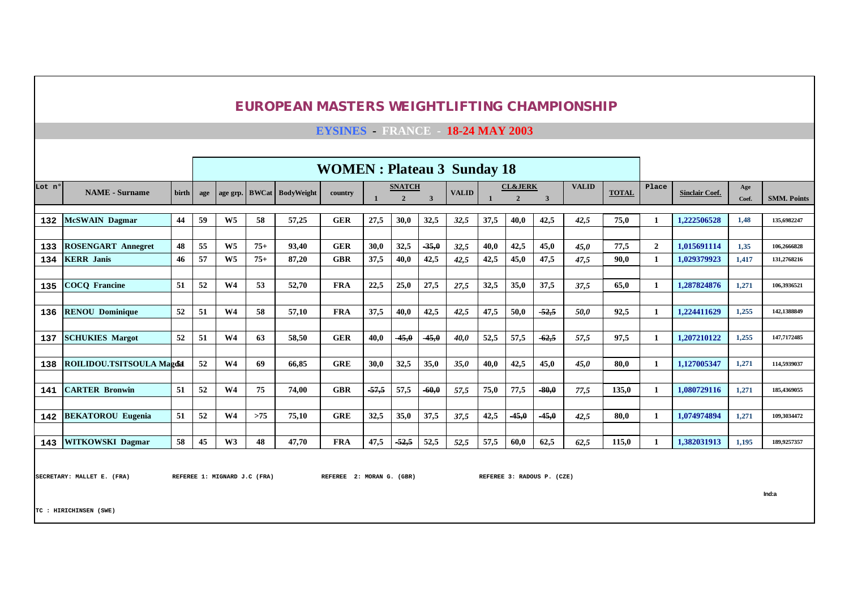**EYSINES - FRANCE - 18-24 MAY 2003**

|        |                                  |              |                                                                                                                   |                |       |                         | <b>WOMEN</b> : Plateau 3 Sunday 18 |         |                                 |         |              |      |                                      |         |              |              |                |                       |              |                    |
|--------|----------------------------------|--------------|-------------------------------------------------------------------------------------------------------------------|----------------|-------|-------------------------|------------------------------------|---------|---------------------------------|---------|--------------|------|--------------------------------------|---------|--------------|--------------|----------------|-----------------------|--------------|--------------------|
| Lot nº | <b>NAME</b> - Surname            | <b>birth</b> | age                                                                                                               | age grp.       |       | <b>BWCat</b> BodyWeight | country                            |         | <b>SNATCH</b><br>$\overline{2}$ | 3       | <b>VALID</b> |      | <b>CL&amp;JERK</b><br>$\overline{2}$ | 3       | <b>VALID</b> | <b>TOTAL</b> | Place          | <b>Sinclair Coef.</b> | Age<br>Coef. | <b>SMM. Points</b> |
| 132    | <b>McSWAIN Dagmar</b>            | 44           | 59                                                                                                                | W <sub>5</sub> | 58    | 57,25                   | <b>GER</b>                         | 27,5    | 30.0                            | 32,5    | 32,5         | 37,5 | 40,0                                 | 42,5    | 42,5         | 75.0         |                | 1.222506528           | 1,48         | 135,6982247        |
|        |                                  |              |                                                                                                                   |                |       |                         |                                    |         |                                 |         |              |      |                                      |         |              |              |                |                       |              |                    |
| 133    | <b>ROSENGART Annegret</b>        | 48           | 55                                                                                                                | $W_5$          | $75+$ | 93,40                   | <b>GER</b>                         | 30,0    | 32,5                            | $-35,0$ | 32,5         | 40.0 | 42,5                                 | 45,0    | 45,0         | 77,5         | $\overline{2}$ | 1.015691114           | 1,35         | 106.2666828        |
| 134    | <b>KERR</b> Janis                | 46           | 57                                                                                                                | W <sub>5</sub> | $75+$ | 87,20                   | <b>GBR</b>                         | 37,5    | 40,0                            | 42,5    | 42,5         | 42,5 | 45,0                                 | 47,5    | 47,5         | 90,0         |                | 1,029379923           | 1,417        | 131,2768216        |
|        |                                  |              | W <sub>4</sub><br><b>FRA</b><br>52<br>53<br>52,70<br>22,5<br>25,0<br>27,5<br>32,5<br>35,0<br>37,5<br>37,5<br>27,5 |                |       |                         |                                    |         |                                 |         |              |      |                                      |         |              |              |                |                       |              |                    |
| 135    | <b>COCO Francine</b>             | 51           |                                                                                                                   |                |       |                         |                                    |         |                                 |         |              |      |                                      |         |              |              |                | 1.287824876           | 1,271        | 106.3936521        |
|        |                                  |              |                                                                                                                   |                |       |                         |                                    |         |                                 |         |              |      |                                      |         |              |              |                |                       |              |                    |
| 136    | <b>RENOU Dominique</b>           | 52           | 51                                                                                                                | W <sub>4</sub> | 58    | 57,10                   | <b>FRA</b>                         | 37,5    | 40,0                            | 42,5    | 42,5         | 47.5 | 50,0                                 | $-52,5$ | 50.0         | 92,5         |                | 1.224411629           | 1,255        | 142,1388849        |
|        |                                  |              |                                                                                                                   |                |       |                         |                                    |         |                                 |         |              |      |                                      |         |              |              |                |                       |              |                    |
| 137    | <b>SCHUKIES Margot</b>           | 52           | 51                                                                                                                | W <sub>4</sub> | 63    | 58.50                   | <b>GER</b>                         | 40,0    | $-45,0$                         | $-45,0$ | 40,0         | 52,5 | 57,5                                 | $-62,5$ | 57,5         | 97,5         |                | 1,207210122           | 1,255        | 147,7172485        |
|        |                                  |              |                                                                                                                   |                |       |                         |                                    |         |                                 |         |              |      |                                      |         |              |              |                |                       |              |                    |
| 138    | <b>ROILIDOU.TSITSOULA Magdid</b> |              | 52                                                                                                                | W <sub>4</sub> | 69    | 66.85                   | <b>GRE</b>                         | 30.0    | 32,5                            | 35,0    | 35,0         | 40.0 | 42,5                                 | 45,0    | 45.0         | 80.0         |                | 1.127005347           | 1,271        | 114,5939037        |
|        |                                  |              |                                                                                                                   |                |       |                         |                                    |         |                                 |         |              |      |                                      |         |              |              |                |                       |              |                    |
| 141    | <b>CARTER Bronwin</b>            | 51           | 52                                                                                                                | W <sub>4</sub> | 75    | 74,00                   | <b>GBR</b>                         | $-57,5$ | 57,5                            | $-60,0$ | 57,5         | 75,0 | 77,5                                 | $-80,0$ | 77,5         | 135,0        |                | 1,080729116           | 1,271        | 185,4369055        |
|        |                                  |              |                                                                                                                   |                |       |                         |                                    |         |                                 |         |              |      |                                      |         |              |              |                |                       |              |                    |
| 142    | <b>BEKATOROU Eugenia</b>         | 51           | 52                                                                                                                | W <sub>4</sub> | >75   | 75,10                   | <b>GRE</b>                         | 32,5    | 35,0                            | 37,5    | 37,5         | 42,5 | $-45,0$                              | $-45,0$ | 42,5         | 80.0         |                | 1.074974894           | 1,271        | 109,3034472        |
|        |                                  |              |                                                                                                                   |                |       |                         |                                    |         |                                 |         |              |      |                                      |         |              |              |                |                       |              |                    |
| 143    | <b>WITKOWSKI Dagmar</b>          | 58           | 45                                                                                                                | W3             | 48    | 47,70                   | <b>FRA</b>                         | 47,5    | $-52,5$                         | 52,5    | 52,5         | 57,5 | 60,0                                 | 62,5    | 62,5         | 115,0        |                | 1,382031913           | 1,195        | 189,9257357        |

|<br>|SECRETARY: MALLET E. (FRA) | REFEREE 1: MIGNARD J.C (FRA) | REFEREE 2: MORAN G. (GBR) | REFEREE 3: RADOUS P. (CZE)

**Ind:a**

**TC : HIRICHINSEN (SWE)**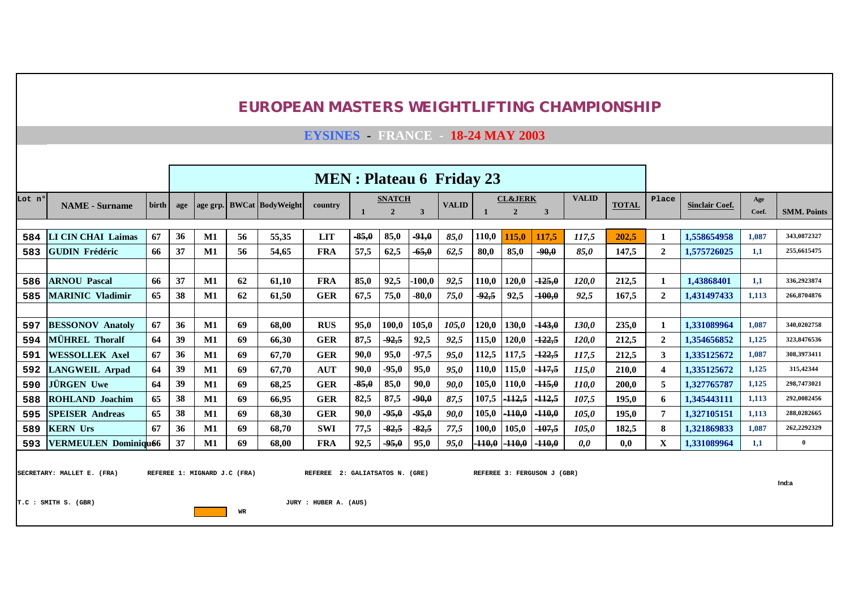**EYSINES - FRANCE - 18-24 MAY 2003**

|        |                             |       |     | <b>MEN</b> : Plateau 6 Friday 23<br><b>VALID</b><br><b>CL&amp;JERK</b><br><b>SNATCH</b> |    |                           |            |         |                |                         |              |          |               |          |              |              |                         |                       |              |                    |
|--------|-----------------------------|-------|-----|-----------------------------------------------------------------------------------------|----|---------------------------|------------|---------|----------------|-------------------------|--------------|----------|---------------|----------|--------------|--------------|-------------------------|-----------------------|--------------|--------------------|
| Lot nº | <b>NAME</b> - Surname       | birth | age |                                                                                         |    | age grp. BWCat BodyWeight | country    |         | $\overline{2}$ | $\overline{\mathbf{3}}$ | <b>VALID</b> |          | $\mathcal{D}$ | 3        |              | <b>TOTAL</b> | Place                   | <b>Sinclair Coef.</b> | Age<br>Coef. | <b>SMM. Points</b> |
|        |                             |       |     |                                                                                         |    |                           |            |         |                |                         |              |          |               |          |              |              |                         |                       |              |                    |
| 584    | <b>LI CIN CHAI Laimas</b>   | 67    | 36  | $\mathbf{M1}$                                                                           | 56 | 55,35                     | <b>LIT</b> | $-85,0$ | 85,0           | $-91,0$                 | 85,0         | 110,0    | 115.0         | 117,5    | 117,5        | 202,5        |                         | 1,558654958           | 1,087        | 343,0872327        |
| 583    | <b>IGUDIN Frédéric</b>      | 66    | 37  | M1                                                                                      | 56 | 54,65                     | <b>FRA</b> | 57,5    | 62,5           | $-65,0$                 | 62,5         | 80,0     | 85,0          | $-90,0$  | 85,0         | 147,5        | $\mathbf{2}$            | 1,575726025           | 1,1          | 255,6615475        |
|        |                             |       |     |                                                                                         |    |                           |            |         |                |                         |              |          |               |          |              |              |                         |                       |              |                    |
| 586    | <b>ARNOU Pascal</b>         | 66    | 37  | $\mathbf{M1}$                                                                           | 62 | 61,10                     | <b>FRA</b> | 85,0    | 92,5           | $-100,0$                | 92,5         | 110,0    | 120,0         | $-125,0$ | 120,0        | 212,5        |                         | 1,43868401            | 1,1          | 336,2923874        |
| 585    | <b>MARINIC Vladimir</b>     | 65    | 38  | M1                                                                                      | 62 | 61,50                     | <b>GER</b> | 67,5    | 75,0           | $-80,0$                 | 75,0         | $-92,5$  | 92,5          | $-100,0$ | 92,5         | 167,5        | $\mathbf{2}$            | 1,431497433           | 1,113        | 266,8704876        |
|        |                             |       |     |                                                                                         |    |                           |            |         |                |                         |              |          |               |          |              |              |                         |                       |              |                    |
| 597    | <b>BESSONOV Anatoly</b>     | 67    | 36  | $\mathbf{M1}$                                                                           | 69 | 68,00                     | <b>RUS</b> | 95,0    | 100,0          | 105,0                   | 105,0        | 120,0    | 130,0         | $-143,0$ | 130,0        | 235,0        |                         | 1,331089964           | 1,087        | 340,0202758        |
| 594    | <b>MÜHREL Thoralf</b>       | 64    | 39  | $\mathbf{M1}$                                                                           | 69 | 66,30                     | <b>GER</b> | 87,5    | $-92,5$        | 92,5                    | 92,5         | 115,0    | 120,0         | $-122,5$ | <b>120,0</b> | 212,5        | $\overline{2}$          | 1,354656852           | 1,125        | 323,8476536        |
| 591    | <b>WESSOLLEK Axel</b>       | 67    | 36  | $\mathbf{M1}$                                                                           | 69 | 67,70                     | <b>GER</b> | 90,0    | 95,0           | $-97,5$                 | 95,0         | 12,5     | 117,5         | $-122,5$ | 117,5        | 212,5        | 3                       | 1,335125672           | 1,087        | 308,3973411        |
| 592    | <b>LANGWEIL Arpad</b>       | 64    | 39  | $\mathbf{M1}$                                                                           | 69 | 67.70                     | <b>AUT</b> | 90,0    | $-95.0$        | 95,0                    | 95,0         | 110,0    | 115,0         | $-117,5$ | 115.0        | 210,0        | 4                       | 1,335125672           | 1,125        | 315,42344          |
| 590    | JÜRGEN Uwe                  | 64    | 39  | $\mathbf{M1}$                                                                           | 69 | 68,25                     | <b>GER</b> | $-85,0$ | 85,0           | 90.0                    | 90,0         | 105,0    | 110,0         | $-115,0$ | 110,0        | 200,0        | 5                       | 1,327765787           | 1,125        | 298,7473021        |
| 588    | <b>ROHLAND Joachim</b>      | 65    | 38  | $\mathbf{M1}$                                                                           | 69 | 66,95                     | <b>GER</b> | 82,5    | 87,5           | $-90,0$                 | 87,5         | 107,5    | $-112,5$      | $-112,5$ | 107,5        | 195,0        | 6                       | 1.345443111           | 1,113        | 292,0082456        |
| 595    | <b>SPEISER Andreas</b>      | 65    | 38  | $\mathbf{M1}$                                                                           | 69 | 68,30                     | <b>GER</b> | 90,0    | $-95,0$        | -95,0                   | 90,0         | 105,0    | $-110,0$      | $-110,0$ | 105,0        | 195,0        | 7                       | 1,327105151           | 1,113        | 288,0282665        |
| 589    | <b>KERN Urs</b>             | 67    | 36  | M1                                                                                      | 69 | 68,70                     | <b>SWI</b> | 77,5    | $-82,5$        | $-82,5$                 | 77,5         | 100,0    | 105,0         | $-107,5$ | 105,0        | 182,5        | 8                       | 1,321869833           | 1,087        | 262,2292329        |
| 593    | <b>VERMEULEN Dominiqu66</b> |       | 37  | M1                                                                                      | 69 | 68,00                     | <b>FRA</b> | 92,5    | $-95,0$        | 95.0                    | 95,0         | $-110,0$ | $-110,0$      | $-110,0$ | 0,0          | 0.0          | $\overline{\mathbf{X}}$ | 1.331089964           | 1,1          | $\overline{0}$     |

SECRETARY: MALLET E. (FRA) REFEREE 1: MIGNARD J.C (FRA) REFEREE 2: GALIATSATOS N. (GRE) REFEREE 3: FERGUSON J (GBR)

**Ind:a**

**T.C : SMITH S. (GBR) JURY : HUBER A. (AUS)**

**WR**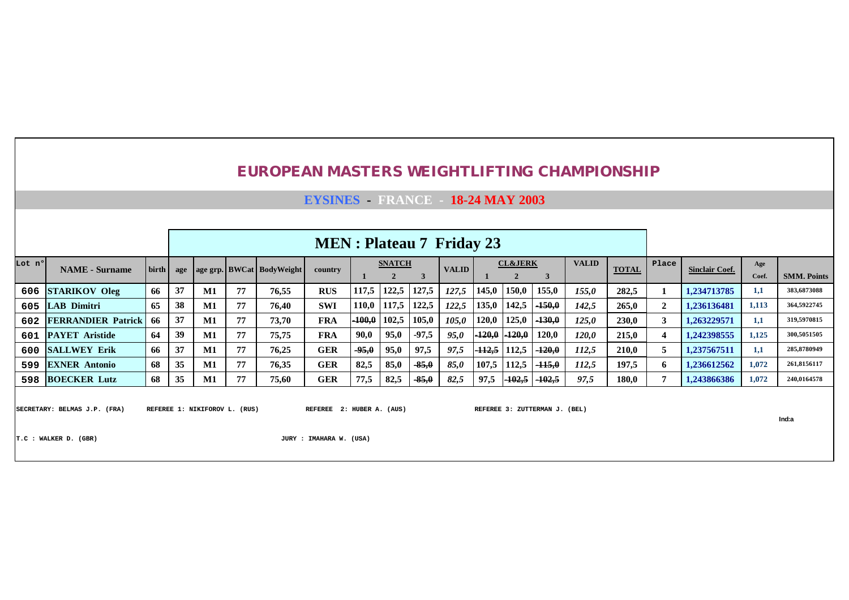#### **EYSINES - FRANCE - 18-24 MAY 2003**

|        |                           |       |     |               |    |                           | <b>MEN</b> : Plateau 7 Friday 23 |          |               |         |              |        |                    |                   |              |              |       |                       |       |                    |
|--------|---------------------------|-------|-----|---------------|----|---------------------------|----------------------------------|----------|---------------|---------|--------------|--------|--------------------|-------------------|--------------|--------------|-------|-----------------------|-------|--------------------|
| Lot nº | <b>NAME</b> - Surname     | birth | age |               |    | age grp. BWCat BodyWeight | country                          |          | <b>SNATCH</b> |         | <b>VALID</b> |        | <b>CL&amp;JERK</b> |                   | <b>VALID</b> | <b>TOTAL</b> | Place | <b>Sinclair Coef.</b> | Age   |                    |
|        |                           |       |     |               |    |                           |                                  |          |               |         |              |        |                    |                   |              |              |       |                       | Coef. | <b>SMM. Points</b> |
|        | 606 STARIKOV Oleg         | 66    | 37  | $\mathbf{M1}$ | 77 | 76,55                     | <b>RUS</b>                       | 117,5    | 122,5         | 127.5   | 127.5        | 145,0  | 150,0              | 155,0             | 155,0        | 282,5        |       | 1.234713785           | 1,1   | 383,6873088        |
|        | 605 LAB Dimitri           | 65    | 38  | $\mathbf{M1}$ | 77 | 76,40                     | <b>SWI</b>                       | 110.0    | 117,5         | 122.5   | 122,5        | 135,0  | 142,5              | $-150,0$          | 142,5        | 265,0        |       | 1.236136481           | 1,113 | 364,5922745        |
| 602    | <b>FERRANDIER Patrick</b> | 66    | 37  | M1            | 77 | 73,70                     | <b>FRA</b>                       | $-100,0$ | 102,5         | 105,0   | 105.0        | 120,0  | 125,0              | $-130,0$          | 125,0        | 230,0        |       | 1.263229571           | 1,1   | 319,5970815        |
|        | 601 PAYET Aristide        | -64   | 39  | $\mathbf{M1}$ | 77 | 75,75                     | <b>FRA</b>                       | 90,0     | 95,0          | $-97.5$ | 95,0         | -120.0 | $-120,0$           | 120,0             | 120,0        | 215,0        |       | 1.242398555           | 1,125 | 300,5051505        |
|        | 600 SALLWEY Erik          | -66   |     | M1            | 77 | 76.25                     | <b>GER</b>                       | $-95,0$  | 95,0          | 97,5    | 97.5         | 112,5  | 112,5              | $-120,0$          | 112,5        | 210.0        |       | 1.237567511           | 1,1   | 285,8780949        |
| 599    | <b>EXNER Antonio</b>      | -68   | 35  | $\mathbf{M}1$ | 77 | 76,35                     | <b>GER</b>                       | 82.5     | 85,0          | $-85,0$ | 85,0         | 107.5  | 112.5              | $-115.0$          | 112,5        | 197,5        | n     | 1.236612562           | 1,072 | 261,8156117        |
|        | 598 BOECKER Lutz          | 68    | 35  | M1            | 77 | 75,60                     | <b>GER</b>                       | 77.5     | 82,5          | $-85,0$ | 82.5         | 97,5   | $-102,5$           | <del>-102.5</del> | 97,5         | 180,0        |       | 1.243866386           | 1,072 | 240,0164578        |

SECRETARY: BELMAS J.P. (FRA) REFEREE 1: NIKIFOROV L. (RUS) REFEREE 2: HUBER A. (AUS) REFEREE 3: ZUTTERMAN J. (BEL)

**Ind:a**

**T.C : WALKER D. (GBR) JURY : IMAHARA W. (USA)**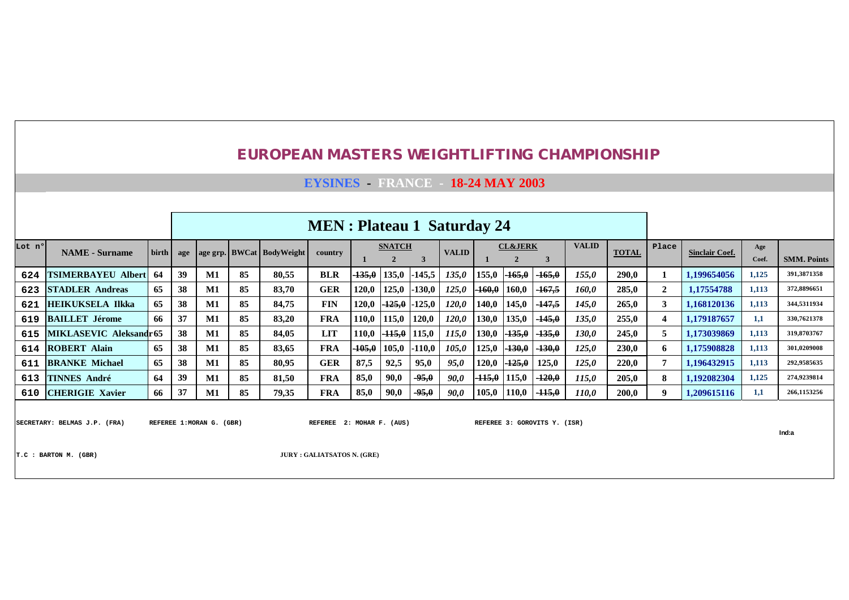**EYSINES - FRANCE - 18-24 MAY 2003**

|        |                           |       |     |               |    |                           | <b>MEN</b> : Plateau 1 Saturday 24 |          |                               |          |              |          |                    |          |              |              |                |                       |              |                    |
|--------|---------------------------|-------|-----|---------------|----|---------------------------|------------------------------------|----------|-------------------------------|----------|--------------|----------|--------------------|----------|--------------|--------------|----------------|-----------------------|--------------|--------------------|
| Lot nº | <b>NAME</b> - Surname     | birth | age |               |    | age grp. BWCat BodyWeight | country                            |          | <b>SNATCH</b><br>$\mathbf{2}$ | 3        | <b>VALID</b> |          | <b>CL&amp;JERK</b> | 3        | <b>VALID</b> | <b>TOTAL</b> | Place          | <b>Sinclair Coef.</b> | Age<br>Coef. | <b>SMM. Points</b> |
| 624    | <b>TSIMERBAYEU Albert</b> | 64    | 39  | M1            | 85 | 80,55                     | <b>BLR</b>                         | $-135,0$ | 135,0                         | $-145,5$ | 135,0        | 155,0    | $-165,0$           | $-165,0$ | 155,0        | 290.0        |                | 1.199654056           | 1,125        | 391,3871358        |
| 623    | <b>STADLER Andreas</b>    | 65    | 38  | $\mathbf{M1}$ | 85 | 83,70                     | <b>GER</b>                         | 120,0    | 125,0                         | 130,0    | 125,0        | -160,0   | 160,0              | $-167,5$ | 160,0        | 285,0        | $\overline{2}$ | 1,17554788            | 1,113        | 372,8896651        |
| 621    | <b>HEIKUKSELA Ilkka</b>   | 65    | 38  | M1            | 85 | 84,75                     | <b>FIN</b>                         | 120,0    | -125,0                        | 125,0    | <i>120,0</i> | 140,0    | 145,0              | $-147,5$ | 145,0        | 265,0        | 3              | 1,168120136           | 1,113        | 344,5311934        |
| 619    | <b>BAILLET Jérome</b>     | 66    | 37  | $\mathbf{M1}$ | 85 | 83,20                     | <b>FRA</b>                         | 110,0    | 115,0                         | 120,0    | <i>120,0</i> | 130,0    | 135,0              | $-145,0$ | 135,0        | 255,0        | 4              | 1.179187657           | 1,1          | 330,7621378        |
| 615    | MIKLASEVIC Aleksandr65    |       | 38  | $\mathbf{M1}$ | 85 | 84.05                     | <b>LIT</b>                         | 110,0    | $-115,0$                      | 15,0     | 115,0        | 130,0    | $-135,0$           | $-135,0$ | 130,0        | 245,0        | 5              | 1.173039869           | 1,113        | 319,8703767        |
| 614    | <b>ROBERT Alain</b>       | 65    | 38  | M1            | 85 | 83,65                     | <b>FRA</b>                         | $-105,0$ | 105,0                         | $-110,0$ | 105,0        | 125,0    | $-130,0$           | $-130,0$ | 125,0        | 230,0        | 6              | 1.175908828           | 1,113        | 301,0209008        |
| 611    | <b>BRANKE Michael</b>     | 65    | 38  | $\mathbf{M1}$ | 85 | 80,95                     | <b>GER</b>                         | 87,5     | 92.5                          | 95,0     | 95,0         | 120,0    | $-125,0$           | 125,0    | 125,0        | 220,0        |                | 1.196432915           | 1,113        | 292,9585635        |
| 613    | <b>TINNES André</b>       | 64    | 39  | $\mathbf{M1}$ | 85 | 81,50                     | <b>FRA</b>                         | 85,0     | 90,0                          | $-95.0$  | 90,0         | $-115.0$ | 115,0              | $-120,0$ | 115,0        | 205,0        | 8              | 1,192082304           | 1,125        | 274,9239814        |
| 610    | <b>CHERIGIE Xavier</b>    | 66    | 37  | $\mathbf{M1}$ | 85 | 79,35                     | <b>FRA</b>                         | 85,0     | 90,0                          | $-95,0$  | 90,0         | 105,0    | 110,0              | $-115,0$ | 110,0        | 200,0        | -9             | 1,209615116           | 1,1          | 266,1153256        |
|        |                           |       |     |               |    |                           |                                    |          |                               |          |              |          |                    |          |              |              |                |                       |              |                    |

SECRETARY: BELMAS J.P. (FRA) REFEREE 1:MORAN G. (GBR) REFEREE 2: MOHAR F. (AUS) REFEREE 3: GOROVITS Y. (ISR)

**Ind:a**

**T.C : BARTON M. (GBR) JURY : GALIATSATOS N. (GRE)**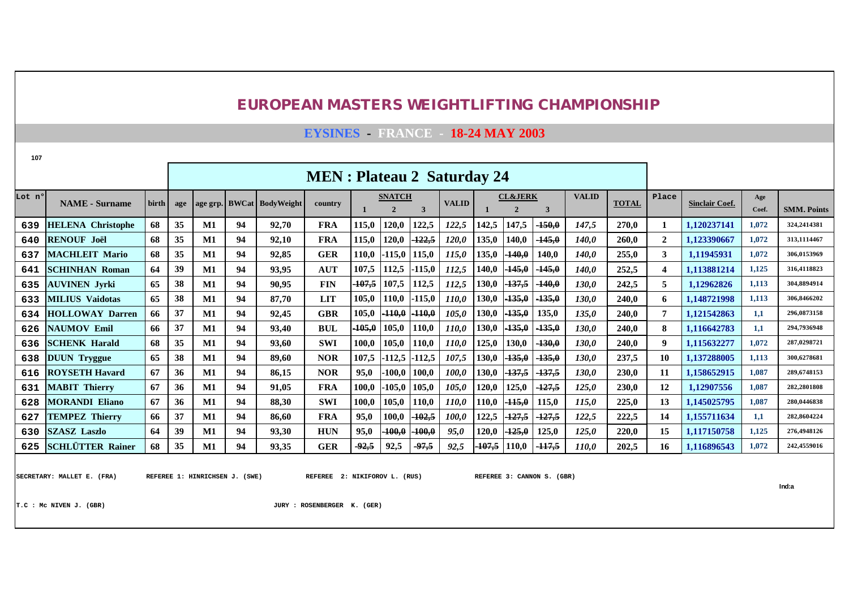**EYSINES - FRANCE - 18-24 MAY 2003**

| 107    |                          |       |     |               |    |                         |                                    |          |                               |          |              |          |                    |          |              |              |              |                       |              |                    |
|--------|--------------------------|-------|-----|---------------|----|-------------------------|------------------------------------|----------|-------------------------------|----------|--------------|----------|--------------------|----------|--------------|--------------|--------------|-----------------------|--------------|--------------------|
|        |                          |       |     |               |    |                         | <b>MEN</b> : Plateau 2 Saturday 24 |          |                               |          |              |          |                    |          |              |              |              |                       |              |                    |
| Lot nº | <b>NAME</b> - Surname    | birth | age | age grp.      |    | <b>BWCat</b> BodyWeight | country                            |          | <b>SNATCH</b><br>$\mathbf{2}$ | 3        | <b>VALID</b> |          | <b>CL&amp;JERK</b> | 3        | <b>VALID</b> | <b>TOTAL</b> | Place        | <b>Sinclair Coef.</b> | Age<br>Coef. | <b>SMM. Points</b> |
| 639    | <b>HELENA</b> Christophe | 68    | 35  | $M1$          | 94 | 92,70                   | <b>FRA</b>                         | 115,0    | 120,0                         | 122,5    | 122,5        | 142,5    | 147,5              | $-150,0$ | 147,5        | 270,0        |              | 1,120237141           | 1,072        | 324.2414381        |
| 640    | <b>RENOUF Joël</b>       | 68    | 35  | $M1$          | 94 | 92,10                   | <b>FRA</b>                         | 115,0    | 120,0                         | 122,5    | 120,0        | 135,0    | 140,0              | $-145,0$ | 140,0        | 260,0        | $\mathbf{2}$ | 1,123390667           | 1,072        | 313,1114467        |
| 637    | <b>MACHLEIT Mario</b>    | 68    | 35  | $\mathbf{M1}$ | 94 | 92,85                   | <b>GER</b>                         | 110,0    | $-115,0$                      | 115,0    | 115,0        | 135,0    | $-140,0$           | 140.0    | <b>140,0</b> | 255,0        | 3            | 1,11945931            | 1,072        | 306.0153969        |
| 641    | <b>ISCHINHAN Roman</b>   | 64    | 39  | $\mathbf{M1}$ | 94 | 93,95                   | <b>AUT</b>                         | 107,5    | 112,5                         | -115,0   | 112,5        | 140,0    | $-145,0$           | $-145,0$ | <b>140,0</b> | 252,5        | 4            | 1,113881214           | 1,125        | 316,4118823        |
| 635    | <b>AUVINEN Jyrki</b>     | 65    | 38  | $\mathbf{M1}$ | 94 | 90,95                   | <b>FIN</b>                         | $-107,5$ | 107,5                         | 112,5    | 112,5        | 130,0    | $-137,5$           | $-140,0$ | 130,0        | 242,5        | 5            | 1,12962826            | 1,113        | 304,8894914        |
| 633    | <b>MILIUS Vaidotas</b>   | 65    | 38  | $M1$          | 94 | 87,70                   | <b>LIT</b>                         | 105,0    | 110,0                         | $-115,0$ | 110,0        | 130,0    | $-135,0$           | $-135,0$ | 130,0        | 240,0        | 6            | 1,148721998           | 1,113        | 306.8466202        |
| 634    | <b>HOLLOWAY Darren</b>   | 66    | 37  | $M1$          | 94 | 92,45                   | <b>GBR</b>                         | 105,0    | $-110,0$                      | $+10,0$  | 105,0        | 130,0    | $-135,0$           | 135,0    | 135,0        | 240.0        | 7            | 1,121542863           | 1,1          | 296,0873158        |
| 626    | <b>NAUMOV Emil</b>       | 66    | 37  | $\mathbf{M1}$ | 94 | 93,40                   | <b>BUL</b>                         | $-105,0$ | 105,0                         | 110,0    | 110,0        | 130,0    | $-135,0$           | $-135,0$ | 130,0        | 240,0        | 8            | 1,116642783           | 1,1          | 294,7936948        |
| 636    | <b>SCHENK Harald</b>     | 68    | 35  | $\mathbf{M1}$ | 94 | 93,60                   | <b>SWI</b>                         | 100,0    | 105,0                         | 110,0    | 110,0        | 125,0    | 130,0              | $-130,0$ | 130,0        | 240,0        | 9            | 1,115632277           | 1,072        | 287,0298721        |
| 638    | <b>DUUN Tryggue</b>      | 65    | 38  | M1            | 94 | 89,60                   | <b>NOR</b>                         | 107,5    | $-112,5$                      | $-112,5$ | 107,5        | 130,0    | $-135,0$           | $-135,0$ | 130,0        | 237,5        | 10           | 1,137288005           | 1,113        | 300.6278681        |
| 616    | <b>ROYSETH Havard</b>    | 67    | 36  | $M1$          | 94 | 86,15                   | <b>NOR</b>                         | 95,0     | $-100,0$                      | 100,0    | 100,0        | 130,0    | <del>-137,5</del>  | $-137,5$ | 130,0        | 230,0        | 11           | 1,158652915           | 1,087        | 289,6748153        |
| 631    | <b>MABIT Thierry</b>     | 67    | 36  | $\mathbf{M1}$ | 94 | 91,05                   | <b>FRA</b>                         | 100,0    | $-105,0$                      | 105,0    | 105,0        | 120,0    | 125,0              | $-127,5$ | 125,0        | 230,0        | 12           | 1,12907556            | 1,087        | 282,2801808        |
| 628    | <b>MORANDI Eliano</b>    | 67    | 36  | $\mathbf{M}1$ | 94 | 88,30                   | SWI                                | 100,0    | 105,0                         | 110,0    | 110,0        | 10,0     | $-115.0$           | 115,0    | 115.0        | 225,0        | 13           | 1,145025795           | 1,087        | 280.0446838        |
| 627    | <b>TEMPEZ Thierry</b>    | 66    | 37  | $M1$          | 94 | 86,60                   | <b>FRA</b>                         | 95,0     | 100,0                         | $-102,5$ | 100,0        | 122,5    | $-127,5$           | $-127,5$ | 122,5        | 222,5        | 14           | 1,155711634           | 1,1          | 282,8604224        |
| 630    | <b>SZASZ Laszlo</b>      | 64    | 39  | M1            | 94 | 93,30                   | <b>HUN</b>                         | 95,0     | $-100,0$                      | 400,0    | 95,0         | 120,0    | $-125,0$           | 125,0    | 125,0        | 220,0        | 15           | 1,117150758           | 1,125        | 276,4948126        |
|        | 625 SCHLÜTTER Rainer     | 68    | 35  | M1            | 94 | 93,35                   | <b>GER</b>                         | $-92,5$  | 92,5                          | $-97,5$  | 92,5         | $-107,5$ | 110,0              | $-117,5$ | 110,0        | 202,5        | 16           | 1,116896543           | 1,072        | 242,4559016        |

SECRETARY: MALLET E. (FRA) REFEREE 1: HINRICHSEN J. (SWE) REFEREE 2: NIKIFOROV L. (RUS) REFEREE 3: CANNON S. (GBR)

**Ind:a**

**T.C : Mc NIVEN J. (GBR) JURY : ROSENBERGER K. (GER)**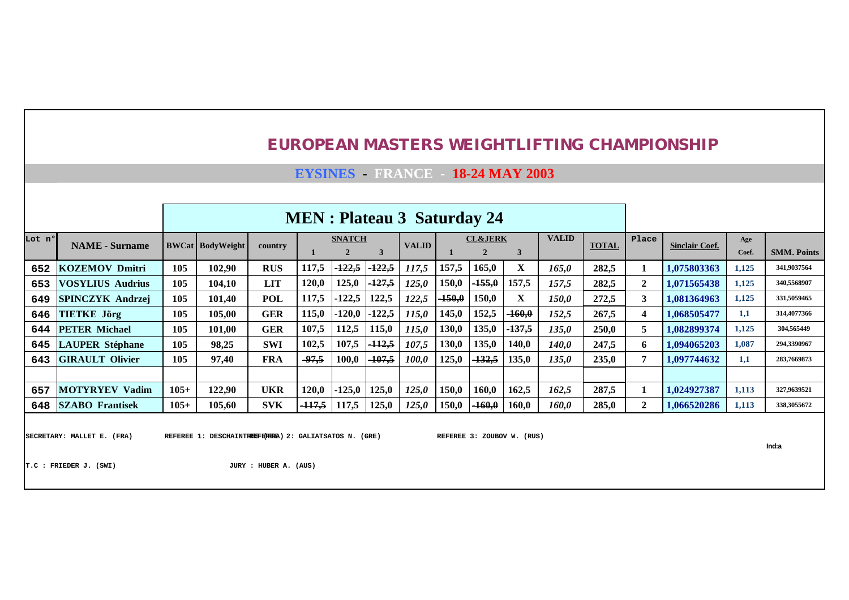## **EYSINES - FRANCE - 18-24 MAY 2003**

|        |                          |        |                             |            |                   |                  |                   | <b>MEN</b> : Plateau 3 Saturday 24 |             |                    |                  |              |              |              |                       |       |                    |
|--------|--------------------------|--------|-----------------------------|------------|-------------------|------------------|-------------------|------------------------------------|-------------|--------------------|------------------|--------------|--------------|--------------|-----------------------|-------|--------------------|
| Lot nº | <b>NAME</b> - Surname    |        | <b>BWCat   BodyWeight  </b> | country    |                   | <b>SNATCH</b>    |                   | <b>VALID</b>                       |             | <b>CL&amp;JERK</b> |                  | <b>VALID</b> | <b>TOTAL</b> | Place        | <b>Sinclair Coef.</b> | Age   |                    |
|        |                          |        |                             |            |                   | 2                |                   |                                    |             | $\mathbf{2}$       | 3                |              |              |              |                       | Coef. | <b>SMM. Points</b> |
| 652    | <b>KOZEMOV Dmitri</b>    | 105    | 102,90                      | <b>RUS</b> | 117,5             | <del>122,5</del> | <del>-122,5</del> | 117,5                              | 157,5       | 165,0              | X                | 165,0        | 282,5        |              | 1,075803363           | 1,125 | 341,9037564        |
| 653    | <b>VOSYLIUS Audrius</b>  | 105    | 104,10                      | <b>LIT</b> | 120,0             | 125,0            | 127,5             | 125,0                              | 150,0       | $-155,0$           | 157,5            | 157,5        | 282,5        | $\mathbf{2}$ | 1,071565438           | 1,125 | 340,5568907        |
| 649    | <b>SPINCZYK Andrzei</b>  | 105    | 101,40                      | POL        | 272,5             | 3                | 1.081364963       | 1,125                              | 331,5059465 |                    |                  |              |              |              |                       |       |                    |
| 646    | <b>TIETKE Jörg</b>       | 105    | 105,00                      | <b>GER</b> | 115.0             | 120,0            | 122,5             | 115,0                              | 145,0       | 152,5              | $-160,0$         | 152,5        | 267,5        | 4            | 1,068505477           | 1,1   | 314,4077366        |
| 644    | <b>PETER Michael</b>     | 105    | 101,00                      | <b>GER</b> | 107.5             | 112,5            | 115,0             | 115.0                              | 130,0       | 135,0              | <del>137,5</del> | 135,0        | 250,0        | 5            | 1,082899374           | 1,125 | 304,565449         |
| 645    | <b>LAUPER Stéphane</b>   | 105    | 98,25                       | <b>SWI</b> | 102,5             | 107,5            | <del>-112,5</del> | 107,5                              | 130,0       | 135,0              | 140,0            | 140,0        | 247,5        | 6            | 1,094065203           | 1,087 | 294,3390967        |
| 643    | <b>GIRAULT Olivier</b>   | 105    | 97,40                       | <b>FRA</b> | $-97,5$           | 100,0            | <del>-107,5</del> | 100,0                              | 125,0       | $-132,5$           | 135,0            | 135,0        | 235,0        | 7            | 1,097744632           | 1,1   | 283,7669873        |
|        |                          |        |                             |            |                   |                  |                   |                                    |             |                    |                  |              |              |              |                       |       |                    |
| 657    | <b>MOTYRYEV</b><br>Vadim | $105+$ | 122,90                      | <b>UKR</b> | 120,0             | 125,0            | 125,0             | 125,0                              | 150,0       | 160,0              | 162,5            | 162,5        | 287,5        |              | 1.024927387           | 1,113 | 327,9639521        |
| 648    | <b>SZABO</b> Frantisek   | $105+$ | 105,60                      | <b>SVK</b> | <del>-117,5</del> | 117,5            | 125,0             | 125,0                              | 150,0       | $-160.0$           | 160,0            | 160,0        | 285,0        | $\mathbf{2}$ | 1.066520286           | 1,113 | 338,3055672        |
|        |                          |        |                             |            |                   |                  |                   |                                    |             |                    |                  |              |              |              |                       |       |                    |

SECRETARY: MALLET E. (FRA) REFEREE 1: DESCHAINT<del>HEE</del>FE<del>NEE</del>A) 2: GALIATSATOS N. (GRE) REFEREE 3: ZOUBOV W. (RUS)

**Ind:a**

**T.C : FRIEDER J. (SWI) JURY : HUBER A. (AUS)**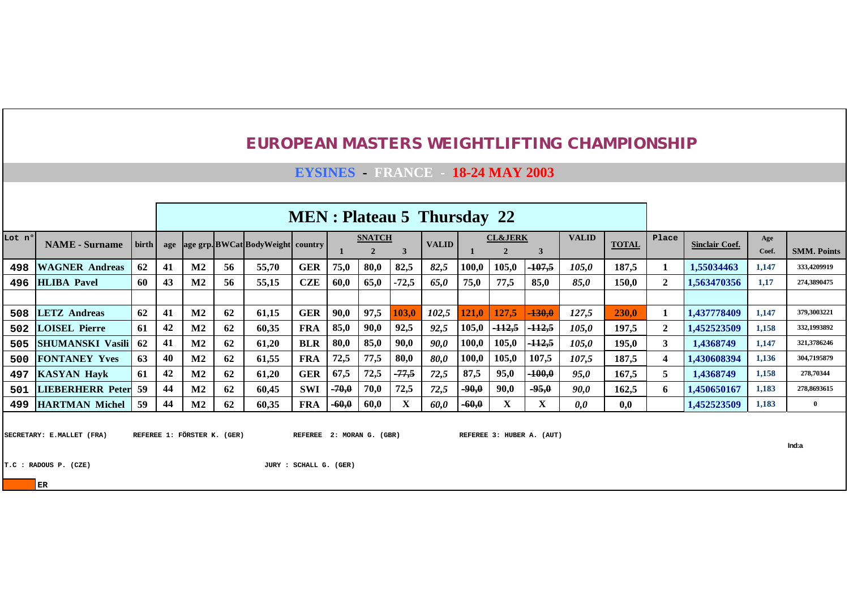**EYSINES - FRANCE - 18-24 MAY 2003**

|        |                                                                                                 |                |    |                             |    |                                       |                |         |                   |         | <b>MEN</b> : Plateau 5 Thursday 22 |         |                    |                           |              |              |              |                       |             |                    |
|--------|-------------------------------------------------------------------------------------------------|----------------|----|-----------------------------|----|---------------------------------------|----------------|---------|-------------------|---------|------------------------------------|---------|--------------------|---------------------------|--------------|--------------|--------------|-----------------------|-------------|--------------------|
| Lot n° | <b>NAME</b> - Surname                                                                           | $\text{birth}$ |    |                             |    | age age grp. BWCat BodyWeight country |                |         | <b>SNATCH</b>     |         | <b>VALID</b>                       |         | <b>CL&amp;JERK</b> |                           | <b>VALID</b> | <b>TOTAL</b> | Place        | <b>Sinclair Coef.</b> | Age         |                    |
|        |                                                                                                 |                |    |                             |    |                                       |                |         |                   | 3       |                                    |         |                    | 3                         |              |              |              |                       | Coef.       | <b>SMM. Points</b> |
| 498    | <b>WAGNER Andreas</b>                                                                           | 62             | 41 | M <sub>2</sub>              | 56 | 55,70                                 | <b>GER</b>     | 75,0    | 80,0              | 82,5    | 82,5                               | 100,0   | 105,0              | $-107,5$                  | 105,0        | 187,5        |              | 1.55034463            | 1,147       | 333,4209919        |
| 496    |                                                                                                 | 60             | 43 | M <sub>2</sub>              | 56 | 55,15                                 | <b>CZE</b>     | 60,0    | 65,0              | $-72,5$ | 65,0                               | 75,0    | 77,5               | 85,0                      | 85,0         | 150,0        | $\mathbf{2}$ | 1,563470356           | 1,17        | 274,3890475        |
|        | <b>HLIBA</b> Pavel<br>41<br>M <sub>2</sub><br>127.5<br><b>LETZ</b> Andreas<br>62<br>62<br>121.0 |                |    |                             |    |                                       |                |         |                   |         |                                    |         |                    |                           |              |              |              |                       |             |                    |
| 508    | 97,5<br>90,0<br><b>GER</b><br>61,15<br>102,5<br>$-130,0$<br>103,0<br>127,5                      |                |    |                             |    |                                       |                |         |                   |         |                                    |         |                    |                           | 230.0        |              | 1,437778409  | 1,147                 | 379,3003221 |                    |
| 502    | <b>LOISEL Pierre</b>                                                                            | 61             | 42 | $\bf M2$                    | 62 | 60,35                                 | <b>FRA</b>     | 85,0    | 90,0              | 92,5    | 92,5                               | 105,0   | $-112,5$           | $-112,5$                  | 105.0        | 197,5        | $\mathbf{2}$ | 1,452523509           | 1,158       | 332,1993892        |
| 505    | <b>SHUMANSKI Vasili</b>                                                                         | 62             | 41 | M <sub>2</sub>              | 62 | 61,20                                 | <b>BLR</b>     | 80,0    | 85,0              | 90,0    | 90,0                               | 100,0   | 105,0              | $-112,5$                  | 105,0        | 195,0        | 3            | 1,4368749             | 1,147       | 321,3786246        |
| 500    | <b>FONTANEY Yves</b>                                                                            | 63             | 40 | M <sub>2</sub>              | 62 | 61,55                                 | <b>FRA</b>     | 72,5    | 77,5              | 80,0    | <i>80,0</i>                        | 100,0   | 105,0              | 107,5                     | 107,5        | 187,5        | 4            | 1,430608394           | 1,136       | 304,7195879        |
| 497    | <b>KASYAN Havk</b>                                                                              | 61             | 42 | M <sub>2</sub>              | 62 | 61,20                                 | <b>GER</b>     | 67,5    | 72,5              | $-77,5$ | 72,5                               | 87,5    | 95,0               | $-100,0$                  | 95,0         | 167,5        | 5.           | 1,4368749             | 1,158       | 278,70344          |
| 501    | <b>LIEBERHERR Peter</b>                                                                         | -59            | 44 | M <sub>2</sub>              | 62 | 60,45                                 | <b>SWI</b>     | $-70,0$ | 70,0              | 72,5    | 72,5                               | $-90,0$ | 90,0               | $-95,0$                   | 90,0         | 162,5        | 6.           | 1,450650167           | 1,183       | 278,8693615        |
| 499    | <b>HARTMAN Michel</b>                                                                           | 59             | 44 | M <sub>2</sub>              | 62 | 60,35                                 | <b>FRA</b>     | $-60,0$ | 60,0              | X       | 60,0                               | $-60,0$ | $\mathbf{X}$       | X                         | 0,0          | 0,0          |              | 1,452523509           | 1,183       | $\mathbf{0}$       |
|        |                                                                                                 |                |    |                             |    |                                       |                |         |                   |         |                                    |         |                    |                           |              |              |              |                       |             |                    |
|        | SECRETARY: E.MALLET (FRA)                                                                       |                |    | REFEREE 1: FÖRSTER K. (GER) |    |                                       | <b>REFEREE</b> |         | 2: MORAN G. (GBR) |         |                                    |         |                    | REFEREE 3: HUBER A. (AUT) |              |              |              |                       |             |                    |
|        |                                                                                                 |                |    |                             |    |                                       |                |         |                   |         |                                    |         |                    |                           |              |              |              |                       |             | Ind:a              |

**T.C : RADOUS P. (CZE) JURY : SCHALL G. (GER)**

**ER**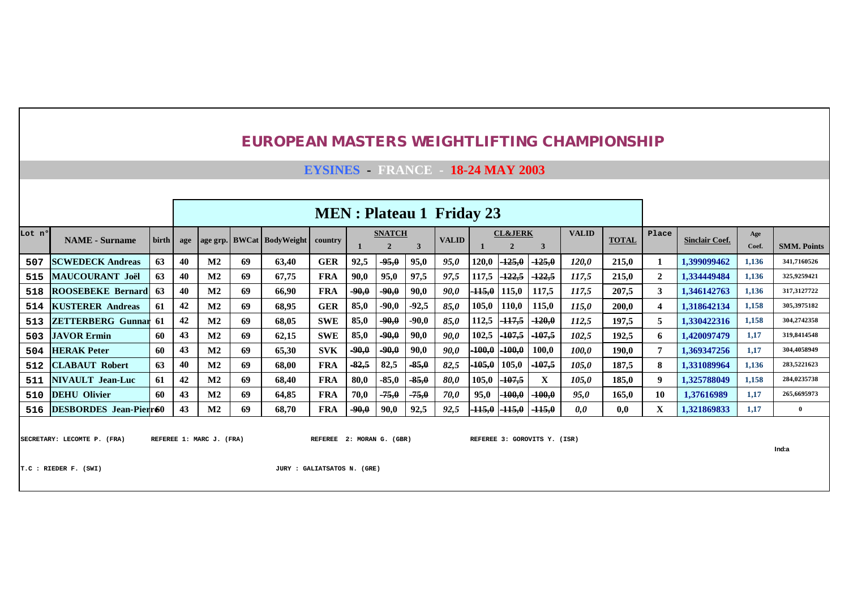**EYSINES - FRANCE - 18-24 MAY 2003**

|        |                             |       |     |                          |    |                           |                |         |                               |         | <b>MEN</b> : Plateau 1 Friday 23 |          |                    |                              |              |              |              |                       |              |                    |
|--------|-----------------------------|-------|-----|--------------------------|----|---------------------------|----------------|---------|-------------------------------|---------|----------------------------------|----------|--------------------|------------------------------|--------------|--------------|--------------|-----------------------|--------------|--------------------|
| Lot n° | <b>NAME</b> - Surname       | birth | age |                          |    | age grp. BWCat BodyWeight | country        |         | <b>SNATCH</b><br>$\mathbf{2}$ | 3       | <b>VALID</b>                     |          | <b>CL&amp;JERK</b> | 3                            | <b>VALID</b> | <b>TOTAL</b> | Place        | <b>Sinclair Coef.</b> | Age<br>Coef. | <b>SMM. Points</b> |
| 507    | <b>SCWEDECK Andreas</b>     | 63    | 40  | M <sub>2</sub>           | 69 | 63,40                     | <b>GER</b>     | 92,5    | -95,0                         | 95,0    | 95,0                             | 120,0    | -125,0             | $-125,0$                     | <i>120,0</i> | 215,0        |              | 1.399099462           | 1,136        | 341,7160526        |
| 515    | MAUCOURANT Joël             | 63    | 40  | M <sub>2</sub>           | 69 | 67,75                     | <b>FRA</b>     | 90,0    | 95,0                          | 97,5    | 97,5                             | 117,5    | <u> 122,5</u>      | $-122.5$                     | 117,5        | 215,0        | $\mathbf{2}$ | 1,334449484           | 1,136        | 325.9259421        |
| 518    | <b>ROOSEBEKE Bernard</b>    | 63    | 40  | M <sub>2</sub>           | 69 | 66,90                     | <b>FRA</b>     | $-90,0$ | $-90,0$                       | 90,0    | 90,0                             | $-115,0$ | 115,0              | 117,5                        | 117,5        | 207,5        | 3            | 1,346142763           | 1,136        | 317,3127722        |
| 514    | <b>KUSTERER Andreas</b>     | 61    | 42  | M <sub>2</sub>           | 69 | 68,95                     | <b>GER</b>     | 85,0    | -90.0                         | $-92,5$ | 85,0                             | 105,0    | 110,0              | 115,0                        | <i>115,0</i> | <b>200,0</b> | 4            | 1,318642134           | 1,158        | 305.3975182        |
| 513    | <b>ZETTERBERG Gunnar 61</b> |       | 42  | M <sub>2</sub>           | 69 | 68,05                     | <b>SWE</b>     | 85,0    | $-90,0$                       | $-90.0$ | 85,0                             | 112,5    | $-117,5$           | $-120,0$                     | 112,5        | 197,5        | 5            | 1,330422316           | 1,158        | 304.2742358        |
| 503    | <b>JAVOR Ermin</b>          | 60    | 43  | M <sub>2</sub>           | 69 | 62,15                     | <b>SWE</b>     | 85,0    | $-90.0$                       | 90,0    | 90,0                             | 102,5    | $-107,5$           | $-107,5$                     | 102,5        | 192,5        | 6            | 1.420097479           | 1,17         | 319,8414548        |
| 504    | <b>HERAK Peter</b>          | -60   | 43  | M <sub>2</sub>           | 69 | 65,30                     | <b>SVK</b>     | $-90,0$ | $-90.0$                       | 90,0    | 90,0                             | $-100,0$ | $-100,0$           | 100,0                        | <i>100,0</i> | <b>190,0</b> | 7            | 1,369347256           | 1,17         | 304,4058949        |
| 512    | <b>CLABAUT Robert</b>       | 63    | 40  | M <sub>2</sub>           | 69 | 68,00                     | <b>FRA</b>     | $-82,5$ | 82,5                          | $-85,0$ | 82,5                             | $-105,0$ | 105,0              | $-107,5$                     | 105,0        | 187,5        | 8            | 1.331089964           | 1,136        | 283,5221623        |
| 511    | <b>NIVAULT</b> Jean-Luc     | 61    | 42  | M <sub>2</sub>           | 69 | 68,40                     | <b>FRA</b>     | 80,0    | $-85,0$                       | $-85,0$ | <b>80.0</b>                      | 105,0    | $-107,5$           | X                            | 105,0        | 185,0        | 9            | 1,325788049           | 1,158        | 284,0235738        |
| 510    | <b>DEHU</b> Olivier         | -60   | 43  | M <sub>2</sub>           | 69 | 64,85                     | <b>FRA</b>     | 70,0    | $-75,0$                       | -75,0   | 70,0                             | 95,0     | $-100,0$           | $-100,0$                     | 95,0         | 165,0        | 10           | 1,37616989            | 1,17         | 265,6695973        |
|        | 516 DESBORDES Jean-Pierr60  |       | 43  | M <sub>2</sub>           | 69 | 68,70                     | <b>FRA</b>     | $-90,0$ | 90,0                          | 92,5    | 92,5                             | $-115,0$ | $-115,0$           | $-115,0$                     | 0,0          | 0,0          | X            | 1,321869833           | 1,17         | $\overline{0}$     |
|        | SECRETARY: LECOMTE P. (FRA) |       |     | REFEREE 1: MARC J. (FRA) |    |                           | <b>REFEREE</b> |         | 2: MORAN G. (GBR)             |         |                                  |          |                    | REFEREE 3: GOROVITS Y. (ISR) |              |              |              |                       |              | Ind:a              |

**T.C : RIEDER F. (SWI) JURY : GALIATSATOS N. (GRE)**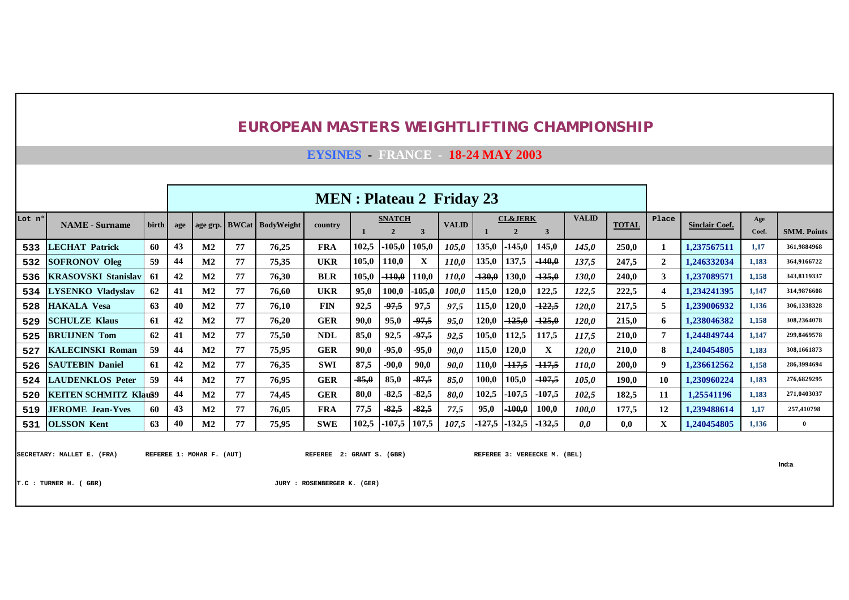**EYSINES - FRANCE - 18-24 MAY 2003**

|        |                                                     |       |     |                                                                                                                                                                                                                                                               |    |                         | <b>MEN</b> : Plateau 2 Friday 23                         |         |                                 |          |              |          |                                      |                              |              |              |              |                       |              |                    |
|--------|-----------------------------------------------------|-------|-----|---------------------------------------------------------------------------------------------------------------------------------------------------------------------------------------------------------------------------------------------------------------|----|-------------------------|----------------------------------------------------------|---------|---------------------------------|----------|--------------|----------|--------------------------------------|------------------------------|--------------|--------------|--------------|-----------------------|--------------|--------------------|
| Lot nº | <b>NAME</b> - Surname                               | birth | age | age grp.                                                                                                                                                                                                                                                      |    | <b>BWCat</b> BodyWeight | country                                                  |         | <b>SNATCH</b><br>$\overline{2}$ | 3        | <b>VALID</b> |          | <b>CL&amp;JERK</b><br>$\overline{2}$ | 3                            | <b>VALID</b> | <b>TOTAL</b> | Place        | <b>Sinclair Coef.</b> | Age<br>Coef. | <b>SMM. Points</b> |
| 533    | <b>LECHAT Patrick</b>                               | -60   | 43  | $\mathbf{M2}$                                                                                                                                                                                                                                                 | 77 | 76,25                   | <b>FRA</b>                                               | 102,5   | $-105,0$                        | 105,0    | 105,0        | 135,0    | $-145,0$                             | 145,0                        | <i>145,0</i> | 250.0        | -1           | 1.237567511           | 1,17         | 361,9884968        |
| 532    | <b>SOFRONOV Oleg</b>                                | 59    | 44  | $\mathbf{M2}$                                                                                                                                                                                                                                                 | 77 | 75,35                   | <b>UKR</b>                                               | 105,0   | 110,0                           | X        | <i>110,0</i> | 135,0    | 137,5                                | $-140,0$                     | 137.5        | 247,5        | $\mathbf{2}$ | 1.246332034           | 1,183        | 364.9166722        |
| 536    | <b>KRASOVSKI Stanislav</b>                          | 61    | 42  | $\mathbf{M2}$                                                                                                                                                                                                                                                 | 77 | 76,30                   | <b>BLR</b>                                               | 105,0   | $-110,0$                        | 110,0    | <i>110,0</i> | $-130,0$ | 130,0                                | $-135,0$                     | <b>130.0</b> | 240,0        | 3            | 1,237089571           | 1.158        | 343,8119337        |
| 534    | <b>LYSENKO</b> Vladyslav                            | 62    | 41  | $\mathbf{M2}$                                                                                                                                                                                                                                                 | 77 | 76.60                   | <b>UKR</b>                                               | 95,0    | 100,0                           | $-105,0$ | 100,0        | 115,0    | 120,0                                | 122,5                        | 122,5        | 222,5        | 4            | 1.234241395           | 1,147        | 314,9876608        |
| 528    | <b>HAKALA Vesa</b>                                  | 63    | 40  | 77<br>$-97,5$<br>97,5<br>$\mathbf{M2}$<br><b>FIN</b><br>92,5<br>120,0<br>$-122,5$<br>97,5<br>115,0<br>76,10<br><i>120.0</i><br><b>GER</b><br>95,0<br>$-97,5$<br>120,0<br>$-125,0$<br>$-125,0$<br>$\mathbf{M2}$<br>77<br>90,0<br>95,0<br><b>120,0</b><br>76.20 |    |                         |                                                          |         |                                 |          |              |          |                                      |                              |              |              |              | 1,239006932           | 1.136        | 306,1338328        |
| 529    | <b>SCHULZE Klaus</b>                                | 61    | 42  |                                                                                                                                                                                                                                                               |    |                         |                                                          |         |                                 |          |              |          |                                      |                              |              | 215,0        | 6            | 1.238046382           | 1,158        | 308,2364078        |
| 525    | <b>BRULINEN Tom</b>                                 | 62    | 41  | $\mathbf{M2}$                                                                                                                                                                                                                                                 | 77 | 75,50                   | <b>NDL</b>                                               | 85,0    | 92,5                            | $-97,5$  | 92,5         | 105,0    | 112,5                                | 117,5                        | 117,5        | 210,0        | 7            | 1.244849744           | 1,147        | 299,8469578        |
| 527    | <b>KALECINSKI Roman</b>                             | 59    | 44  | $\mathbf{M2}$                                                                                                                                                                                                                                                 | 77 | 75.95                   | <b>GER</b>                                               | 90,0    | $-95,0$                         | $-95,0$  | 90.0         | 115,0    | 120,0                                | X                            | <b>120.0</b> | 210.0        | 8            | 1.240454805           | 1,183        | 308,1661873        |
| 526    | <b>SAUTEBIN Daniel</b>                              | 61    | 42  | $\mathbf{M2}$                                                                                                                                                                                                                                                 | 77 | 76,35                   | <b>SWI</b>                                               | 87,5    | $-90,0$                         | 90,0     | 90,0         | 110,0    | $-117,5$                             | $-117,5$                     | 110,0        | 200,0        | 9            | 1,236612562           | 1,158        | 286,3994694        |
| 524    | <b>LAUDENKLOS Peter</b>                             | 59    | 44  | $\mathbf{M2}$                                                                                                                                                                                                                                                 | 77 | 76.95                   | <b>GER</b>                                               | $-85,0$ | 85,0                            | $-87,5$  | 85,0         | 100,0    | 105,0                                | $-107,5$                     | 105,0        | 190,0        | 10           | 1.230960224           | 1,183        | 276.6829295        |
| 520    | <b>KEITEN SCHMITZ Klau59</b>                        |       | 44  | $\mathbf{M2}$                                                                                                                                                                                                                                                 | 77 | 74.45                   | <b>GER</b>                                               | 80,0    | $-82,5$                         | $-82,5$  | 80,0         | 102,5    | $-107,5$                             | $-107,5$                     | 102,5        | 182,5        | 11           | 1.25541196            | 1,183        | 271,0403037        |
| 519    | <b>JEROME</b> Jean-Yves                             | 60    | 43  | $\bf M2$                                                                                                                                                                                                                                                      | 77 | 76,05                   | <b>FRA</b>                                               | 77,5    | $-82,5$                         | $-82,5$  | 77,5         | 95,0     | $-100,0$                             | 100,0                        | 100,0        | 177,5        | 12           | 1,239488614           | 1.17         | 257,410798         |
| 531    | <b>OLSSON Kent</b>                                  | 63    | 40  | $\bf M2$                                                                                                                                                                                                                                                      | 77 | 75,95                   | <b>SWE</b>                                               | 102,5   | $-107,5$                        | 107,5    | 107,5        | $-127,5$ | $-132,5$                             | $-132,5$                     | 0,0          | 0,0          | X            | 1.240454805           | 1,136        | $\mathbf{0}$       |
|        | SECRETARY: MALLET E. (FRA)<br>T.C : TURNER H. (GBR) |       |     | REFEREE 1: MOHAR F. (AUT)                                                                                                                                                                                                                                     |    |                         | REFEREE 2: GRANT S. (GBR)<br>JURY : ROSENBERGER K. (GER) |         |                                 |          |              |          |                                      | REFEREE 3: VEREECKE M. (BEL) |              |              |              |                       |              | Ind:a              |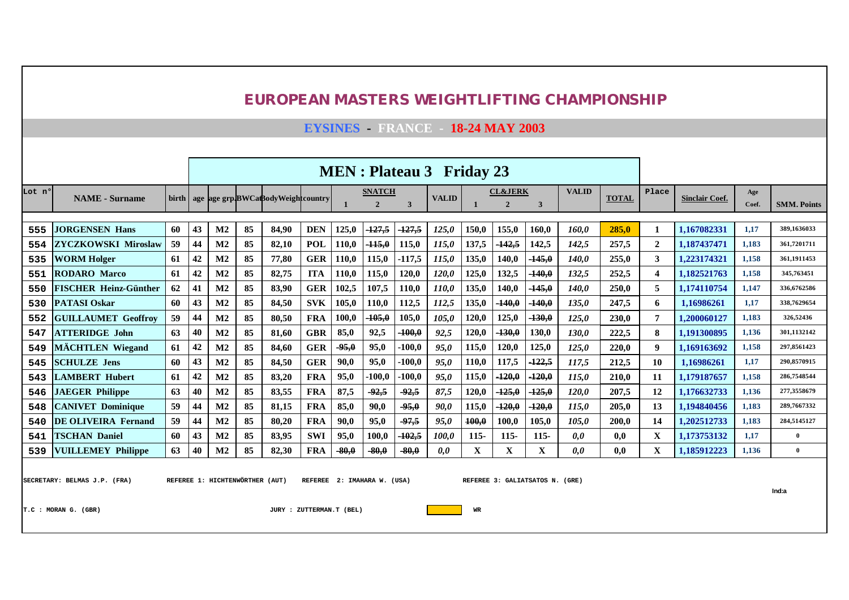**EYSINES - FRANCE - 18-24 MAY 2003**

|        |                              | <b>MEN</b> : Plateau 3 Friday 23                                                                                     |                                                                                                                                |                                                                                                                                                                                                                                                                            |    |                                         |            |       |                |          |              |       |                    |                |              |              |                |                       |                |                    |
|--------|------------------------------|----------------------------------------------------------------------------------------------------------------------|--------------------------------------------------------------------------------------------------------------------------------|----------------------------------------------------------------------------------------------------------------------------------------------------------------------------------------------------------------------------------------------------------------------------|----|-----------------------------------------|------------|-------|----------------|----------|--------------|-------|--------------------|----------------|--------------|--------------|----------------|-----------------------|----------------|--------------------|
| Lot nº | <b>NAME</b> - Surname        |                                                                                                                      |                                                                                                                                |                                                                                                                                                                                                                                                                            |    | birth age age grp.BWCaBodyWeightcountry |            |       | <b>SNATCH</b>  |          | <b>VALID</b> |       | <b>CL&amp;JERK</b> |                | <b>VALID</b> | <b>TOTAL</b> | Place          | <b>Sinclair Coef.</b> | Age            |                    |
|        |                              |                                                                                                                      |                                                                                                                                |                                                                                                                                                                                                                                                                            |    |                                         |            |       | $\overline{2}$ | 3        |              |       | $\overline{2}$     | $\overline{3}$ |              |              |                |                       | Coef.          | <b>SMM. Points</b> |
| 555    | <b>JORGENSEN Hans</b>        | 60                                                                                                                   | 43                                                                                                                             | $\mathbf{M2}$                                                                                                                                                                                                                                                              | 85 | 84.90                                   | <b>DEN</b> | 125,0 | -127.5         | $-127,5$ | 125,0        | 150.0 | 155.0              | 160.0          | 160.0        | 285.0        | 1              | 1.167082331           | 1,17           | 389.1636033        |
| 554    | <b>ZYCZKOWSKI Miroslaw</b>   | 59                                                                                                                   | 44                                                                                                                             | $\mathbf{M2}$                                                                                                                                                                                                                                                              | 85 | 82,10                                   | POL        | 110.0 | $-115,0$       | 115,0    | 115,0        | 137,5 | <sup>-142,5</sup>  | 142,5          | 142,5        | 257,5        | $\overline{2}$ | 1.187437471           | 1,183          | 361,7201711        |
| 535    | <b>WORM Holger</b>           | 61                                                                                                                   | 42                                                                                                                             | $\mathbf{M2}$                                                                                                                                                                                                                                                              | 85 | 77,80                                   | <b>GER</b> | 110,0 | 115,0          | $-117,5$ | 115,0        | 135,0 | 140,0              | $-145,0$       | 140,0        | 255,0        | 3              | 1.223174321           | 1,158          | 361.1911453        |
| 551    | <b>RODARO</b> Marco          | 61                                                                                                                   | 42                                                                                                                             | 85<br>82,75<br><b>ITA</b><br>120,0<br>132,5<br>252,5<br>$\mathbf{M2}$<br>110.0<br>115,0<br>120.0<br>125,0<br>$-140,0$<br>132,5<br><b>GER</b><br>85<br>107.5<br>110.0<br>M <sub>2</sub><br>83.90<br>102.5<br>110.0<br>140.0<br>$-145,0$<br>140.0<br>250.0<br>135,0<br>247,5 |    |                                         |            |       |                |          |              |       |                    |                |              |              |                | 1.182521763           | 1,158          | 345,763451         |
| 550    | <b>FISCHER Heinz-Günther</b> | 62                                                                                                                   | 41                                                                                                                             | 85<br>84,50<br><b>SVK</b><br>$-140,0$<br>M <sub>2</sub><br>110.0<br>112,5<br>112,5<br>$-140,0$<br>105,0<br>135,0<br>135,0                                                                                                                                                  |    |                                         |            |       |                |          |              |       |                    |                |              |              |                | 1.174110754           | 1,147          | 336,6762586        |
| 530    | <b>PATASI Oskar</b>          | 60                                                                                                                   | 43                                                                                                                             |                                                                                                                                                                                                                                                                            |    |                                         |            |       |                |          |              |       |                    |                |              |              |                | 1.16986261            | 1,17           | 338,7629654        |
| 552    | <b>GUILLAUMET Geoffroy</b>   | 59                                                                                                                   | 44                                                                                                                             | $\mathbf{M2}$                                                                                                                                                                                                                                                              | 85 | 80,50                                   | <b>FRA</b> | 100,0 | $-105,0$       | 105,0    | 105,0        | 120,0 | 125,0              | $-130,0$       | 125,0        | 230,0        | $\overline{7}$ | 1.200060127           | 1,183          | 326,52436          |
| 547    | <b>ATTERIDGE John</b>        | 63                                                                                                                   | 40                                                                                                                             | M <sub>2</sub>                                                                                                                                                                                                                                                             | 85 | 81,60                                   | <b>GBR</b> | 85,0  | 92,5           | $-100,0$ | 92,5         | 120,0 | $-130,0$           | 130,0          | 130.0        | 222.5        | 8              | 1.191300895           | 1,136          | 301.1132142        |
| 549    | <b>MÄCHTLEN</b> Wiegand      | 61                                                                                                                   | 42                                                                                                                             | $\mathbf{M2}$                                                                                                                                                                                                                                                              | 85 | 84.60                                   | <b>GER</b> | -95,0 | 95,0           | $-100.0$ | 95.0         | 115,0 | 120,0              | 125,0          | 125.0        | 220.0        | 9              | 1.169163692           | 1,158          | 297.8561423        |
| 545    | <b>SCHULZE</b> Jens          | 60                                                                                                                   | 43                                                                                                                             | $\mathbf{M2}$                                                                                                                                                                                                                                                              | 85 | 84,50                                   | <b>GER</b> | 90,0  | 95,0           | $-100,0$ | 95,0         | 110,0 | 117,5              | $-122,5$       | 117,5        | 212,5        | 10             | 1.16986261            | 1,17           | 290,8570915        |
| 543    | <b>LAMBERT Hubert</b>        | 61                                                                                                                   | 42                                                                                                                             | M <sub>2</sub>                                                                                                                                                                                                                                                             | 85 | 83,20                                   | <b>FRA</b> | 95,0  | $-100,0$       | $-100,0$ | 95,0         | 115,0 | $-120,0$           | $-120,0$       | 115,0        | 210.0        | 11             | 1.179187657           | 1,158          | 286,7548544        |
| 546    | <b>JAEGER Philippe</b>       | 63                                                                                                                   | 40                                                                                                                             | M <sub>2</sub>                                                                                                                                                                                                                                                             | 85 | 83,55                                   | <b>FRA</b> | 87,5  | $-92,5$        | $-92,5$  | 87,5         | 120,0 | $-125,0$           | $-125,0$       | 120,0        | 207.5        | 12             | 1.176632733           | 1,136          | 277,3558679        |
| 548    | <b>CANIVET Dominique</b>     | 59                                                                                                                   | 44                                                                                                                             | $\mathbf{M2}$                                                                                                                                                                                                                                                              | 85 | 81,15                                   | <b>FRA</b> | 85,0  | 90,0           | $-95,0$  | 90.0         | 115,0 | $-120,0$           | $-120,0$       | 115.0        | 205.0        | 13             | 1.194840456           | 1,183          | 289,7667332        |
| 540    | <b>DE OLIVEIRA Fernand</b>   | 59                                                                                                                   | 44                                                                                                                             | M <sub>2</sub>                                                                                                                                                                                                                                                             | 85 | 80,20                                   | <b>FRA</b> | 90.0  | 95,0           | $-97,5$  | 95,0         | 100,0 | 100.0              | 105,0          | 105,0        | 200.0        | 14             | 1.202512733           | 1,183          | 284.5145127        |
| 541    | <b>TSCHAN Daniel</b>         | 60                                                                                                                   | $-102,5$<br>85<br><b>SWI</b><br>95.0<br>100.0<br>43<br>83,95<br>100.0<br>$115 -$<br>$115 -$<br>$115 -$<br>$\mathbf{M2}$<br>0.0 |                                                                                                                                                                                                                                                                            |    |                                         |            |       |                |          |              |       |                    |                |              | 0,0          | $\mathbf X$    | 1.173753132           | 1.17           | $\overline{0}$     |
| 539    | <b>VUILLEMEY Philippe</b>    | $-80,0$<br>$-80.0$<br>$-80,0$<br>X<br>X<br>X<br>40<br>85<br><b>FRA</b><br>82,30<br>63<br>$\mathbf{M2}$<br>0,0<br>0.0 |                                                                                                                                |                                                                                                                                                                                                                                                                            |    |                                         |            |       |                |          |              |       |                    |                | 0,0          | $\mathbf X$  | 1.185912223    | 1,136                 | $\overline{0}$ |                    |
|        |                              |                                                                                                                      |                                                                                                                                |                                                                                                                                                                                                                                                                            |    |                                         |            |       |                |          |              |       |                    |                |              |              |                |                       |                |                    |

SECRETARY: BELMAS J.P. (FRA) REFEREE 1: HICHTENWÖRTHER (AUT) REFEREE 2: IMAHARA W. (USA) REFEREE 3: GALIATSATOS N. (GRE)

**Ind:a**

**T.C : MORAN G. (GBR) JURY : ZUTTERMAN.T (BEL) WR**

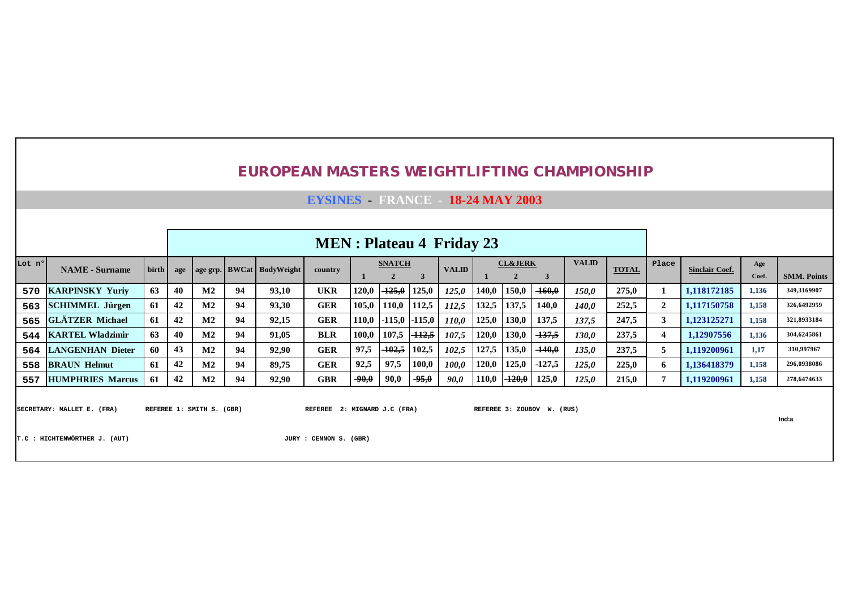**EYSINES - FRANCE - 18-24 MAY 2003**

|        |                         |                |    |                |    |                                     | <b>MEN</b> : Plateau 4 Friday 23 |         |                   |                   |              |       |                    |          |              |              |              |                       |              |                    |
|--------|-------------------------|----------------|----|----------------|----|-------------------------------------|----------------------------------|---------|-------------------|-------------------|--------------|-------|--------------------|----------|--------------|--------------|--------------|-----------------------|--------------|--------------------|
| Lot nº | <b>NAME</b> - Surname   | $\text{birth}$ |    |                |    | age   age grp.   BWCat   BodyWeight | country                          |         | <b>SNATCH</b>     |                   | <b>VALID</b> |       | <b>CL&amp;JERK</b> |          | <b>VALID</b> | <b>TOTAL</b> | Place        | <b>Sinclair Coef.</b> | Age<br>Coef. | <b>SMM. Points</b> |
|        | 570 KARPINSKY Yuriv     | 63             | 40 | $\mathbf{M2}$  | 94 | 93,10                               | <b>UKR</b>                       | 120,0   | –125.0 l          | 125,0             | 125.0        | 140,0 | 150,0              | $-160,0$ | 150.0        | 275,0        |              | 1.118172185           | 1,136        | 349,3169907        |
|        | 563 SCHIMMEL Jürgen     | 61             | 42 | $\mathbf{M2}$  | 94 | 93,30                               | <b>GER</b>                       | 105,0   | 110.0             | 112.5             | 112,5        | 132.5 | 137,5              | 140.0    | 140.0        | 252,5        | $\mathbf{2}$ | 1,117150758           | 1,158        | 326,6492959        |
|        | 565 GLÄTZER Michael     | 61             | 42 | $\mathbf{M2}$  | 94 | 92,15                               | <b>GER</b>                       | 110,0   |                   | -115.0 -115.0     | 110.0        | 125,0 | 130,0              | 137,5    | 137,5        | 247,5        |              | 1.123125271           | 1,158        | 321,8933184        |
| 544    | <b>KARTEL Wladzimir</b> | 63             | 40 | $\mathbf{M2}$  | 94 | 91,05                               | <b>BLR</b>                       | 100,0   | 107,5             | <del>-112.5</del> | 107.5        | 120,0 | 130,0              | $-137,5$ | 130.0        | 237,5        |              | 1.12907556            | 1.136        | 304,6245861        |
|        | 564 LANGENHAN Dieter    | 60             | 43 | $\mathbf{M2}$  | 94 | 92,90                               | <b>GER</b>                       | 97,5    | <del>-102.5</del> | 102,5             | 102,5        | 127,5 | 135,0              | $-140,0$ | 135,0        | 237,5        |              | 1.119200961           | 1.17         | 310,997967         |
| 558    | <b>BRAUN Helmut</b>     | 61             | 42 | M <sub>2</sub> | 94 | 89,75                               | <b>GER</b>                       | 92.5    | 97.5              | 100,0             | 100.0        | 120,0 | 125,0              | $-127.5$ | 125,0        | 225,0        | -6           | 1.136418379           | 1,158        | 296,0938086        |
| 557    | <b>HUMPHRIES Marcus</b> | 61             | 42 | $\mathbf{M2}$  | 94 | 92,90                               | <b>GBR</b>                       | $-90.0$ | 90,0              | $-95,0$           | 90,0         | 110,0 | $-120,0$           | 125,0    | 125,0        | 215,0        |              | 1.119200961           | 1,158        | 278,6474633        |

SECRETARY: MALLET E. (FRA) REFEREE 1: SMITH S. (GBR) REFEREE 2: MIGNARD J.C (FRA) REFEREE 3: ZOUBOV W. (RUS)

**Ind:a**

**T.C : HICHTENWÖRTHER J. (AUT) JURY : CENNON S. (GBR)**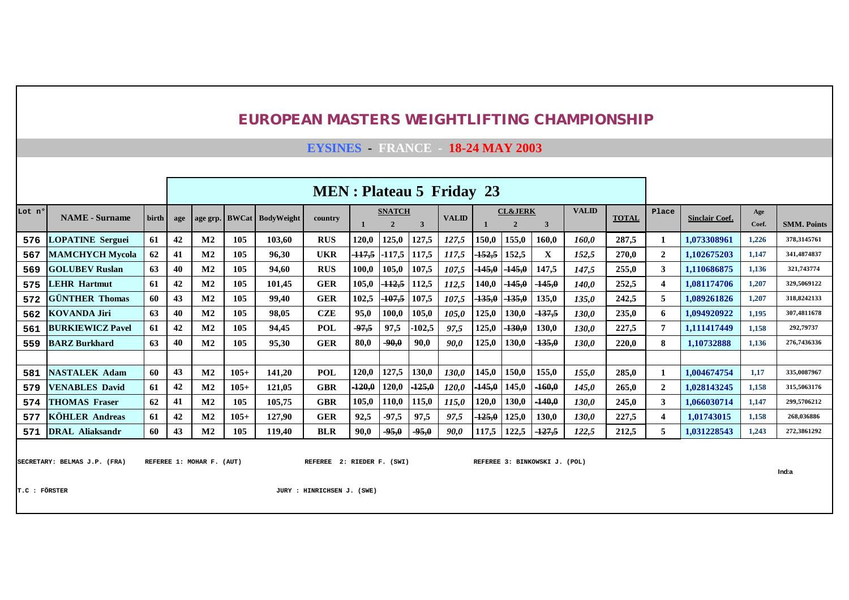**EYSINES - FRANCE - 18-24 MAY 2003**

|        |                         |       | <b>MEN</b> : Plateau 5 Friday 23 |                |        |                           |            |          |                                 |                   |              |          |                                      |                   |              |              |                  |                       |              |                    |
|--------|-------------------------|-------|----------------------------------|----------------|--------|---------------------------|------------|----------|---------------------------------|-------------------|--------------|----------|--------------------------------------|-------------------|--------------|--------------|------------------|-----------------------|--------------|--------------------|
| Lot nº | <b>NAME</b> - Surname   | birth | age                              |                |        | age grp. BWCat BodyWeight | country    |          | <b>SNATCH</b><br>$\overline{2}$ | 3                 | <b>VALID</b> |          | <b>CL&amp;JERK</b><br>$\overline{2}$ | 3                 | <b>VALID</b> | <b>TOTAL</b> | Place            | <b>Sinclair Coef.</b> | Age<br>Coef. | <b>SMM. Points</b> |
| 576    | <b>LOPATINE Serguei</b> | 61    | 42                               | M <sub>2</sub> | 105    | 103,60                    | <b>RUS</b> | 120,0    | 125,0                           | 127,5             | 127,5        | 150,0    | 155,0                                | 160,0             | 160,0        | 287,5        | 1                | 1.073308961           | 1,226        | 378,3145761        |
| 567    | <b>MAMCHYCH Mycola</b>  | 62    | 41                               | M <sub>2</sub> | 105    | 96,30                     | <b>UKR</b> | $-117,5$ | $-117.5$                        | 117.5             | 117,5        | 152,5    | 152,5                                | X                 | 152,5        | 270,0        | $\overline{2}$   | 1.102675203           | 1,147        | 341,4874837        |
| 569    | <b>GOLUBEV Ruslan</b>   | 63    | 40                               | M <sub>2</sub> | 105    | 94,60                     | <b>RUS</b> | 100,0    | 105,0                           | 107.5             | 107,5        | $-145,0$ | $-145,0$                             | 147,5             | 147,5        | 255,0        | 3                | 1,110686875           | 1,136        | 321,743774         |
| 575    | <b>LEHR Hartmut</b>     | 61    | 42                               | M <sub>2</sub> | 105    | 101,45                    | GER        | 105,0    | $-112,5$                        | 12,5              | 112,5        | 140,0    | $-145,0$                             | $-145,0$          | <b>140,0</b> | 252,5        | 4                | 1,081174706           | 1,207        | 329,5069122        |
| 572    | <b>GÜNTHER Thomas</b>   | 60    | 43                               | M <sub>2</sub> | 105    | 99,40                     | <b>GER</b> | 102,5    | $-107,5$                        | 107,5             | 107,5        | $-135,0$ | $-135,0$                             | 135,0             | 135,0        | 242,5        | 5                | 1,089261826           | 1,207        | 318,8242133        |
| 562    | <b>KOVANDA Jiri</b>     | 63    | 40                               | M <sub>2</sub> | 105    | 98,05                     | CZE        | 95,0     | 100,0                           | 105,0             | 105,0        | 125,0    | 130,0                                | $-137,5$          | 130,0        | 235,0        | 6                | 1,094920922           | 1,195        | 307,4811678        |
| 561    | <b>BURKIEWICZ Pavel</b> | 61    | 42                               | M <sub>2</sub> | 105    | 94,45                     | POL        | $-97,5$  | 97.5                            | $-102,5$          | 97,5         | 125,0    | $-130,0$                             | 130,0             | 130,0        | 227,5        | 7                | 1,111417449           | 1,158        | 292,79737          |
| 559    | <b>BARZ</b> Burkhard    | 63    | 40                               | M <sub>2</sub> | 105    | 95,30                     | GER        | 80,0     | $-90.0$                         | 90,0              | 90.0         | 125,0    | 130,0                                | $-135,0$          | 130,0        | 220,0        | 8                | 1,10732888            | 1,136        | 276,7436336        |
|        |                         |       |                                  |                |        |                           |            |          |                                 |                   |              |          |                                      |                   |              |              |                  |                       |              |                    |
| 581    | <b>NASTALEK Adam</b>    | 60    | 43                               | M <sub>2</sub> | $105+$ | 141,20                    | POL        | 120,0    | 127,5                           | 130,0             | <b>130,0</b> | 145,0    | 150,0                                | 155,0             | 155,0        | 285,0        | 1                | 1,004674754           | 1,17         | 335,0087967        |
| 579    | <b>VENABLES David</b>   | 61    | 42                               | M <sub>2</sub> | $105+$ | 121,05                    | GBR        | $-120,0$ | 120,0                           | <del>-125,0</del> | 120,0        | $-145,0$ | 145,0                                | $-160,0$          | 145,0        | 265,0        | $\overline{2}$   | 1,028143245           | 1,158        | 315,5063176        |
| 574    | <b>THOMAS Fraser</b>    | 62    | 41                               | $\mathbf{M2}$  | 105    | 105,75                    | <b>GBR</b> | 105,0    | 110,0                           | 15,0              | 115,0        | 20,0     | 130,0                                | $-140,0$          | <b>130,0</b> | 245,0        | 3                | 1.066030714           | 1,147        | 299,5706212        |
| 577    | <b>KÖHLER Andreas</b>   | 61    | 42                               | M <sub>2</sub> | $105+$ | 127,90                    | <b>GER</b> | 92,5     | $-97,5$                         | 97,5              | 97,5         | $-125,0$ | 125,0                                | 130,0             | <b>130,0</b> | 227,5        | $\boldsymbol{4}$ | 1,01743015            | 1,158        | 268,036886         |
| 571    | <b>DRAL Aliaksandr</b>  | 60    | 43                               | M <sub>2</sub> | 105    | 119,40                    | <b>BLR</b> | 90,0     | $-95,0$                         | $-95,0$           | 90.0         | 117,5    | 122,5                                | <del>-127,5</del> | 122,5        | 212,5        | 5                | 1,031228543           | 1,243        | 272.3861292        |

SECRETARY: BELMAS J.P. (FRA) REFEREE 1: MOHAR F. (AUT) REFEREE 2: RIEDER F. (SWI) REFEREE 3: BINKOWSKI J. (POL)

**Ind:a**

**T.C : FÖRSTER JURY : HINRICHSEN J. (SWE)**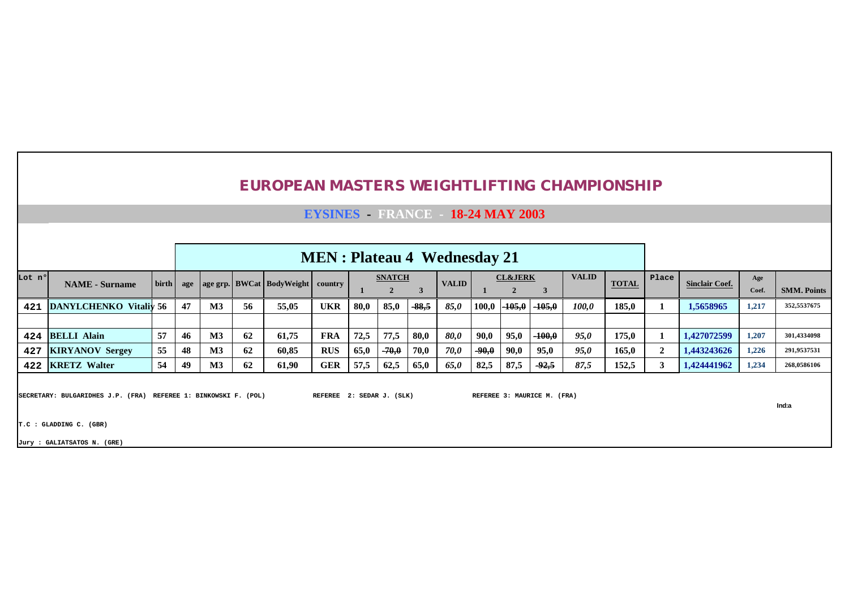|                                                                                                                                                                 |                                                                                                                                                                                                                                                             |    |    |               |    | <b>EUROPEAN MASTERS WEIGHTLIFTING CHAMPIONSHIP</b> |                                        |      |         |         |             |         |          |          |       |       |              |             |       |                    |
|-----------------------------------------------------------------------------------------------------------------------------------------------------------------|-------------------------------------------------------------------------------------------------------------------------------------------------------------------------------------------------------------------------------------------------------------|----|----|---------------|----|----------------------------------------------------|----------------------------------------|------|---------|---------|-------------|---------|----------|----------|-------|-------|--------------|-------------|-------|--------------------|
|                                                                                                                                                                 |                                                                                                                                                                                                                                                             |    |    |               |    |                                                    | <b>EYSINES</b> FRANCE - 18-24 MAY 2003 |      |         |         |             |         |          |          |       |       |              |             |       |                    |
|                                                                                                                                                                 |                                                                                                                                                                                                                                                             |    |    |               |    |                                                    |                                        |      |         |         |             |         |          |          |       |       |              |             |       |                    |
|                                                                                                                                                                 | <b>MEN</b> : Plateau 4 Wednesday 21<br><b>VALID</b><br><b>CL&amp;JERK</b><br><b>SNATCH</b><br>Place<br>Age<br><b>TOTAL</b><br><b>NAME</b> - Surname<br>birth  <br><b>VALID</b><br>  age grp.   BWCat   BodyWeight   country<br><b>Sinclair Coef.</b><br>age |    |    |               |    |                                                    |                                        |      |         |         |             |         |          |          |       |       |              |             |       |                    |
| Lot nº                                                                                                                                                          |                                                                                                                                                                                                                                                             |    |    |               |    |                                                    |                                        |      |         | 3       |             |         |          | 3        |       |       |              |             | Coef. | <b>SMM. Points</b> |
| 421                                                                                                                                                             | <b>DANYLCHENKO</b> Vitaliv 56                                                                                                                                                                                                                               |    | 47 | $\mathbf{M}3$ | 56 | 55,05                                              | <b>UKR</b>                             | 80,0 | 85,0    | $-88,5$ | 85,0        | 100,0   | $-105,0$ | $-105,0$ | 100,0 | 185,0 | 1            | 1,5658965   | 1,217 | 352,5537675        |
|                                                                                                                                                                 |                                                                                                                                                                                                                                                             |    |    |               |    |                                                    |                                        |      |         |         |             |         |          |          |       |       |              |             |       |                    |
| 424                                                                                                                                                             | <b>BELLI Alain</b>                                                                                                                                                                                                                                          | 57 | 46 | $\mathbf{M}3$ | 62 | 61,75                                              | <b>FRA</b>                             | 72,5 | 77,5    | 80,0    | <b>80.0</b> | 90,0    | 95,0     | $-100,0$ | 95,0  | 175,0 | 1            | 1,427072599 | 1,207 | 301,4334098        |
| 427                                                                                                                                                             | <b>KIRYANOV Sergey</b>                                                                                                                                                                                                                                      | 55 | 48 | $\mathbf{M}3$ | 62 | 60,85                                              | <b>RUS</b>                             | 65,0 | $-70,0$ | 70,0    | 70,0        | $-90,0$ | 90,0     | 95,0     | 95,0  | 165,0 | $\mathbf{2}$ | 1,443243626 | 1,226 | 291,9537531        |
| 422                                                                                                                                                             | <b>KRETZ Walter</b>                                                                                                                                                                                                                                         | 54 | 49 | $\mathbf{M}3$ | 62 | 61,90                                              | <b>GER</b>                             | 57,5 | 62,5    | 65,0    | 65,0        | 82,5    | 87,5     | $-92.5$  | 87,5  | 152,5 | 3            | 1,424441962 | 1,234 | 268,0586106        |
| SECRETARY: BULGARIDHES J.P. (FRA) REFEREE 1: BINKOWSKI F. (POL)<br>REFEREE 2: SEDAR J. (SLK)<br>REFEREE 3: MAURICE M. (FRA)<br>Ind:a<br>T.C : GLADDING C. (GBR) |                                                                                                                                                                                                                                                             |    |    |               |    |                                                    |                                        |      |         |         |             |         |          |          |       |       |              |             |       |                    |

**Jury : GALIATSATOS N. (GRE)**

-F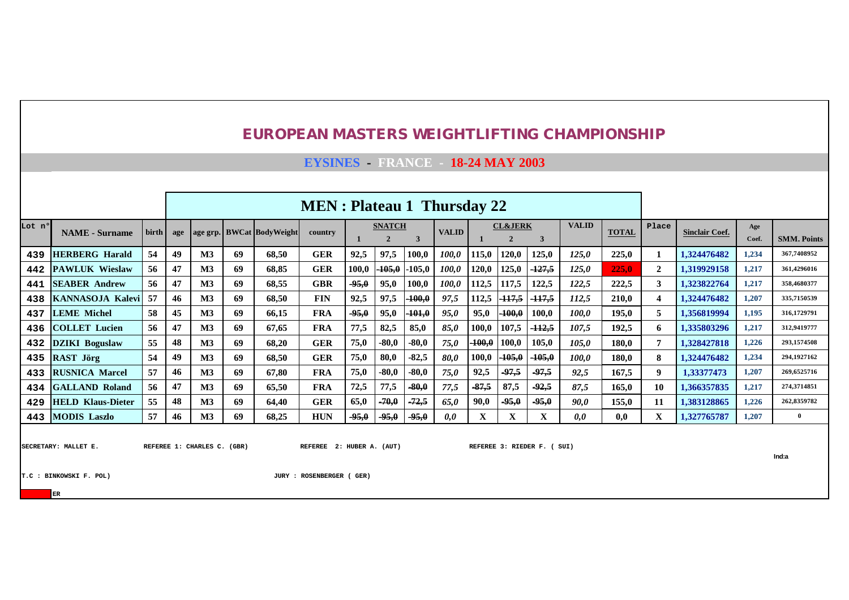**EYSINES - FRANCE - 18-24 MAY 2003**

|        |                                                                                                                                                                                                                                                                                                                     |               |     |                |            |                           | <b>MEN</b> : Plateau 1 Thursday 22 |         |                                 |              |              |         |                                      |          |              |              |                         |                       |              |                    |
|--------|---------------------------------------------------------------------------------------------------------------------------------------------------------------------------------------------------------------------------------------------------------------------------------------------------------------------|---------------|-----|----------------|------------|---------------------------|------------------------------------|---------|---------------------------------|--------------|--------------|---------|--------------------------------------|----------|--------------|--------------|-------------------------|-----------------------|--------------|--------------------|
| Lot nº | <b>NAME</b> - Surname                                                                                                                                                                                                                                                                                               | birth         | age |                |            | age grp. BWCat BodyWeight | country                            |         | <b>SNATCH</b><br>$\overline{2}$ | $\mathbf{3}$ | <b>VALID</b> |         | <b>CL&amp;JERK</b><br>$\overline{2}$ | 3        | <b>VALID</b> | <b>TOTAL</b> | Place                   | <b>Sinclair Coef.</b> | Age<br>Coef. | <b>SMM. Points</b> |
| 439    | <b>HERBERG</b> Harald                                                                                                                                                                                                                                                                                               | 54            | 49  | $\mathbf{M}3$  | 69         | 68,50                     | <b>GER</b>                         | 92,5    | 97,5                            | 100,0        | <i>100,0</i> | 115,0   | 120,0                                | 125,0    | 125,0        | 225,0        | 1                       | 1,324476482           | 1,234        | 367,7408952        |
| 442    | <b>PAWLUK Wieslaw</b>                                                                                                                                                                                                                                                                                               | 56            | 47  | $\mathbf{M}3$  | 69         | 68.85                     | <b>GER</b>                         | 100,0   | $-105,0$                        | $-105,0$     | 100,0        | 120,0   | 125,0                                | $-127,5$ | 125,0        | 225,0        | $\mathbf{2}$            | 1,319929158           | 1,217        | 361,4296016        |
| 441    | <b>SEABER Andrew</b>                                                                                                                                                                                                                                                                                                | 56            | 47  | $\mathbf{M}3$  | 69         | 68,55                     | <b>GBR</b>                         | $-95,0$ | 95,0                            | 100,0        | <i>100,0</i> | 112,5   | 117,5                                | 122,5    | 122,5        | 222,5        | 3                       | 1,323822764           | 1,217        | 358,4680377        |
| 438    | <b>KANNASOJA Kalevi</b>                                                                                                                                                                                                                                                                                             | 57            | 46  | $\mathbf{M}3$  | 69         | 68,50                     | <b>FIN</b>                         | 92,5    | 97,5                            | $-100,0$     | 97,5         | 112,5   | $-117,5$                             | $-117,5$ | 112,5        | 210,0        | $\overline{\mathbf{4}}$ | 1,324476482           | 1,207        | 335,7150539        |
| 437    | 58<br>M <sub>3</sub><br>69<br>$-95,0$<br>$-101,0$<br>95,0<br>$-100,0$<br><b>LEME Michel</b><br>45<br>66,15<br><b>FRA</b><br>95,0<br>95,0<br>100,0<br>100,0<br>56<br>107,5<br><b>COLLET Lucien</b><br>47<br>$\mathbf{M}3$<br>69<br>77,5<br>$-112,5$<br>67.65<br><b>FRA</b><br>82,5<br>85,0<br>85,0<br>100,0<br>107,5 |               |     |                |            |                           |                                    |         |                                 |              |              |         |                                      |          | 195,0        | 5            | 1.356819994             | 1,195                 | 316,1729791  |                    |
| 436    | 55<br>48<br>75,0<br>$-80,0$<br>$-80,0$                                                                                                                                                                                                                                                                              |               |     |                |            |                           |                                    |         |                                 |              |              |         |                                      |          | 192,5        | 6            | 1,335803296             | 1,217                 | 312,9419777  |                    |
| 432    | <b>DZIKI</b> Boguslaw                                                                                                                                                                                                                                                                                               | $\mathbf{M}3$ | 69  | 68,20          | <b>GER</b> | 75,0                      | $-100,0$                           | 100,0   | 105,0                           | 105,0        | <b>180,0</b> | 7       | 1,328427818                          | 1,226    | 293,1574508  |              |                         |                       |              |                    |
| 435    | <b>RAST Jörg</b>                                                                                                                                                                                                                                                                                                    | 54            | 49  | $\mathbf{M}3$  | 69         | 68,50                     | <b>GER</b>                         | 75,0    | 80,0                            | $-82,5$      | 80,0         | 100,0   | $-105,0$                             | $-105,0$ | 100,0        | <b>180,0</b> | 8                       | 1,324476482           | 1,234        | 294,1927162        |
| 433    | <b>RUSNICA Marcel</b>                                                                                                                                                                                                                                                                                               | 57            | 46  | M <sub>3</sub> | 69         | 67,80                     | <b>FRA</b>                         | 75,0    | $-80,0$                         | $-80,0$      | 75,0         | 92,5    | $-97,5$                              | $-97,5$  | 92,5         | 167,5        | 9                       | 1,33377473            | 1,207        | 269,6525716        |
| 434    | <b>GALLAND Roland</b>                                                                                                                                                                                                                                                                                               | 56            | 47  | $\mathbf{M}3$  | 69         | 65,50                     | <b>FRA</b>                         | 72,5    | 77,5                            | $-80,0$      | 77,5         | $-87,5$ | 87,5                                 | $-92,5$  | 87,5         | 165.0        | 10                      | 1,366357835           | 1,217        | 274,3714851        |
| 429    | <b>HELD Klaus-Dieter</b>                                                                                                                                                                                                                                                                                            | 55            | 48  | $\mathbf{M}3$  | 69         | 64,40                     | <b>GER</b>                         | 65,0    | $-70,0$                         | $-72,5$      | 65,0         | 90,0    | $-95,0$                              | $-95,0$  | 90,0         | 155,0        | 11                      | 1.383128865           | 1,226        | 262,8359782        |
| 443    | <b>MODIS Laszlo</b>                                                                                                                                                                                                                                                                                                 | 57            | 46  | $\mathbf{M}3$  | 69         | 68,25                     | <b>HUN</b>                         | $-95,0$ | $-95,0$                         | $-95,0$      | 0,0          | X       | X                                    | X        | 0,0          | 0,0          | $\mathbf X$             | 1,327765787           | 1,207        | $\overline{0}$     |
|        | SECRETARY: MALLET E.<br>REFEREE 1: CHARLES C. (GBR)<br>REFEREE 2: HUBER A. (AUT)<br>REFEREE 3: RIEDER F. ( SUI)<br>T.C : BINKOWSKI F. POL)<br>JURY : ROSENBERGER ( GER)<br>${\rm ER}$                                                                                                                               |               |     |                |            |                           |                                    |         |                                 |              |              |         |                                      |          |              |              |                         | Ind:a                 |              |                    |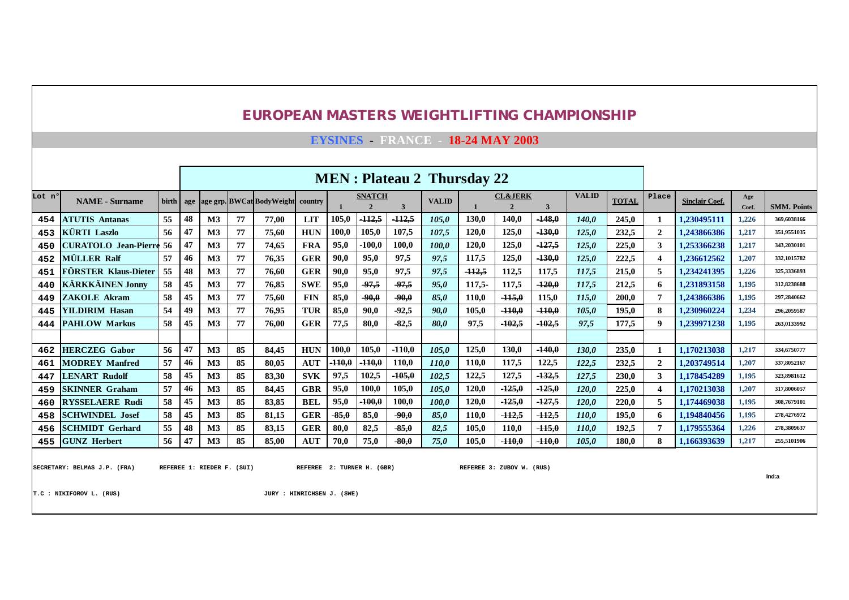|        |                                                                                                                                                                                                                                                                                                                                                                                                                                                                                                                                                                                              |       |    |                            |    | <b>EUROPEAN MASTERS WEIGHTLIFTING CHAMPIONSHIP</b> |                            |          |                                |          |                                        |       |                                      |              |              |              |                |                       |              |                    |
|--------|----------------------------------------------------------------------------------------------------------------------------------------------------------------------------------------------------------------------------------------------------------------------------------------------------------------------------------------------------------------------------------------------------------------------------------------------------------------------------------------------------------------------------------------------------------------------------------------------|-------|----|----------------------------|----|----------------------------------------------------|----------------------------|----------|--------------------------------|----------|----------------------------------------|-------|--------------------------------------|--------------|--------------|--------------|----------------|-----------------------|--------------|--------------------|
|        |                                                                                                                                                                                                                                                                                                                                                                                                                                                                                                                                                                                              |       |    |                            |    |                                                    |                            |          |                                |          | <b>EYSINES - FRANCE 18-24 MAY 2003</b> |       |                                      |              |              |              |                |                       |              |                    |
|        |                                                                                                                                                                                                                                                                                                                                                                                                                                                                                                                                                                                              |       |    |                            |    |                                                    |                            |          |                                |          |                                        |       |                                      |              |              |              |                |                       |              |                    |
|        |                                                                                                                                                                                                                                                                                                                                                                                                                                                                                                                                                                                              |       |    |                            |    |                                                    |                            |          |                                |          | <b>MEN</b> : Plateau 2 Thursday 22     |       |                                      |              |              |              |                |                       |              |                    |
| Lot n° | <b>NAME</b> - Surname                                                                                                                                                                                                                                                                                                                                                                                                                                                                                                                                                                        | birth |    |                            |    | age age grp. BWCat BodyWeight                      | country                    |          | <b>SNATCH</b><br>$\mathcal{D}$ | 3        | <b>VALID</b>                           |       | <b>CL&amp;JERK</b><br>$\overline{2}$ | $\mathbf{3}$ | <b>VALID</b> | <b>TOTAL</b> | Place          | <b>Sinclair Coef.</b> | Age<br>Coef. | <b>SMM. Points</b> |
| 454    | <b>ATUTIS Antanas</b>                                                                                                                                                                                                                                                                                                                                                                                                                                                                                                                                                                        | 55    | 48 | $\mathbf{M}3$              | 77 | 77.00                                              | <b>LIT</b>                 | 105,0    | $-112,5$                       | $-112,5$ | 105.0                                  | 130.0 | 140,0                                | $-148,0$     | 140.0        | 245.0        |                | 1.230495111           | 1,226        | 369,6038166        |
| 453    | <b>KÜRTI Laszlo</b><br>56<br><b>HUN</b><br>$-130,0$<br>232,5<br>M <sub>3</sub><br>77<br>75.60<br>100.0<br>105,0<br>107.5<br>107.5<br>120,0<br>125,0<br>$\overline{2}$<br>1.243866386<br>47<br>125.0<br>$-127,5$<br>95,0<br>$-100.0$<br>100.0<br>120,0<br>125,0<br><b>CURATOLO Jean-Pierre</b><br>56<br>47<br>M <sub>3</sub><br>77<br><b>FRA</b><br>100.0<br>225.0<br>3<br>1.253366238<br>74,65<br>125.0<br><b>MÜLLER Ralf</b><br><b>GER</b><br>90.0<br>97,5<br>$-130,0$<br>222.5<br>1.236612562<br>57<br>M <sub>3</sub><br>77<br>76.35<br>95,0<br>97,5<br>117.5<br>125,0<br>46<br>125.0<br>4 |       |    |                            |    |                                                    |                            |          |                                |          |                                        |       |                                      |              |              | 1,217        | 351,9551035    |                       |              |                    |
| 450    | 1,217<br>1,207<br>5                                                                                                                                                                                                                                                                                                                                                                                                                                                                                                                                                                          |       |    |                            |    |                                                    |                            |          |                                |          |                                        |       |                                      |              |              | 343,2030101  |                |                       |              |                    |
| 452    | $-112.5$<br>77<br>90.0<br>97.5<br>112.5<br>117.5<br><b>FÖRSTER Klaus-Dieter</b><br>55<br>48<br>M <sub>3</sub><br><b>GER</b><br>95.0<br>97.5<br>76.60<br>117.5<br>215.0<br>1.234241395<br>1,226                                                                                                                                                                                                                                                                                                                                                                                               |       |    |                            |    |                                                    |                            |          |                                |          |                                        |       |                                      |              |              | 332.1015782  |                |                       |              |                    |
| 451    |                                                                                                                                                                                                                                                                                                                                                                                                                                                                                                                                                                                              |       |    |                            |    |                                                    |                            |          |                                |          |                                        |       |                                      |              |              | 325,3336893  |                |                       |              |                    |
| 440    | <b>KÄRKKÄINEN Jonny</b><br>77<br>$-97,5$<br>97,5<br>$-120,0$<br>58<br>M <sub>3</sub><br><b>SWE</b><br>95.0<br>95.0<br>117.5<br>212.5<br>1.231893158<br>45<br>76.85<br>$117.5 -$<br>117.5<br>1,195<br>6                                                                                                                                                                                                                                                                                                                                                                                       |       |    |                            |    |                                                    |                            |          |                                |          |                                        |       |                                      |              |              | 312,8238688  |                |                       |              |                    |
| 449    | <b>ZAKOLE Akram</b>                                                                                                                                                                                                                                                                                                                                                                                                                                                                                                                                                                          | 58    | 45 | M <sub>3</sub>             | 77 | 75,60                                              | <b>FIN</b>                 | 85,0     | $-90.0$                        | 90.0     | 85.0                                   | 110.0 | $-115.0$                             | 115.0        | 115.0        | 200.0        | 7              | 1.243866386           | 1,195        | 297.2840662        |
| 445    | <b>YILDIRIM Hasan</b>                                                                                                                                                                                                                                                                                                                                                                                                                                                                                                                                                                        | 54    | 49 | M <sub>3</sub>             | 77 | 76.95                                              | <b>TUR</b>                 | 85,0     | 90.0                           | $-92.5$  | 90.0                                   | 105.0 | $-110,0$                             | $-110.0$     | 105.0        | 195.0        | 8              | 1.230960224           | 1,234        | 296.2059587        |
| 444    | <b>PAHLOW Markus</b>                                                                                                                                                                                                                                                                                                                                                                                                                                                                                                                                                                         | 58    | 45 | M <sub>3</sub>             | 77 | 76.00                                              | <b>GER</b>                 | 77.5     | 80.0                           | $-82.5$  | 80.0                                   | 97.5  | $-102.5$                             | $-102.5$     | 97.5         | 177.5        | $\mathbf Q$    | 1.239971238           | 1,195        | 263,0133992        |
|        |                                                                                                                                                                                                                                                                                                                                                                                                                                                                                                                                                                                              |       |    |                            |    |                                                    |                            |          |                                |          |                                        |       |                                      |              |              |              |                |                       |              |                    |
| 462    | <b>HERCZEG</b> Gabor                                                                                                                                                                                                                                                                                                                                                                                                                                                                                                                                                                         | 56    | 47 | M <sub>3</sub>             | 85 | 84.45                                              | <b>HUN</b>                 | 100.0    | 105.0                          | $-110.0$ | 105.0                                  | 125.0 | 130.0                                | $-140.0$     | 130.0        | 235.0        |                | 1.170213038           | 1,217        | 334,6750777        |
| 461    | <b>MODREY Manfred</b>                                                                                                                                                                                                                                                                                                                                                                                                                                                                                                                                                                        | 57    | 46 | M <sub>3</sub>             | 85 | 80.05                                              | <b>AUT</b>                 | $-110,0$ | 410,0                          | 110.0    | 110.0                                  | 110.0 | 117,5                                | 122,5        | 122.5        | 232.5        | $\overline{2}$ | 1.203749514           | 1,207        | 337,8052167        |
| 447    | <b>LENART Rudolf</b>                                                                                                                                                                                                                                                                                                                                                                                                                                                                                                                                                                         | 58    | 45 | M <sub>3</sub>             | 85 | 83.30                                              | <b>SVK</b>                 | 97,5     | 102,5                          | $-105,0$ | 102.5                                  | 122.5 | 127.5                                | 132,5        | 127.5        | 230,0        | 3              | 1.178454289           | 1,195        | 323,8981612        |
| 459    | <b>SKINNER Graham</b>                                                                                                                                                                                                                                                                                                                                                                                                                                                                                                                                                                        | 57    | 46 | M <sub>3</sub>             | 85 | 84.45                                              | <b>GBR</b>                 | 95,0     | 100,0                          | 105.0    | 105.0                                  | 120.0 | $-125,0$                             | $-125,0$     | 120.0        | 225.0        | 4              | 1.170213038           | 1,207        | 317,8006057        |
| 460    | <b>RYSSELAERE Rudi</b>                                                                                                                                                                                                                                                                                                                                                                                                                                                                                                                                                                       | 58    | 45 | M <sub>3</sub>             | 85 | 83,85                                              | <b>BEL</b>                 | 95.0     | 100,0                          | 100.0    | 100.0                                  | 120.0 | $-125,0$                             | 127,5        | 120.0        | 220.0        | 5              | 1.174469038           | 1,195        | 308,7679101        |
| 458    | <b>SCHWINDEL</b> Josef                                                                                                                                                                                                                                                                                                                                                                                                                                                                                                                                                                       | 58    | 45 | M <sub>3</sub>             | 85 | 81.15                                              | <b>GER</b>                 | $-85,0$  | 85.0                           | $-90.0$  | 85.0                                   | 110.0 | $-112,5$                             | $-112.5$     | 110.0        | 195.0        | 6              | 1.194840456           | 1.195        | 278,4276972        |
| 456    | <b>SCHMIDT</b> Gerhard                                                                                                                                                                                                                                                                                                                                                                                                                                                                                                                                                                       | 55    | 48 | M <sub>3</sub>             | 85 | 83.15                                              | <b>GER</b>                 | 80.0     | 82,5                           | 85,0     | 82.5                                   | 105,0 | 110.0                                | $-115,0$     | 110.0        | 192.5        | 7              | 1.179555364           | 1,226        | 278,3809637        |
| 455    | <b>GUNZ</b> Herbert                                                                                                                                                                                                                                                                                                                                                                                                                                                                                                                                                                          | 56    | 47 | M <sub>3</sub>             | 85 | 85.00                                              | <b>AUT</b>                 | 70.0     | 75.0                           | $-80.0$  | 75.0                                   | 105.0 | $-110.0$                             | $-110.0$     | 105.0        | 180.0        | 8              | 1.166393639           | 1,217        | 255,5101906        |
|        | SECRETARY: BELMAS J.P. (FRA)                                                                                                                                                                                                                                                                                                                                                                                                                                                                                                                                                                 |       |    | REFEREE 1: RIEDER F. (SUI) |    |                                                    | REFEREE 2: TURNER H. (GBR) |          |                                |          |                                        |       | REFEREE 3: ZUBOV W. (RUS)            |              |              |              |                |                       |              | Ind:a              |

**T.C : NIKIFOROV L. (RUS) JURY : HINRICHSEN J. (SWE)**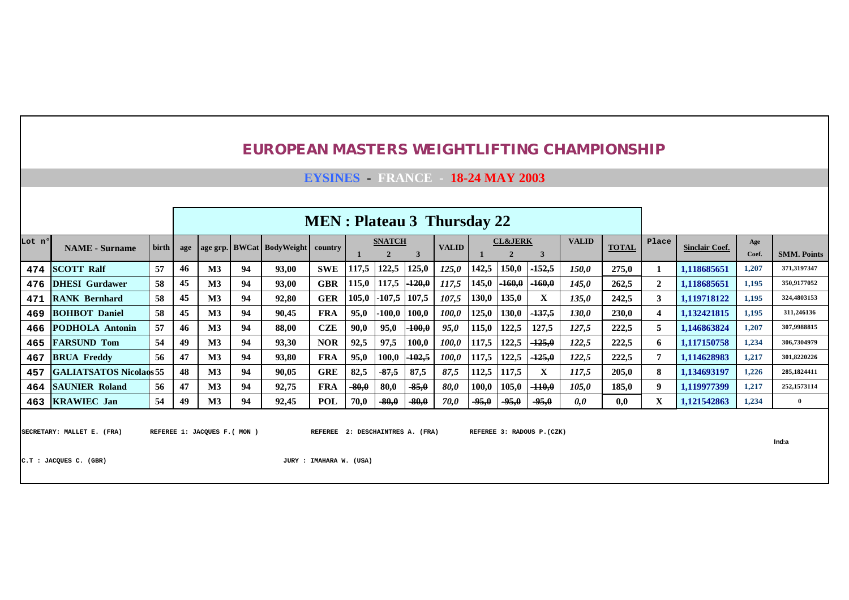|        |                                                                                                                                                               |                                                                                                                                                                                                                                                                                                                                                                         |    |                               |    | <b>EUROPEAN MASTERS WEIGHTLIFTING CHAMPIONSHIP</b> |                                                             |         |          |          |       |         |         |                            |       |       |                |                       |       |                    |
|--------|---------------------------------------------------------------------------------------------------------------------------------------------------------------|-------------------------------------------------------------------------------------------------------------------------------------------------------------------------------------------------------------------------------------------------------------------------------------------------------------------------------------------------------------------------|----|-------------------------------|----|----------------------------------------------------|-------------------------------------------------------------|---------|----------|----------|-------|---------|---------|----------------------------|-------|-------|----------------|-----------------------|-------|--------------------|
|        |                                                                                                                                                               |                                                                                                                                                                                                                                                                                                                                                                         |    |                               |    |                                                    | <b>EYSINES</b> FRANCE - 18-24 MAY 2003                      |         |          |          |       |         |         |                            |       |       |                |                       |       |                    |
|        |                                                                                                                                                               |                                                                                                                                                                                                                                                                                                                                                                         |    |                               |    |                                                    |                                                             |         |          |          |       |         |         |                            |       |       |                |                       |       |                    |
|        | <b>MEN</b> : Plateau 3 Thursday 22<br><b>VALID</b><br><b>CL&amp;JERK</b><br>Place<br><b>SNATCH</b><br>Age<br>birth<br><b>VALID</b><br><b>TOTAL</b><br>country |                                                                                                                                                                                                                                                                                                                                                                         |    |                               |    |                                                    |                                                             |         |          |          |       |         |         |                            |       |       |                |                       |       |                    |
| Lot nº | <b>NAME</b> - Surname                                                                                                                                         | age grp. BWCat BodyWeight<br>age<br>3<br>$\overline{2}$<br>$\overline{2}$<br>3<br>$-152,5$<br>57<br>46<br><b>SWE</b><br>117,5<br>122,5<br>125,0<br>142,5<br>150,0<br>$\mathbf{M}3$<br>94<br>93,00<br>125,0<br>150,0<br>275,0<br>$-160,0$<br>117,5<br>$-120,0$<br>45<br>115,0<br>145,0<br>$-160,0$<br>58<br><b>GBR</b><br>$\mathbf{M}3$<br>94<br>93.00<br>145,0<br>262,5 |    |                               |    |                                                    |                                                             |         |          |          |       |         |         |                            |       |       |                | <b>Sinclair Coef.</b> | Coef. | <b>SMM. Points</b> |
| 474    | <b>SCOTT Ralf</b>                                                                                                                                             | 117,5                                                                                                                                                                                                                                                                                                                                                                   |    |                               |    |                                                    |                                                             |         |          |          |       |         |         |                            |       |       | 1              | 1,118685651           | 1,207 | 371,3197347        |
| 476    | <b>DHESI</b> Gurdawer                                                                                                                                         | 105,0<br>45<br>$-107,5$<br>107,5<br>130,0<br>135,0<br>58<br><b>GER</b><br>107,5<br>X<br>$\mathbf{M}3$<br>94<br>92,80<br>135,0                                                                                                                                                                                                                                           |    |                               |    |                                                    |                                                             |         |          |          |       |         |         |                            |       |       | $\overline{2}$ | 1.118685651           | 1.195 | 350.9177052        |
| 471    | <b>RANK Bernhard</b>                                                                                                                                          |                                                                                                                                                                                                                                                                                                                                                                         |    |                               |    |                                                    |                                                             |         |          |          |       |         |         |                            |       |       | 3              | 1,119718122           | 1.195 | 324,4803153        |
| 469    | <b>BOHBOT Daniel</b>                                                                                                                                          | 58                                                                                                                                                                                                                                                                                                                                                                      | 45 | M <sub>3</sub>                | 94 | 90.45                                              | <b>FRA</b>                                                  | 95,0    | $-100,0$ | 100.0    | 100,0 | 125,0   | 130,0   | $-137,5$                   | 130.0 | 230,0 | 4              | 1.132421815           | 1,195 | 311,246136         |
| 466    | <b>PODHOLA Antonin</b>                                                                                                                                        | 57                                                                                                                                                                                                                                                                                                                                                                      | 46 | M <sub>3</sub>                | 94 | 88.00                                              | <b>CZE</b>                                                  | 90,0    | 95,0     | $-100,0$ | 95,0  | 115,0   | 122,5   | 127,5                      | 127,5 | 222,5 | 5              | 1.146863824           | 1,207 | 307.9988815        |
| 465    | <b>FARSUND Tom</b>                                                                                                                                            | 54                                                                                                                                                                                                                                                                                                                                                                      | 49 | M <sub>3</sub>                | 94 | 93.30                                              | <b>NOR</b>                                                  | 92,5    | 97,5     | 100,0    | 100,0 | 117,5   | 122,5   | $-125,0$                   | 122,5 | 222.5 | 6              | 1.117150758           | 1,234 | 306,7304979        |
| 467    | <b>BRUA Freddy</b>                                                                                                                                            | 56                                                                                                                                                                                                                                                                                                                                                                      | 47 | M <sub>3</sub>                | 94 | 93.80                                              | <b>FRA</b>                                                  | 95,0    | 100,0    | $-102,5$ | 100,0 | 117,5   | 122,5   | $-125,0$                   | 122,5 | 222,5 | $\overline{7}$ | 1.114628983           | 1,217 | 301,8220226        |
| 457    | <b>GALIATSATOS Nicolaos 55</b>                                                                                                                                |                                                                                                                                                                                                                                                                                                                                                                         | 48 | M <sub>3</sub>                | 94 | 90.05                                              | <b>GRE</b>                                                  | 82,5    | $-87,5$  | 87,5     | 87,5  | 112,5   | 117,5   | X                          | 117.5 | 205.0 | 8              | 1.134693197           | 1,226 | 285,1824411        |
|        | <b>464 SAUNIER Roland</b>                                                                                                                                     | 56                                                                                                                                                                                                                                                                                                                                                                      | 47 | M <sub>3</sub>                | 94 | 92.75                                              | <b>FRA</b>                                                  | $-80,0$ | 80,0     | $-85,0$  | 80,0  | 100,0   | 105,0   | $-110,0$                   | 105.0 | 185.0 | 9              | 1.119977399           | 1,217 | 252,1573114        |
|        | 463 KRAWIEC Jan                                                                                                                                               | 54                                                                                                                                                                                                                                                                                                                                                                      | 49 | $\mathbf{M}3$                 | 94 | 92,45                                              | <b>POL</b>                                                  | 70,0    | $-80,0$  | $-80,0$  | 70,0  | $-95,0$ | $-95,0$ | $-95,0$                    | 0,0   | 0,0   | X              | 1,121542863           | 1,234 | $\mathbf{0}$       |
|        | SECRETARY: MALLET E. (FRA)<br>C.T : JACQUES C. (GBR)                                                                                                          |                                                                                                                                                                                                                                                                                                                                                                         |    | REFEREE 1: JACQUES F. ( MON ) |    |                                                    | REFEREE 2: DESCHAINTRES A. (FRA)<br>JURY : IMAHARA W. (USA) |         |          |          |       |         |         | REFEREE 3: RADOUS P. (CZK) |       |       |                |                       |       | Ind:a              |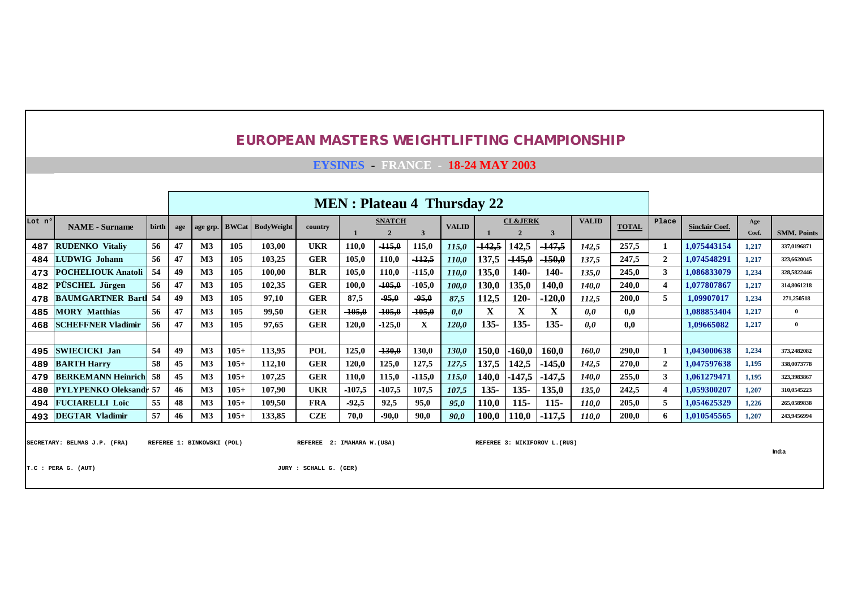**EYSINES - FRANCE - 18-24 MAY 2003**

|                                                                                                                                                                                      |                               |                                                                                                                                                                                                                                                                       |     |                |        |                             |            | <b>MEN</b> : Plateau 4 Thursday 22 |               |          |              |          |                    |                  |              |              |                |                       |              |                    |
|--------------------------------------------------------------------------------------------------------------------------------------------------------------------------------------|-------------------------------|-----------------------------------------------------------------------------------------------------------------------------------------------------------------------------------------------------------------------------------------------------------------------|-----|----------------|--------|-----------------------------|------------|------------------------------------|---------------|----------|--------------|----------|--------------------|------------------|--------------|--------------|----------------|-----------------------|--------------|--------------------|
| Lot nº                                                                                                                                                                               | <b>NAME</b> - Surname         | birth                                                                                                                                                                                                                                                                 | age |                |        | age grp. BWCat   BodyWeight | country    |                                    | <b>SNATCH</b> | 3        | <b>VALID</b> |          | <b>CL&amp;JERK</b> | 3                | <b>VALID</b> | <b>TOTAL</b> | Place          | <b>Sinclair Coef.</b> | Age<br>Coef. | <b>SMM. Points</b> |
| 487                                                                                                                                                                                  | <b>RUDENKO</b> Vitaliv        | 56                                                                                                                                                                                                                                                                    | 47  | M <sub>3</sub> | 105    | 103,00                      | <b>UKR</b> | 110.0                              | $+15,0$       | 115,0    | 115,0        | $-142,5$ | 142,5              | <sup>147,5</sup> | 142.5        | 257,5        |                | 1,075443154           | 1,217        | 337,0196871        |
| 484                                                                                                                                                                                  | <b>LUDWIG Johann</b>          | 56                                                                                                                                                                                                                                                                    | 47  | M <sub>3</sub> | 105    | 103,25                      | <b>GER</b> | 105.0                              | 110,0         | $-112,5$ | <i>110,0</i> | 137,5    | 145,0              | $-150,0$         | 137,5        | 247,5        | $\mathbf{2}$   | 1,074548291           | 1,217        | 323,6620045        |
| 473                                                                                                                                                                                  | <b>POCHELIOUK Anatoli</b>     | 54                                                                                                                                                                                                                                                                    | 49  | M <sub>3</sub> | 105    | 100,00                      | <b>BLR</b> | 105.0                              | 110,0         | $-115,0$ | <i>110,0</i> | 135,0    | $140-$             | $140-$           | 135,0        | 245.0        | 3              | 1,086833079           | 1,234        | 328,5822446        |
| 482                                                                                                                                                                                  | <b>PÜSCHEL Jürgen</b>         | 56                                                                                                                                                                                                                                                                    | 47  | M <sub>3</sub> | 105    | 102,35                      | <b>GER</b> | 100.0                              | $-105,0$      | $-105,0$ | 100,0        | 130.0    | 135,0              | 140,0            | 140.0        | 240.0        |                | 1,077807867           | 1,217        | 314,8061218        |
| 478                                                                                                                                                                                  | <b>BAUMGARTNER Bartl</b>      | $120 -$<br>$-120,0$<br>-54<br>M <sub>3</sub><br>97,10<br><b>GER</b><br>$-95,0$<br>112,5<br>49<br>105<br>87,5<br>$-95,0$<br>87,5<br>112,5<br>X<br>X<br>M <sub>3</sub><br><b>GER</b><br>$-105,0$<br>$-105,0$<br>X<br>56<br>47<br>105<br>99.50<br>$-105,0$<br>0,0<br>0,0 |     |                |        |                             |            |                                    |               |          |              |          |                    |                  |              | 200.0        | 5              | 1,09907017            | 1,234        | 271,250518         |
| 485                                                                                                                                                                                  | <b>MORY Matthias</b>          | 56<br>$135 -$<br>$135 -$<br>$135 -$<br>M <sub>3</sub><br><b>GER</b><br>47<br>105<br>97.65<br>120.0<br>X<br>$-125,0$<br>120,0<br>0.0                                                                                                                                   |     |                |        |                             |            |                                    |               |          |              |          |                    |                  |              | 0.0          |                | 1.088853404           | 1.217        | $\overline{0}$     |
| 468                                                                                                                                                                                  | <b>SCHEFFNER Vladimir</b>     |                                                                                                                                                                                                                                                                       |     |                |        |                             |            |                                    |               |          |              |          |                    |                  |              | 0.0          |                | 1.09665082            | 1,217        | $\mathbf{0}$       |
|                                                                                                                                                                                      |                               |                                                                                                                                                                                                                                                                       |     |                |        |                             |            |                                    |               |          |              |          |                    |                  |              |              |                |                       |              |                    |
| 495                                                                                                                                                                                  | <b>SWIECICKI Jan</b>          | 54                                                                                                                                                                                                                                                                    | 49  | M3             | $105+$ | 113,95                      | <b>POL</b> | 125,0                              | $-130,0$      | 130,0    | 130,0        | 150,0    | 160,0              | 160,0            | 160.0        | 290,0        |                | 1,043000638           | 1,234        | 373,2482082        |
| 489                                                                                                                                                                                  | <b>BARTH Harry</b>            | 58                                                                                                                                                                                                                                                                    | 45  | M <sub>3</sub> | $105+$ | 112,10                      | <b>GER</b> | 120,0                              | 125,0         | 127,5    | 127,5        | 137,5    | 142,5              | $-145,0$         | 142,5        | 270.0        | $\overline{2}$ | 1,047597638           | 1,195        | 338,0073778        |
| 479                                                                                                                                                                                  | <b>BERKEMANN Heinrich</b>     | -58                                                                                                                                                                                                                                                                   | 45  | M <sub>3</sub> | $105+$ | 107,25                      | <b>GER</b> | 110.0                              | 115,0         | $-115,0$ | 115,0        | 140,0    | 147,5              | $-147,5$         | <b>140.0</b> | 255,0        | 3              | 1,061279471           | 1,195        | 323,3983867        |
| 480                                                                                                                                                                                  | <b>PYLYPENKO Oleksandr 57</b> |                                                                                                                                                                                                                                                                       | 46  | M <sub>3</sub> | $105+$ | 107,90                      | <b>UKR</b> | $-107,5$                           | $-107,5$      | 107,5    | 107,5        | $135 -$  | $135 -$            | 135,0            | 135.0        | 242.5        |                | 1.059300207           | 1,207        | 310.0545223        |
| 494                                                                                                                                                                                  | <b>FUCIARELLI Loïc</b>        | 55                                                                                                                                                                                                                                                                    | 48  | M <sub>3</sub> | $105+$ | 109.50                      | <b>FRA</b> | $-92,5$                            | 92,5          | 95,0     | 95,0         | 110,0    | 115-               | $115 -$          | <i>110.0</i> | 205.0        | 5              | 1,054625329           | 1,226        | 265,0589838        |
| 493                                                                                                                                                                                  | <b>DEGTAR Vladimir</b>        | 57                                                                                                                                                                                                                                                                    | 46  | M <sub>3</sub> | $105+$ | 133,85                      | <b>CZE</b> | 70.0                               | $-90,0$       | 90,0     | 90,0         | 100,0    | 110.0              | $-117,5$         | 110.0        | 200,0        | 6.             | 1,010545565           | 1,207        | 243,9456994        |
| SECRETARY: BELMAS J.P. (FRA)<br>REFEREE 1: BINKOWSKI (POL)<br>REFEREE 2: IMAHARA W. (USA)<br>REFEREE 3: NIKIFOROV L. (RUS)<br>Ind:a<br>T.C : PERA G. (AUT)<br>JURY : SCHALL G. (GER) |                               |                                                                                                                                                                                                                                                                       |     |                |        |                             |            |                                    |               |          |              |          |                    |                  |              |              |                |                       |              |                    |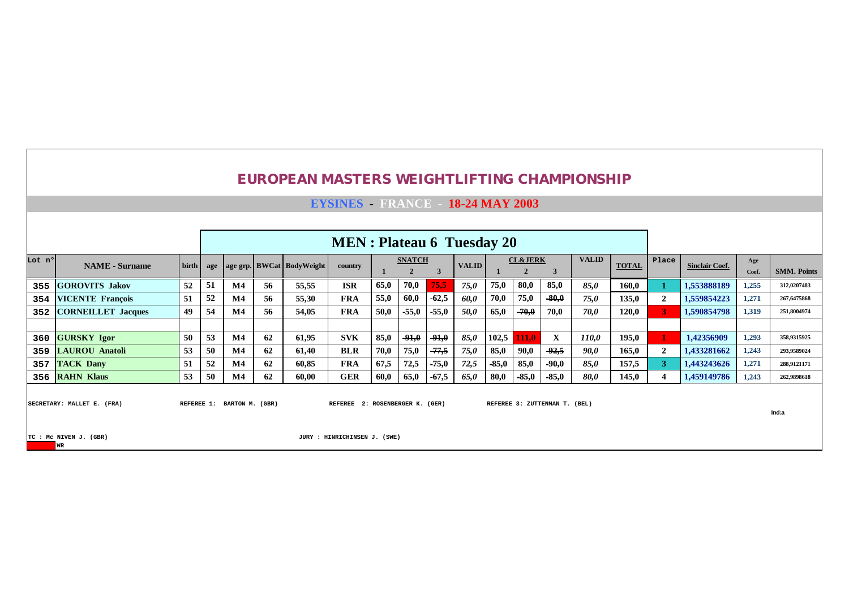|        |                                                                                                                                                                                         |                                                                                                                                                                                                                                                                                                 |    |                            |    |       | <b>EYSINES</b> FRANCE 18-24 MAY 2003 |      |         |         |      |         |         |                               |       |       |                |                       |              |                    |
|--------|-----------------------------------------------------------------------------------------------------------------------------------------------------------------------------------------|-------------------------------------------------------------------------------------------------------------------------------------------------------------------------------------------------------------------------------------------------------------------------------------------------|----|----------------------------|----|-------|--------------------------------------|------|---------|---------|------|---------|---------|-------------------------------|-------|-------|----------------|-----------------------|--------------|--------------------|
|        |                                                                                                                                                                                         |                                                                                                                                                                                                                                                                                                 |    |                            |    |       |                                      |      |         |         |      |         |         |                               |       |       |                |                       |              |                    |
|        |                                                                                                                                                                                         |                                                                                                                                                                                                                                                                                                 |    |                            |    |       | <b>MEN</b> : Plateau 6 Tuesday 20    |      |         |         |      |         |         |                               |       |       |                |                       |              |                    |
| Lot nº | <b>NAME</b> - Surname                                                                                                                                                                   | <b>VALID</b><br><b>CL&amp;JERK</b><br><b>SNATCH</b><br>birth  <br>age grp. BWCat BodyWeight<br><b>VALID</b><br><b>TOTAL</b><br>country<br>age<br>80,0<br>52<br>51<br>65,0<br>70,0<br>75,0<br>85,0<br>56<br>55,55<br><b>ISR</b><br>75.5<br>75,0<br>$\bf M4$<br>85,0<br>52<br>56<br>$\mathbf{M}4$ |    |                            |    |       |                                      |      |         |         |      |         |         |                               |       |       | Place          | <b>Sinclair Coef.</b> | Age<br>Coef. | <b>SMM. Points</b> |
| 355    | <b>GOROVITS Jakov</b>                                                                                                                                                                   | 160,0<br>$-80,0$<br>51<br>55,0<br>$-62,5$<br>70,0<br>75,0<br>55,30<br><b>FRA</b><br>60,0<br>60,0<br>75,0                                                                                                                                                                                        |    |                            |    |       |                                      |      |         |         |      |         |         |                               |       |       |                | 1,553888189           | 1,255        | 312,0207483        |
| 354    |                                                                                                                                                                                         |                                                                                                                                                                                                                                                                                                 |    |                            |    |       |                                      |      |         |         |      |         |         |                               |       | 135,0 | $\overline{2}$ | 1,559854223           | 1,271        | 267,6475868        |
| 352    | <b>VICENTE François</b><br>49<br>54<br><b>FRA</b><br>50,0<br><b>CORNEILLET Jacques</b><br>$\mathbf{M}4$<br>56<br>54,05<br>50,0<br>$-70,0$<br>70,0<br>70.0<br>$-55,0$<br>$-55,0$<br>65,0 |                                                                                                                                                                                                                                                                                                 |    |                            |    |       |                                      |      |         |         |      |         |         |                               |       | 120,0 | 3.             | 1,590854798           | 1,319        | 251,8004974        |
|        |                                                                                                                                                                                         |                                                                                                                                                                                                                                                                                                 |    |                            |    |       |                                      |      |         |         |      |         |         |                               |       |       |                |                       |              |                    |
| 360    | <b>GURSKY Igor</b>                                                                                                                                                                      | 50                                                                                                                                                                                                                                                                                              | 53 | $\mathbf{M}4$              | 62 | 61,95 | <b>SVK</b>                           | 85,0 | $-91,0$ | $-91,0$ | 85,0 | 102,5   | 111.0   | X                             | 110,0 | 195,0 |                | 1,42356909            | 1,293        | 358,9315925        |
| 359    | <b>LAUROU Anatoli</b>                                                                                                                                                                   | 53                                                                                                                                                                                                                                                                                              | 50 | $\bf M4$                   | 62 | 61,40 | <b>BLR</b>                           | 70,0 | 75,0    | $-77,5$ | 75,0 | 85,0    | 90,0    | $-92,5$                       | 90.0  | 165,0 | $\overline{2}$ | 1,433281662           | 1,243        | 293,9589024        |
| 357    | <b>TACK Dany</b>                                                                                                                                                                        | 51                                                                                                                                                                                                                                                                                              | 52 | $\mathbf{M}4$              | 62 | 60,85 | <b>FRA</b>                           | 67,5 | 72,5    | $-75,0$ | 72,5 | $-85,0$ | 85,0    | $-90,0$                       | 85,0  | 157,5 | 3              | 1,443243626           | 1,271        | 288,9121171        |
|        | 356 RAHN Klaus                                                                                                                                                                          | 53                                                                                                                                                                                                                                                                                              | 50 | $\bf M4$                   | 62 | 60,00 | <b>GER</b>                           | 60,0 | 65,0    | $-67,5$ | 65,0 | 80,0    | $-85,0$ | $-85,0$                       | 80,0  | 145,0 |                | 1,459149786           | 1,243        | 262,9898618        |
|        | SECRETARY: MALLET E. (FRA)                                                                                                                                                              |                                                                                                                                                                                                                                                                                                 |    | REFEREE 1: BARTON M. (GBR) |    |       | REFEREE 2: ROSENBERGER K. (GER)      |      |         |         |      |         |         | REFEREE 3: ZUTTENMAN T. (BEL) |       |       |                |                       |              | Ind:a              |
|        | TC : MC NIVEN J. (GBR)<br><b>WR</b>                                                                                                                                                     |                                                                                                                                                                                                                                                                                                 |    |                            |    |       | JURY : HINRICHINSEN J. (SWE)         |      |         |         |      |         |         |                               |       |       |                |                       |              |                    |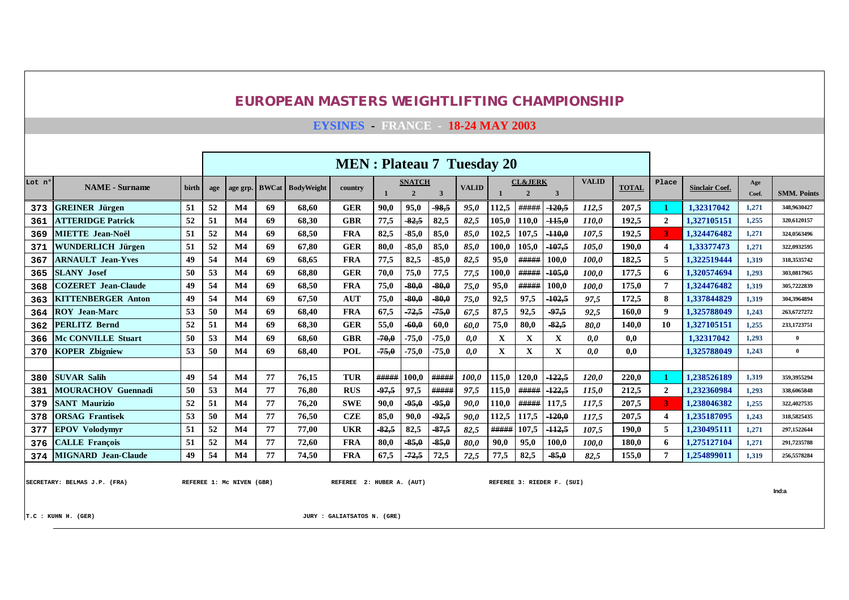**EYSINES - FRANCE - 18-24 MAY 2003**

|        |                            |       |     | <b>MEN</b> : Plateau 7 Tuesday 20 |              |                   |            |         |                                 |         |              |       |                                      |              |              |              |                       |                       |              |                    |
|--------|----------------------------|-------|-----|-----------------------------------|--------------|-------------------|------------|---------|---------------------------------|---------|--------------|-------|--------------------------------------|--------------|--------------|--------------|-----------------------|-----------------------|--------------|--------------------|
| Lot nº | <b>NAME</b> - Surname      | birth | age | age grp.                          | <b>BWCat</b> | <b>BodyWeight</b> | country    |         | <b>SNATCH</b><br>$\overline{2}$ | 3       | <b>VALID</b> |       | <b>CL&amp;JERK</b><br>$\overline{2}$ | $\mathbf{3}$ | <b>VALID</b> | <b>TOTAL</b> | Place                 | <b>Sinclair Coef.</b> | Age<br>Coef. | <b>SMM. Points</b> |
| 373    | <b>GREINER Jürgen</b>      | 51    | 52  | $\mathbf{M}4$                     | 69           | 68.60             | <b>GER</b> | 90,0    | 95,0                            | -98,5   | 95,0         | 112,5 | #####                                | $-120,5$     | 112.5        | 207,5        |                       | 1.32317042            | 1,271        | 348,9630427        |
| 361    | <b>ATTERIDGE Patrick</b>   | 52    | 51  | M <sub>4</sub>                    | 69           | 68.30             | <b>GBR</b> | 77,5    | 82,5                            | 82,5    | 82,5         | 105,0 | 110,0                                | $-115,0$     | 110.0        | 192,5        | $\mathbf{2}$          | 1.327105151           | 1,255        | 320,6120157        |
| 369    | <b>MIETTE Jean-Noël</b>    | 51    | 52  | M <sub>4</sub>                    | 69           | 68.50             | <b>FRA</b> | 82,5    | $-85.0$                         | 85,0    | 85,0         | 102,5 | 107,5                                | $+10,0$      | 107.5        | 192,5        |                       | 1.324476482           | 1,271        | 324,0563496        |
| 371    | WUNDERLICH Jürgen          | 51    | 52  | M <sub>4</sub>                    | 69           | 67.80             | <b>GER</b> | 80,0    | $-85,0$                         | 85,0    | 85,0         | 100,0 | 105,0                                | $-107,5$     | 105.0        | 190.0        | $\boldsymbol{\Delta}$ | 1.33377473            | 1,271        | 322,0932595        |
| 367    | <b>ARNAULT Jean-Yves</b>   | 49    | 54  | M <sub>4</sub>                    | 69           | 68.65             | <b>FRA</b> | 77,5    | 82,5                            | $-85,0$ | 82,5         | 95.0  | #####                                | 100.0        | 100.0        | 182.5        |                       | 1.322519444           | 1,319        | 318,3535742        |
| 365    | <b>SLANY Josef</b>         | 50    | 53  | M <sub>4</sub>                    | 69           | 68.80             | <b>GER</b> | 70.0    | 75,0                            | 77,5    | 77,5         | 100.0 | #####                                | $-105,0$     | 100.0        | 177,5        | 6                     | 1.320574694           | 1,293        | 303,0817965        |
| 368    | <b>COZERET</b> Jean-Claude | 49    | 54  | $\mathbf{M}4$                     | 69           | 68.50             | <b>FRA</b> | 75.0    | 80.0                            | -80.0   | 75,0         | 95,0  | #####                                | 100.0        | 100.0        | 175.0        |                       | 1.324476482           | 1,319        | 305,7222839        |
| 363    | <b>KITTENBERGER Anton</b>  | 49    | 54  | $\mathbf{M}4$                     | 69           | 67,50             | <b>AUT</b> | 75,0    | 80,0                            | 80,0    | 75,0         | 92,5  | 97.5                                 | $-102,5$     | 97,5         | 172.5        |                       | 1.337844829           | 1,319        | 304.3964894        |
| 364    | <b>ROY Jean-Marc</b>       | 53    | 50  | M <sub>4</sub>                    | 69           | 68.40             | <b>FRA</b> | 67.5    | $-72,5$                         | $-75,0$ | 67,5         | 87,5  | 92,5                                 | $-97.5$      | 92,5         | 160.0        | $\boldsymbol{Q}$      | 1.325788049           | 1,243        | 263,6727272        |
| 362    | <b>PERLITZ Bernd</b>       | 52    | 51  | $\mathbf{M}4$                     | 69           | 68.30             | <b>GER</b> | 55,0    | 60,0                            | 60,0    | 60,0         | 75,0  | 80.0                                 | $-82,5$      | 80.0         | 140.0        | 10                    | 1.327105151           | 1,255        | 233,1723751        |
| 366    | <b>Mc CONVILLE Stuart</b>  | 50    | 53  | $\mathbf{M}4$                     | 69           | 68.60             | <b>GBR</b> | 70,0    | $-75,0$                         | $-75.0$ | 0,0          | X     | X                                    | X            | 0,0          | 0.0          |                       | 1.32317042            | 1,293        | $\overline{0}$     |
| 370    | <b>KOPER Zbigniew</b>      | 53    | 50  | $\mathbf{M}4$                     | 69           | 68.40             | <b>POL</b> | $-75,0$ | $-75,0$                         | $-75,0$ | 0.0          | X     | X                                    | X            | 0.0          | 0.0          |                       | 1,325788049           | 1,243        | $\mathbf{0}$       |
|        |                            |       |     |                                   |              |                   |            |         |                                 |         |              |       |                                      |              |              |              |                       |                       |              |                    |
| 380    | <b>SUVAR Salih</b>         | 49    | 54  | $\mathbf{M}4$                     | 77           | 76.15             | <b>TUR</b> | #####   | 100.0                           | #####   | 100.0        | 115,0 | 120.0                                | $-122.5$     | 120.0        | 220.0        |                       | 1.238526189           | 1.319        | 359,3955294        |
| 381    | <b>MOURACHOV Guennadi</b>  | 50    | 53  | $\mathbf{M}4$                     | 77           | 76.80             | <b>RUS</b> | 97,5    | 97,5                            | #####   | 97,5         | 115,0 | #####                                | 122,5        | 115.0        | 212.5        | $\mathbf{2}$          | 1.232360984           | 1,293        | 338,6065848        |
| 379    | <b>SANT Maurizio</b>       | 52    | 51  | M <sub>4</sub>                    | 77           | 76.20             | <b>SWE</b> | 90,0    | 95,0                            | 95,0    | 90,0         | 110,0 | #####                                | 117,5        | 117.5        | 207,5        |                       | 1.238046382           | 1,255        | 322,4027535        |
| 378    | <b>ORSAG Frantisek</b>     | 53    | 50  | $\mathbf{M}4$                     | 77           | 76.50             | <b>CZE</b> | 85,0    | 90,0                            | 92,5    | 90,0         | 112,5 | 117,5                                | $-120,0$     | 117.5        | 207,5        | $\boldsymbol{4}$      | 1.235187095           | 1,243        | 318,5825435        |
| 377    | <b>EPOV Volodymyr</b>      | 51    | 52  | M <sub>4</sub>                    | 77           | 77.00             | <b>UKR</b> | 82,5    | 82,5                            | 87,5    | 82,5         | ##### | 107,5                                | $-112,5$     | 107.5        | 190,0        | 5                     | 1.230495111           | 1,271        | 297.1522644        |
| 376    | <b>CALLE Francois</b>      | 51    | 52  | M <sub>4</sub>                    | 77           | 72,60             | <b>FRA</b> | 80,0    | $-85,0$                         | $-85,0$ | 80,0         | 90,0  | 95,0                                 | 100,0        | 100.0        | 180.0        | 6                     | 1,275127104           | 1,271        | 291,7235788        |
| 374    | <b>MIGNARD</b> Jean-Claude | 49    | 54  | M <sub>4</sub>                    | 77           | 74,50             | <b>FRA</b> | 67,5    | $-72,5$                         | 72,5    | 72,5         | 77,5  | 82,5                                 | 85,0         | 82.5         | 155,0        |                       | 1,254899011           | 1,319        | 256,5578284        |

SECRETARY: BELMAS J.P. (FRA) **REFEREE 1: MC NIVEN (GBR)** REFEREE 2: HUBER A. (AUT) REFEREE 3: RIEDER F. (SUI)

**Ind:a**

**T.C : KUHN H. (GER) JURY : GALIATSATOS N. (GRE)**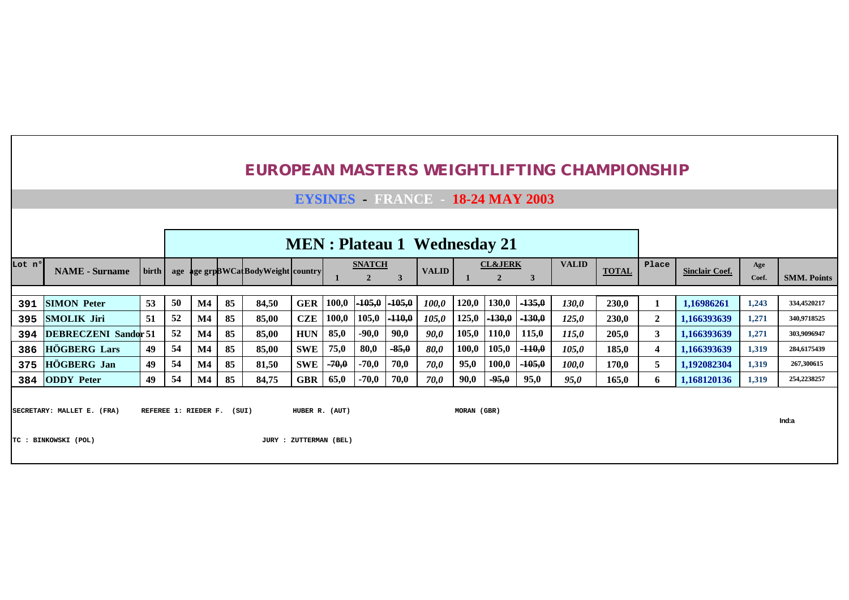|        |                                                                                                                                                                                                                                                       |                                                                                                                                                                                                                |    |                      |       | <b>EUROPEAN MASTERS WEIGHTLIFTING CHAMPIONSHIP</b> |                                     |         |         |          |                                        |             |          |          |              |       |                         |             |       |                    |
|--------|-------------------------------------------------------------------------------------------------------------------------------------------------------------------------------------------------------------------------------------------------------|----------------------------------------------------------------------------------------------------------------------------------------------------------------------------------------------------------------|----|----------------------|-------|----------------------------------------------------|-------------------------------------|---------|---------|----------|----------------------------------------|-------------|----------|----------|--------------|-------|-------------------------|-------------|-------|--------------------|
|        |                                                                                                                                                                                                                                                       |                                                                                                                                                                                                                |    |                      |       |                                                    |                                     |         |         |          | <b>EYSINES - FRANCE 18-24 MAY 2003</b> |             |          |          |              |       |                         |             |       |                    |
|        |                                                                                                                                                                                                                                                       |                                                                                                                                                                                                                |    |                      |       |                                                    |                                     |         |         |          |                                        |             |          |          |              |       |                         |             |       |                    |
|        | <b>MEN</b> : Plateau 1 Wednesday 21<br><b>VALID</b><br><b>CL&amp;JERK</b><br><b>SNATCH</b><br>Place<br>Age<br><b>NAME</b> - Surname<br><b>birth</b><br><b>VALID</b><br><b>TOTAL</b><br><b>Sinclair Coef.</b><br>age grpBWCatBodyWeight country<br>age |                                                                                                                                                                                                                |    |                      |       |                                                    |                                     |         |         |          |                                        |             |          |          |              |       |                         |             |       |                    |
| Lot n° |                                                                                                                                                                                                                                                       | $\overline{3}$<br>$\overline{2}$<br>$\overline{2}$<br>3<br>85<br>100,0<br>$-105,0$<br>120,0<br>130,0<br>$-135,0$<br>53<br>50<br><b>GER</b><br>$-105,0$<br>84,50<br>100,0<br>M4<br><b>130,0</b><br><b>230,0</b> |    |                      |       |                                                    |                                     |         |         |          |                                        |             |          |          |              |       |                         |             | Coef. | <b>SMM. Points</b> |
|        |                                                                                                                                                                                                                                                       |                                                                                                                                                                                                                |    |                      |       |                                                    |                                     |         |         |          |                                        |             |          |          |              |       |                         |             |       |                    |
| 391    | <b>SIMON Peter</b>                                                                                                                                                                                                                                    |                                                                                                                                                                                                                |    |                      |       |                                                    |                                     |         |         |          |                                        |             |          |          |              |       | 1                       | 1,16986261  | 1,243 | 334,4520217        |
| 395    | <b>SMOLIK Jiri</b>                                                                                                                                                                                                                                    | 51                                                                                                                                                                                                             | 52 | $\mathbf{M}4$        | 85    | 85,00                                              | <b>CZE</b>                          | 100,0   | 105,0   | $-110,0$ | 105,0                                  | 125,0       | $-130,0$ | $-130,0$ | 125,0        | 230,0 | $\boldsymbol{2}$        | 1,166393639 | 1,271 | 340.9718525        |
| 394    | <b>DEBRECZENI Sandor 51</b>                                                                                                                                                                                                                           |                                                                                                                                                                                                                | 52 | $\mathbf{M}4$        | 85    | 85,00                                              | <b>HUN</b>                          | 85,0    | $-90.0$ | 90,0     | 90,0                                   | 105,0       | 110,0    | 115,0    | <i>115,0</i> | 205,0 | 3                       | 1,166393639 | 1,271 | 303,9096947        |
| 386    | <b>HÖGBERG</b> Lars                                                                                                                                                                                                                                   | 49                                                                                                                                                                                                             | 54 | $\bf M4$             | 85    | 85,00                                              | <b>SWE</b>                          | 75,0    | 80,0    | $-85,0$  | 80,0                                   | 100,0       | 105,0    | $-110,0$ | 105,0        | 185.0 | $\overline{\mathbf{4}}$ | 1,166393639 | 1,319 | 284.6175439        |
| 375    | HÖGBERG Jan                                                                                                                                                                                                                                           | 49                                                                                                                                                                                                             | 54 | $\mathbf{M}4$        | 85    | 81,50                                              | <b>SWE</b>                          | $-70,0$ | $-70,0$ | 70.0     | 70,0                                   | 95,0        | 100,0    | $-105,0$ | <i>100,0</i> | 170,0 | 5                       | 1,192082304 | 1,319 | 267,300615         |
| 384    | <b>ODDY</b> Peter                                                                                                                                                                                                                                     | 49                                                                                                                                                                                                             | 54 | $\mathbf{M}4$        | 85    | 84,75                                              | <b>GBR</b>                          | 65,0    | $-70,0$ | 70,0     | 70,0                                   | 90,0        | $-95,0$  | 95,0     | 95,0         | 165,0 | 6                       | 1,168120136 | 1,319 | 254,2238257        |
|        | SECRETARY: MALLET E. (FRA)<br>TC: BINKOWSKI (POL)                                                                                                                                                                                                     |                                                                                                                                                                                                                |    | REFEREE 1: RIEDER F. | (SUI) | JURY                                               | HUBER R. (AUT)<br>: ZUTTERMAN (BEL) |         |         |          |                                        | MORAN (GBR) |          |          |              |       |                         |             |       | Ind:a              |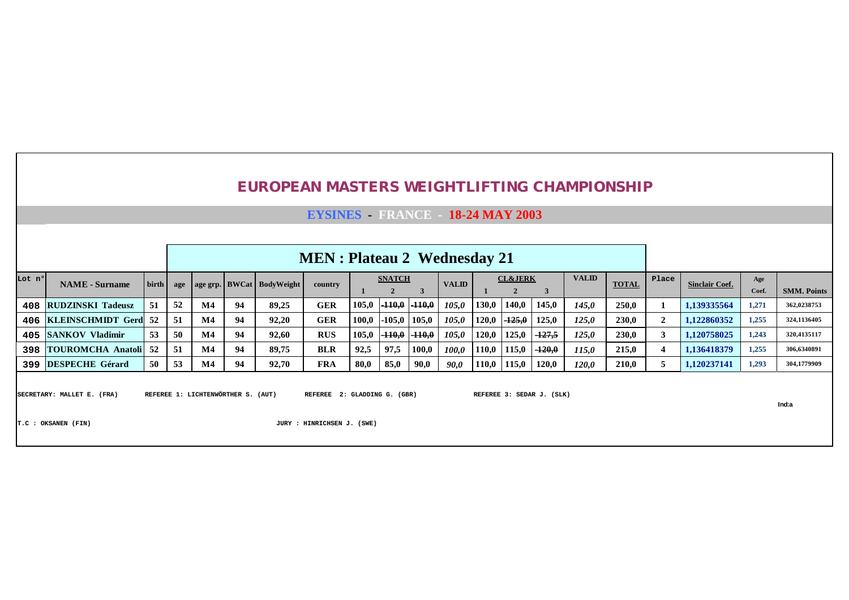|        |                             | <b>EYSINES</b> FRANCE -<br>18-24 MAY 2003                                                                                                                                               |     |               |    |       |            |       |                |          |              |       |          |          |       |              |                |                       |              |                    |
|--------|-----------------------------|-----------------------------------------------------------------------------------------------------------------------------------------------------------------------------------------|-----|---------------|----|-------|------------|-------|----------------|----------|--------------|-------|----------|----------|-------|--------------|----------------|-----------------------|--------------|--------------------|
|        |                             |                                                                                                                                                                                         |     |               |    |       |            |       |                |          |              |       |          |          |       |              |                |                       |              |                    |
|        |                             |                                                                                                                                                                                         |     |               |    |       |            |       |                |          |              |       |          |          |       |              |                |                       |              |                    |
| Lot nº | <b>NAME</b> - Surname       | <b>MEN</b> : Plateau 2 Wednesday 21<br><b>VALID</b><br><b>CL&amp;JERK</b><br><b>SNATCH</b><br>birth  <br><b>VALID</b><br>age   age grp.   BWCat   BodyWeight<br>country<br>$\mathbf{2}$ |     |               |    |       |            |       |                |          |              |       |          |          |       |              | Place          | <b>Sinclair Coef.</b> | Age<br>Coef. | <b>SMM. Points</b> |
| 408    | <b>RUDZINSKI Tadeusz</b>    | 51                                                                                                                                                                                      | 52  | $\mathbf{M}4$ | 94 | 89,25 | <b>GER</b> | 105,0 | $-110,0$       | $-110,0$ | 105,0        | 130,0 | 140,0    | 145,0    | 145,0 | 250,0        |                | 1,139335564           | 1,271        | 362,0238753        |
|        | 406 KLEINSCHMIDT Gerd 52    |                                                                                                                                                                                         | 51  | $\mathbf{M}4$ | 94 | 92,20 | <b>GER</b> | 100,0 | $-105,0$ 105,0 |          | 105.0        | 120,0 | $-125,0$ | 125,0    | 125,0 | 230,0        | $\overline{2}$ | 1.122860352           | 1,255        | 324,1136405        |
|        | 405 SANKOV Vladimir         | 53                                                                                                                                                                                      | 50  | $\mathbf{M}4$ | 94 | 92,60 | <b>RUS</b> | 105,0 | $-110,0$       | $-110,0$ | 105,0        | 120,0 | 125,0    | $-127.5$ | 125,0 | <b>230,0</b> | 3              | 1.120758025           | 1,243        | 320,4135117        |
| 398    | <b>TOUROMCHA Anatoli</b> 52 |                                                                                                                                                                                         | -51 | $\mathbf{M}4$ | 94 | 89.75 | <b>BLR</b> | 92.5  | 97,5           | 100,0    | <i>100.0</i> | 110,0 | 115,0    | $-120,0$ | 115,0 | 215,0        | $\overline{4}$ | 1.136418379           | 1,255        | 306,6340891        |
| 399    | <b>DESPECHE Gérard</b>      | 50                                                                                                                                                                                      | 53  | M4            | 94 | 92,70 | <b>FRA</b> | 80,0  | 85,0           | 90,0     | 90,0         | 110,0 | 115,0    | 120,0    | 120,0 | 210,0        | 5              | 1,120237141           | 1,293        | 304,1779909        |
|        |                             |                                                                                                                                                                                         |     |               |    |       |            |       |                |          |              |       |          |          |       |              |                |                       |              |                    |

SECRETARY: MALLET E. (FRA) REFEREE 1: LICHTENWÖRTHER S. (AUT) REFEREE 2: GLADDING G. (GBR) REFEREE 3: SEDAR J. (SLK)

**Ind:a**

**T.C : OKSANEN (FIN) JURY : HINRICHSEN J. (SWE)**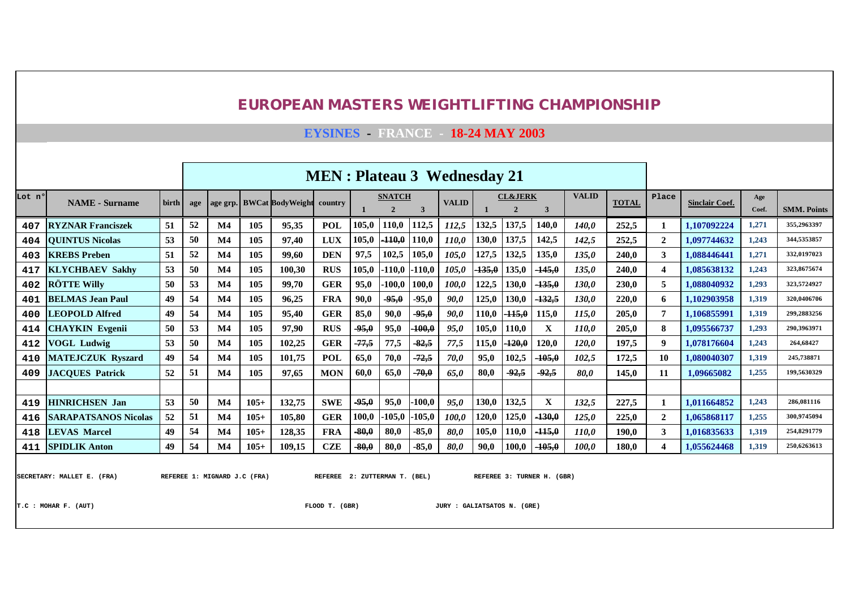|        |                             |              |     |                |        |                                 | <b>MEN</b> : Plateau 3 Wednesday 21 |         |                               |          |              |          |                    |          |              |              |                |                       |              |                    |
|--------|-----------------------------|--------------|-----|----------------|--------|---------------------------------|-------------------------------------|---------|-------------------------------|----------|--------------|----------|--------------------|----------|--------------|--------------|----------------|-----------------------|--------------|--------------------|
| Lot nº | <b>NAME</b> - Surname       | <b>birth</b> | age | age grp.       |        | <b>BWCat BodyWeight country</b> |                                     |         | <b>SNATCH</b><br>$\mathbf{2}$ | 3        | <b>VALID</b> |          | <b>CL&amp;JERK</b> | 3        | <b>VALID</b> | <b>TOTAL</b> | Place          | <b>Sinclair Coef.</b> | Age<br>Coef. | <b>SMM. Points</b> |
| 407    | <b>RYZNAR Franciszek</b>    | 51           | 52  | $\mathbf{M}4$  | 105    | 95,35                           | <b>POL</b>                          | 105,0   | 110,0                         | 112,5    | 112,5        | 132,5    | 137,5              | 140,0    | <b>140,0</b> | 252,5        |                | 1,107092224           | 1,271        | 355,2963397        |
| 404    | <b>QUINTUS Nicolas</b>      | 53           | 50  | M <sub>4</sub> | 105    | 97,40                           | <b>LUX</b>                          | 105,0   | $-110,0$                      | 110,0    | 110,0        | 130,0    | 137,5              | 142,5    | 142,5        | 252,5        | $\overline{2}$ | 1,097744632           | 1,243        | 344,5353857        |
| 403    | <b>KREBS</b> Preben         | 51           | 52  | M <sub>4</sub> | 105    | 99,60                           | <b>DEN</b>                          | 97,5    | 102,5                         | 105,0    | 105,0        | 127,5    | 132,5              | 135,0    | 135,0        | 240,0        | 3              | 1,088446441           | 1,271        | 332,0197023        |
| 417    | <b>KLYCHBAEV Sakhy</b>      | 53           | 50  | M <sub>4</sub> | 105    | 100,30                          | <b>RUS</b>                          | 105,0   | $-110,0$                      | $-110,0$ | 105,0        | $-135,0$ | 135,0              | $-145,0$ | 135,0        | 240,0        | 4              | 1,085638132           | 1,243        | 323,8675674        |
| 402    | <b>RÖTTE Willy</b>          | 50           | 53  | M <sub>4</sub> | 105    | 99,70                           | <b>GER</b>                          | 95,0    | $-100,0$                      | 100,0    | 100,0        | 122,5    | 130,0              | $-135,0$ | 130,0        | 230,0        | 5              | 1.088040932           | 1,293        | 323,5724927        |
| 401    | <b>BELMAS Jean Paul</b>     | 49           | 54  | M <sub>4</sub> | 105    | 96,25                           | <b>FRA</b>                          | 90,0    | $-95,0$                       | $-95,0$  | 90.0         | 125,0    | 130,0              | $-132,5$ | 130,0        | 220,0        | 6              | 1.102903958           | 1,319        | 320,0406706        |
| 400    | <b>LEOPOLD Alfred</b>       | 49           | 54  | M <sub>4</sub> | 105    | 95,40                           | <b>GER</b>                          | 85,0    | 90,0                          | $-95,0$  | 90,0         | 110,0    | $-115,0$           | 115,0    | 115,0        | 205,0        | 7              | 1.106855991           | 1,319        | 299.2883256        |
| 414    | <b>CHAYKIN</b> Evgenii      | 50           | 53  | M <sub>4</sub> | 105    | 97,90                           | <b>RUS</b>                          | $-95,0$ | 95,0                          | $-100,0$ | 95,0         | 105,0    | 110,0              | X        | 110,0        | 205,0        | 8              | 1,095566737           | 1,293        | 290,3963971        |
| 412    | <b>VOGL Ludwig</b>          | 53           | 50  | M <sub>4</sub> | 105    | 102,25                          | <b>GER</b>                          | $-77,5$ | 77,5                          | $-82,5$  | 77,5         | 115,0    | $-120,0$           | 120,0    | 120,0        | 197,5        | 9              | 1,078176604           | 1,243        | 264,68427          |
| 410    | <b>MATEJCZUK Ryszard</b>    | 49           | 54  | M <sub>4</sub> | 105    | 101,75                          | <b>POL</b>                          | 65,0    | 70,0                          | $-72,5$  | 70,0         | 95,0     | 102,5              | $-105,0$ | 102,5        | 172,5        | 10             | 1.080040307           | 1,319        | 245,738871         |
| 409    | <b>JACOUES Patrick</b>      | 52           | 51  | $\mathbf{M}4$  | 105    | 97,65                           | <b>MON</b>                          | 60,0    | 65,0                          | $-70,0$  | 65,0         | 80,0     | $-92,5$            | $-92,5$  | 80,0         | 145,0        | 11             | 1,09665082            | 1,255        | 199,5630329        |
|        |                             |              |     |                |        |                                 |                                     |         |                               |          |              |          |                    |          |              |              |                |                       |              |                    |
| 419    | <b>HINRICHSEN Jan</b>       | 53           | 50  | $\mathbf{M}4$  | $105+$ | 132,75                          | <b>SWE</b>                          | $-95,0$ | 95,0                          | $-100,0$ | 95,0         | 130,0    | 132,5              | X        | 132,5        | 227,5        |                | 1,011664852           | 1,243        | 286,081116         |
| 416    | <b>SARAPATSANOS Nicolas</b> | 52           | 51  | M <sub>4</sub> | $105+$ | 105,80                          | <b>GER</b>                          | 100,0   | $-105.0$                      | $-105,0$ | 100,0        | 120,0    | 125,0              | $-130,0$ | 125,0        | 225,0        | $\overline{2}$ | 1,065868117           | 1,255        | 300,9745094        |
| 418    | <b>LEVAS Marcel</b>         | 49           | 54  | $\mathbf{M}4$  | $105+$ | 128,35                          | <b>FRA</b>                          | $-80,0$ | 80,0                          | $-85,0$  | 80,0         | 105,0    | 110,0              | -115,0   | 110,0        | 190,0        | 3              | 1,016835633           | 1,319        | 254,8291779        |
| 411    | <b>SPIDLIK Anton</b>        | 49           | 54  | $\mathbf{M}4$  | $105+$ | 109,15                          | <b>CZE</b>                          | $-80,0$ | 80,0                          | $-85,0$  | 80,0         | 90,0     | 100,0              | -105,0   | 100,0        | 180,0        |                | 1,055624468           | 1,319        | 250,6263613        |

**EYSINES - FRANCE - 18-24 MAY 2003**

SECRETARY: MALLET E. (FRA) REFEREE 1: MIGNARD J.C (FRA) REFEREE 2: ZUTTERMAN T. (BEL) REFEREE 3: TURNER H. (GBR)

**T.C : MOHAR F. (AUT) FLOOD T. (GBR) JURY : GALIATSATOS N. (GRE)**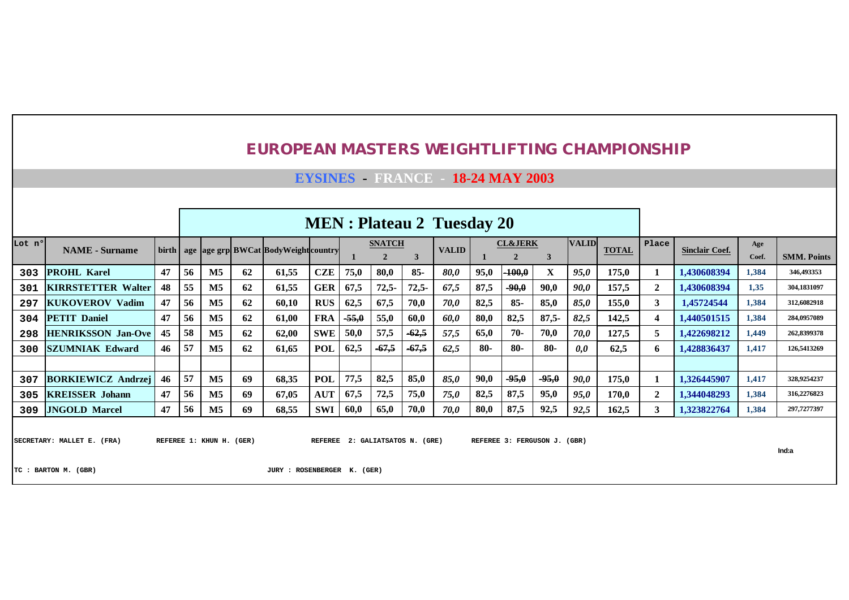**EYSINES - FRANCE - 18-24 MAY 2003**

|        |                           |    |     |                |    |                                                      |            |         |                               |         | <b>MEN</b> : Plateau 2 Tuesday 20 |       |                    |         |              |              |              |                       |              |                    |
|--------|---------------------------|----|-----|----------------|----|------------------------------------------------------|------------|---------|-------------------------------|---------|-----------------------------------|-------|--------------------|---------|--------------|--------------|--------------|-----------------------|--------------|--------------------|
| Lot nº | <b>NAME</b> - Surname     |    |     |                |    | birth   age   age grp  BWCat   Body Weight   country |            |         | <b>SNATCH</b><br>$\mathbf{2}$ |         | <b>VALID</b>                      |       | <b>CL&amp;JERK</b> |         | <b>VALID</b> | <b>TOTAL</b> | Place        | <b>Sinclair Coef.</b> | Age<br>Coef. | <b>SMM. Points</b> |
| 303    | <b>PROHL Karel</b>        | 47 | 56  | M <sub>5</sub> | 62 | 61,55                                                | <b>CZE</b> | 75,0    | 80,0                          | $85 -$  | <b>80.0</b>                       | 95,0  | $-100,0$           | X       | 95,0         | 175,0        |              | 1.430608394           | 1,384        | 346,493353         |
| 301    | <b>KIRRSTETTER Walter</b> | 48 | 55  | M <sub>5</sub> | 62 | 61,55                                                | <b>GER</b> | 67,5    | $72,5-$                       | 72,5    | 67,5                              | 87,5  | $-90,0$            | 90,0    | 90,0         | 157,5        | $\mathbf{2}$ | 1.430608394           | 1,35         | 304,1831097        |
| 297    | <b>KUKOVEROV Vadim</b>    | 47 | 56  | M <sub>5</sub> | 62 | 60,10                                                | <b>RUS</b> | 62,5    | 67,5                          | 70,0    | <i>70,0</i>                       | 82,5  | $85 -$             | 85,0    | 85,0         | 155,0        | 3            | 1.45724544            | 1,384        | 312,6082918        |
| 304    | <b>PETIT Daniel</b>       | 47 | 56  | M <sub>5</sub> | 62 | 61,00                                                | <b>FRA</b> | $-55,0$ | 55,0                          | 60,0    | 60,0                              | 80,0  | 82,5               | $87,5-$ | 82,5         | 142,5        | 4            | 1,440501515           | 1,384        | 284,0957089        |
| 298    | <b>HENRIKSSON Jan-Ove</b> | 45 | -58 | $\mathbf{M5}$  | 62 | 62,00                                                | <b>SWE</b> | 50,0    | 57,5                          | $-62,5$ | 57,5                              | 65,0  | $70-$              | 70,0    | 70,0         | 127,5        | 5            | 1,422698212           | 1,449        | 262,8399378        |
| 300    | <b>SZUMNIAK Edward</b>    | 46 | 57  | M <sub>5</sub> | 62 | 61,65                                                | <b>POL</b> | 62,5    | $-67,5$                       | $-67,5$ | 62,5                              | $80-$ | $80-$              | $80-$   | 0,0          | 62,5         | 6            | 1,428836437           | 1,417        | 126,5413269        |
|        |                           |    |     |                |    |                                                      |            |         |                               |         |                                   |       |                    |         |              |              |              |                       |              |                    |
| 307    | <b>BORKIEWICZ Andrzej</b> | 46 | 57  | M <sub>5</sub> | 69 | 68,35                                                | <b>POL</b> | 77,5    | 82,5                          | 85,0    | 85,0                              | 90,0  | $-95,0$            | $-95,0$ | 90,0         | 175,0        |              | 1,326445907           | 1,417        | 328,9254237        |
| 305    | <b>KREISSER</b> Johann    | 47 | 56  | $\mathbf{M5}$  | 69 | 67,05                                                | <b>AUT</b> | 67,5    | 72,5                          | 75,0    | 75,0                              | 82,5  | 87,5               | 95,0    | 95,0         | 170.0        | $\mathbf{2}$ | 1,344048293           | 1,384        | 316,2276823        |
| 309    | <b>JNGOLD Marcel</b>      | 47 | 56  | M <sub>5</sub> | 69 | 68,55                                                | SWI        | 60,0    | 65,0                          | 70,0    | 70,0                              | 80,0  | 87,5               | 92,5    | 92,5         | 162,5        | 3            | 1,323822764           | 1,384        | 297,7277397        |
|        |                           |    |     |                |    |                                                      |            |         |                               |         |                                   |       |                    |         |              |              |              |                       |              |                    |

SECRETARY: MALLET E. (FRA) REFEREE 1: KHUN H. (GER) REFEREE 2: GALIATSATOS N. (GRE) REFEREE 3: FERGUSON J. (GBR)

**Ind:a**

**TC : BARTON M. (GBR) JURY : ROSENBERGER K. (GER)**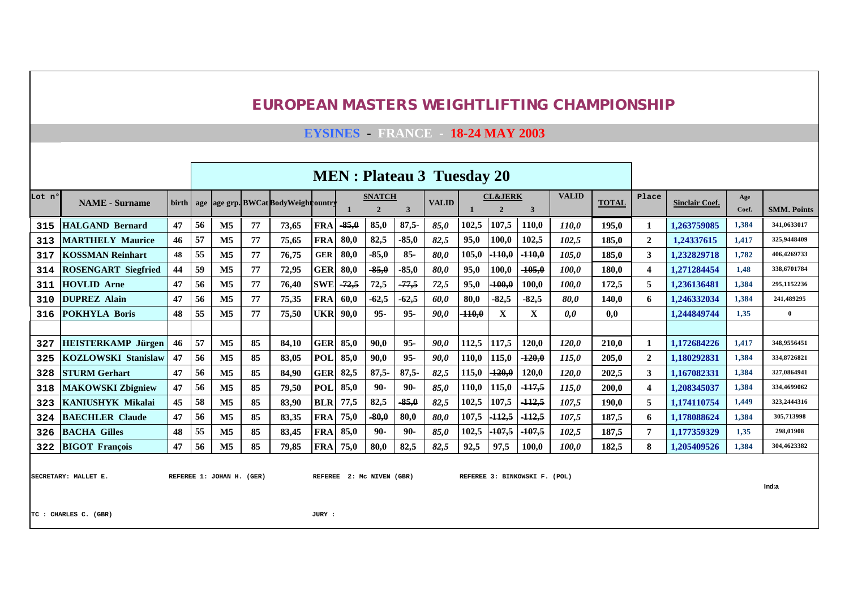|        |                            |    |    |                |    |                                                  |            |         |                                 |         | <b>MEN</b> : Plateau 3 Tuesday 20 |          |                                    |                   |              |              |                  |                       |              |                    |
|--------|----------------------------|----|----|----------------|----|--------------------------------------------------|------------|---------|---------------------------------|---------|-----------------------------------|----------|------------------------------------|-------------------|--------------|--------------|------------------|-----------------------|--------------|--------------------|
| Lot nº | <b>NAME</b> - Surname      |    |    |                |    | birth   age   age grp. BWCat Body Weight country |            |         | <b>SNATCH</b><br>$\overline{2}$ | 3       | <b>VALID</b>                      |          | <b>CL&amp;JERK</b><br>$\mathbf{2}$ | 3                 | <b>VALID</b> | <b>TOTAL</b> | Place            | <b>Sinclair Coef.</b> | Age<br>Coef. | <b>SMM. Points</b> |
| 315    | <b>HALGAND Bernard</b>     | 47 | 56 | $\mathbf{M5}$  | 77 | 73.65                                            | <b>FRA</b> | $-85,0$ | 85,0                            | $87,5-$ | 85,0                              | 102,5    | 107,5                              | 110.0             | 110.0        | 195.0        | -1               | 1.263759085           | 1,384        | 341,0633017        |
| 313    | <b>MARTHELY Maurice</b>    | 46 | 57 | <b>M5</b>      | 77 | 75.65                                            | <b>FRA</b> | 80,0    | 82,5                            | $-85,0$ | 82,5                              | 95,0     | 100,0                              | 102,5             | 102.5        | 185.0        | $\mathbf{2}$     | 1.24337615            | 1.417        | 325,9448409        |
| 317    | <b>KOSSMAN Reinhart</b>    | 48 | 55 | $\mathbf{M5}$  | 77 | 76,75                                            | <b>GER</b> | 80.0    | $-85.0$                         | $85 -$  | 80,0                              | 105,0    | $-110,0$                           | $-110,0$          | 105.0        | 185.0        | 3                | 1.232829718           | 1,782        | 406.4269733        |
| 314    | <b>ROSENGART Siegfried</b> | 44 | 59 | M <sub>5</sub> | 77 | 72,95                                            | <b>GER</b> | 80,0    | $-85,0$                         | $-85,0$ | 80,0                              | 95,0     | 100,0                              | $-105,0$          | 100.0        | 180.0        | $\boldsymbol{4}$ | 1.271284454           | 1.48         | 338,6701784        |
| 311    | <b>HOVLID Arne</b>         | 47 | 56 | M <sub>5</sub> | 77 | 76,40                                            | <b>SWE</b> | $-72,5$ | 72,5                            | $-77,5$ | 72,5                              | 95,0     | $-100,0$                           | 100,0             | 100.0        | 172.5        | 5                | 1.236136481           | 1,384        | 295,1152236        |
| 310    | <b>DUPREZ Alain</b>        | 47 | 56 | M <sub>5</sub> | 77 | 75,35                                            | <b>FRA</b> | 60,0    | $-62,5$                         | $-62,5$ | 60.0                              | 80,0     | $-82,5$                            | $-82,5$           | 80.0         | 140.0        | 6                | 1.246332034           | 1.384        | 241.489295         |
| 316    | <b>POKHYLA Boris</b>       | 48 | 55 | <b>M5</b>      | 77 | 75,50                                            | <b>UKR</b> | 90.0    | $95 -$                          | $95 -$  | <b>90.0</b>                       | $-110.0$ | X                                  | X                 | 0.0          | 0.0          |                  | 1.244849744           | 1.35         | $\overline{0}$     |
|        |                            |    |    |                |    |                                                  |            |         |                                 |         |                                   |          |                                    |                   |              |              |                  |                       |              |                    |
| 327    | <b>HEISTERKAMP Jürgen</b>  | 46 | 57 | $\mathbf{M5}$  | 85 | 84,10                                            | <b>GER</b> | 85,0    | 90.0                            | $95 -$  | 90,0                              | 112,5    | 117,5                              | 120,0             | 120.0        | 210.0        | 1                | 1,172684226           | 1,417        | 348.9556451        |
| 325    | <b>KOZLOWSKI Stanislaw</b> | 47 | 56 | M <sub>5</sub> | 85 | 83,05                                            | <b>POL</b> | 85,0    | 90,0                            | $95 -$  | 90,0                              | 110,0    | 115,0                              | $-120,0$          | 115,0        | 205,0        | 2                | 1.180292831           | 1,384        | 334,8726821        |
| 328    | <b>STURM Gerhart</b>       | 47 | 56 | M <sub>5</sub> | 85 | 84.90                                            | <b>GER</b> | 82,5    | $87.5 -$                        | $87,5-$ | 82,5                              | 115,0    | $-120,0$                           | 120.0             | 120.0        | 202.5        | 3                | 1.167082331           | 1,384        | 327.0864941        |
| 318    | <b>MAKOWSKI Zbigniew</b>   | 47 | 56 | M <sub>5</sub> | 85 | 79.50                                            | <b>POL</b> | 85,0    | $90-$                           | $90-$   | 85.0                              | 110,0    | 115,0                              | $-117,5$          | 115.0        | 200.0        | $\boldsymbol{4}$ | 1.208345037           | 1,384        | 334,4699062        |
| 323    | <b>KANIUSHYK Mikalai</b>   | 45 | 58 | M <sub>5</sub> | 85 | 83,90                                            | <b>BLR</b> | 77,5    | 82,5                            | $-85,0$ | 82,5                              | 102,5    | 107,5                              | $-112,5$          | 107,5        | 190.0        | 5                | 1.174110754           | 1,449        | 323.2444316        |
| 324    | <b>BAECHLER Claude</b>     | 47 | 56 | M <sub>5</sub> | 85 | 83,35                                            | <b>FRA</b> | 75,0    | $-80,0$                         | 80,0    | <b>80.0</b>                       | 107,5    | $-112,5$                           | <sup>-112,5</sup> | 107.5        | 187.5        | 6                | 1.178088624           | 1,384        | 305,713998         |
| 326    | <b>BACHA Gilles</b>        | 48 | 55 | M <sub>5</sub> | 85 | 83,45                                            | <b>FRA</b> | 85,0    | $90-$                           | $90-$   | 85,0                              | 102,5    | $-107,5$                           | $-107,5$          | 102.5        | 187,5        | 7                | 1.177359329           | 1,35         | 298,01908          |
| 322    | <b>BIGOT François</b>      | 47 | 56 | M <sub>5</sub> | 85 | 79,85                                            | <b>FRA</b> | 75,0    | 80,0                            | 82,5    | 82,5                              | 92,5     | 97,5                               | 100,0             | 100,0        | 182,5        | 8                | 1,205409526           | 1,384        | 304.4623382        |
|        |                            |    |    |                |    |                                                  |            |         |                                 |         |                                   |          |                                    |                   |              |              |                  |                       |              |                    |

**EYSINES - FRANCE - 18-24 MAY 2003**

SECRETARY: MALLET E. REFEREE 1: JOHAN H. (GER) REFEREE 2: MC NIVEN (GBR) REFEREE 3: BINKOWSKI F. (POL)

**Ind:a**

**TC : CHARLES C. (GBR) JURY :**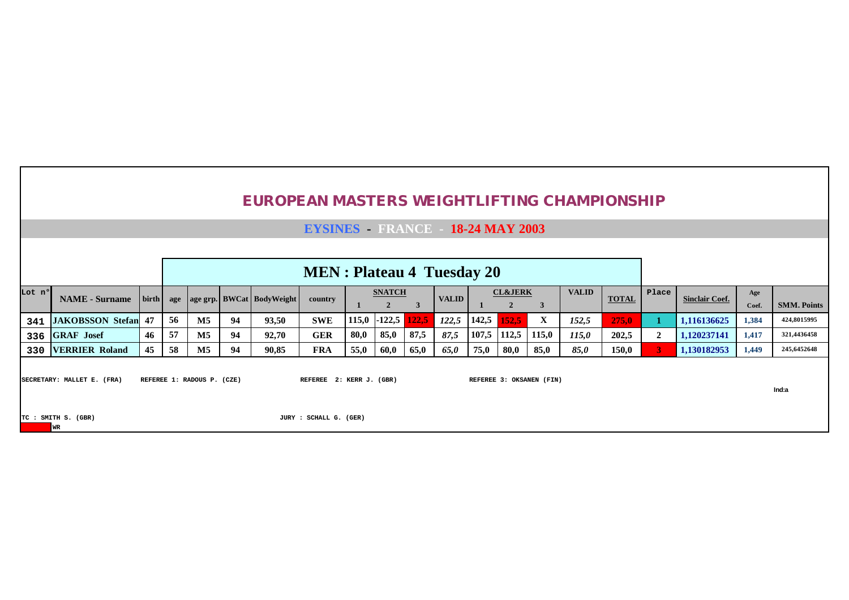|        |                                                                                                                                                                                                                                                                                                                          |    |    |               |    |       | <b>MEN</b> : Plateau 4 Tuesday 20 |      |      |      |      |       |       |              |       |                       |              |                    |       |             |
|--------|--------------------------------------------------------------------------------------------------------------------------------------------------------------------------------------------------------------------------------------------------------------------------------------------------------------------------|----|----|---------------|----|-------|-----------------------------------|------|------|------|------|-------|-------|--------------|-------|-----------------------|--------------|--------------------|-------|-------------|
| Lot nº | <b>VALID</b><br><b>CL&amp;JERK</b><br><b>SNATCH</b><br>  birth   age   age grp.   BWCat   BodyWeight  <br><b>VALID</b><br><b>NAME</b> - Surname<br>country<br>3<br>$-122,5$<br>X<br>56<br>$\mathbf{M5}$<br><b>SWE</b><br>122,5<br>142,5<br>152,5<br>93,50<br>122,5<br><b>JAKOBSSON Stefan 47</b><br>115,0<br>152,5<br>94 |    |    |               |    |       |                                   |      |      |      |      |       |       | <b>TOTAL</b> | Place | <b>Sinclair Coef.</b> | Age<br>Coef. | <b>SMM. Points</b> |       |             |
| 341    |                                                                                                                                                                                                                                                                                                                          |    |    |               |    |       |                                   |      |      |      |      |       |       |              |       | 275,0                 |              | 1,116136625        | 1,384 | 424,8015995 |
| 336    | <b>GRAF</b> Josef                                                                                                                                                                                                                                                                                                        | 46 | 57 | $\mathbf{M}5$ | 94 | 92,70 | <b>GER</b>                        | 80,0 | 85,0 | 87,5 | 87,5 | 107,5 | 112,5 | 115,0        | 115.0 | 202,5                 |              | 1,120237141        | 1,417 | 321,4436458 |
| 330    |                                                                                                                                                                                                                                                                                                                          | 45 | 58 | $\mathbf{M5}$ | 94 | 90,85 | <b>FRA</b>                        | 55,0 | 60,0 | 65,0 | 65,0 | 75,0  | 80,0  | 85,0         | 85,0  | 150,0                 |              | 1,130182953        | 1,449 | 245,6452648 |
|        | <b>VERRIER Roland</b><br>SECRETARY: MALLET E. (FRA)<br>REFEREE 1: RADOUS P. (CZE)<br>REFEREE 2: KERR J. (GBR)<br>REFEREE 3: OKSANEN (FIN)                                                                                                                                                                                |    |    |               |    |       |                                   |      |      |      |      |       |       |              |       | Ind:a                 |              |                    |       |             |
|        | TC : SMITH S. (GBR)<br>JURY : SCHALL G. (GER)<br><b>WR</b>                                                                                                                                                                                                                                                               |    |    |               |    |       |                                   |      |      |      |      |       |       |              |       |                       |              |                    |       |             |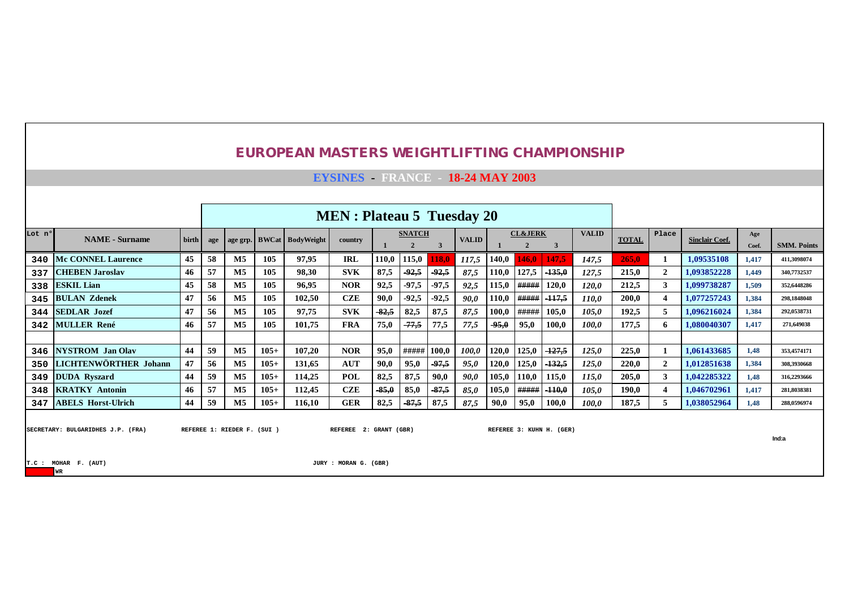|        |                                                           |                                                                                                                                                  |     |                                                                                                              |        | <b>EUROPEAN MASTERS WEIGHTLIFTING CHAMPIONSHIP</b> |                                                 |         |               |              |              |       |                                      |                          |              |              |                       |                       |              |                    |
|--------|-----------------------------------------------------------|--------------------------------------------------------------------------------------------------------------------------------------------------|-----|--------------------------------------------------------------------------------------------------------------|--------|----------------------------------------------------|-------------------------------------------------|---------|---------------|--------------|--------------|-------|--------------------------------------|--------------------------|--------------|--------------|-----------------------|-----------------------|--------------|--------------------|
|        |                                                           |                                                                                                                                                  |     |                                                                                                              |        |                                                    | <b>EYSINES</b> FRANCE 18-24 MAY 2003            |         |               |              |              |       |                                      |                          |              |              |                       |                       |              |                    |
|        |                                                           |                                                                                                                                                  |     |                                                                                                              |        |                                                    |                                                 |         |               |              |              |       |                                      |                          |              |              |                       |                       |              |                    |
|        |                                                           |                                                                                                                                                  |     |                                                                                                              |        |                                                    | <b>MEN</b> : Plateau 5 Tuesday 20               |         |               |              |              |       |                                      |                          |              |              |                       |                       |              |                    |
| Lot nº | <b>NAME</b> - Surname                                     | birth                                                                                                                                            | age |                                                                                                              |        | age grp. BWCat BodyWeight                          | country                                         |         | <b>SNATCH</b> | $\mathbf{3}$ | <b>VALID</b> |       | <b>CL&amp;JERK</b><br>$\overline{2}$ | $\mathbf{3}$             | <b>VALID</b> | <b>TOTAL</b> | Place                 | <b>Sinclair Coef.</b> | Age<br>Coef. | <b>SMM. Points</b> |
| 340    | <b>Mc CONNEL Laurence</b>                                 | 45                                                                                                                                               | 58  | M5                                                                                                           | 105    | 97.95                                              | <b>IRL</b>                                      | 110,0   | 115,0         | 18.0         | 117,5        | 140,0 | 146,0                                | 147.5                    | 147.5        | 265.0        | -1                    | 1.09535108            | 1,417        | 411,3098074        |
| 337    | <b>CHEBEN Jaroslav</b>                                    | 46                                                                                                                                               | 57  | $\mathbf{M}5$                                                                                                | 105    | 98.30                                              | <b>SVK</b>                                      | 87,5    | 92.5          | $-92.5$      | 87,5         | 110,0 | 127,5                                | $-135,0$                 | 127,5        | 215,0        | $\mathbf{2}$          | 1,093852228           | 1.449        | 340,7732537        |
| 338    | <b>ESKIL Lian</b>                                         | 45                                                                                                                                               | 58  | $\mathbf{M}5$                                                                                                | 105    | 96.95                                              | <b>NOR</b>                                      | 92,5    | $-97,5$       | $-97,5$      | 92,5         | 115,0 | #####                                | 120,0                    | 120.0        | 212.5        | 3                     | 1.099738287           | 1,509        | 352,6448286        |
| 345    | <b>BULAN Zdenek</b>                                       | 47                                                                                                                                               | 56  | $\mathbf{M}5$                                                                                                | 105    | 102.50                                             | <b>CZE</b>                                      | 90,0    | $-92.5$       | $-92.5$      | 90,0         | 110,0 | #####                                | $-117,5$                 | 110.0        | 200.0        |                       | 1,077257243           | 1.384        | 298.1848048        |
|        | 344 SEDLAR Jozef                                          | #####<br>47<br>$\mathbf{M}5$<br><b>SVK</b><br>$-82,5$<br>87,5<br>87,5<br>100,0<br>105,0<br>105<br>97.75<br>82,5<br>105.0<br>56<br>177.5<br>100.0 |     |                                                                                                              |        |                                                    |                                                 |         |               |              |              |       |                                      |                          |              | 192.5        | 5                     | 1.096216024           | 1,384        | 292,0538731        |
|        | 342 MULLER René                                           | 46                                                                                                                                               | 57  | $-77,5$<br>$-95,0$<br>100,0<br>M <sub>5</sub><br>105<br>75,0<br>77,5<br>77,5<br>95,0<br>101,75<br><b>FRA</b> |        |                                                    |                                                 |         |               |              |              |       |                                      |                          |              |              | 6                     | 1.080040307           | 1,417        | 271,649038         |
|        |                                                           |                                                                                                                                                  |     |                                                                                                              |        |                                                    |                                                 |         |               |              |              |       |                                      |                          |              |              |                       |                       |              |                    |
| 346    | <b>NYSTROM</b> Jan Olav                                   | 44                                                                                                                                               | 59  | M <sub>5</sub>                                                                                               | $105+$ | 107.20                                             | <b>NOR</b>                                      | 95,0    | #####         | 100,0        | 100.0        | 120,0 | 125,0                                | $-127,5$                 | 125.0        | 225.0        |                       | 1,061433685           | 1,48         | 353,4574171        |
| 350    | LICHTENWÖRTHER Johann                                     | 47                                                                                                                                               | 56  | $\mathbf{M}5$                                                                                                | $105+$ | 131.65                                             | <b>AUT</b>                                      | 90,0    | 95,0          | $-97,5$      | 95,0         | 120,0 | 125,0                                | $-132,5$                 | 125,0        | 220.0        | $\overline{2}$        | 1.012851638           | 1,384        | 308,3930668        |
| 349    | <b>DUDA</b> Ryszard                                       | 44                                                                                                                                               | 59  | $\mathbf{M}5$                                                                                                | $105+$ | 114.25                                             | <b>POL</b>                                      | 82,5    | 87,5          | 90,0         | 90,0         | 105,0 | 110,0                                | 115,0                    | 115,0        | 205.0        | 3                     | 1.042285322           | 1,48         | 316,2293666        |
|        | 348 KRATKY Antonin                                        | 46                                                                                                                                               | 57  | $\mathbf{M}5$                                                                                                | $105+$ | 112,45                                             | <b>CZE</b>                                      | $-85,0$ | 85,0          | $-87,5$      | 85,0         | 105,0 | #####                                | $+10,0$                  | 105,0        | 190,0        | $\boldsymbol{\Delta}$ | 1.046702961           | 1,417        | 281,8038381        |
|        | 347 ABELS Horst-Ulrich                                    | 44                                                                                                                                               | 59  | M <sub>5</sub>                                                                                               | $105+$ | 116,10                                             | <b>GER</b>                                      | 82,5    | $-87,5$       | 87,5         | 87,5         | 90,0  | 95,0                                 | 100,0                    | 100.0        | 187,5        | 5                     | 1,038052964           | 1,48         | 288,0596974        |
|        | SECRETARY: BULGARIDHES J.P. (FRA)<br>T.C : MOHAR F. (AUT) |                                                                                                                                                  |     | REFEREE 1: RIEDER F. (SUI)                                                                                   |        |                                                    | REFEREE 2: GRANT (GBR)<br>JURY : MORAN G. (GBR) |         |               |              |              |       |                                      | REFEREE 3: KUHN H. (GER) |              |              |                       |                       |              | Ind:a              |

**WR**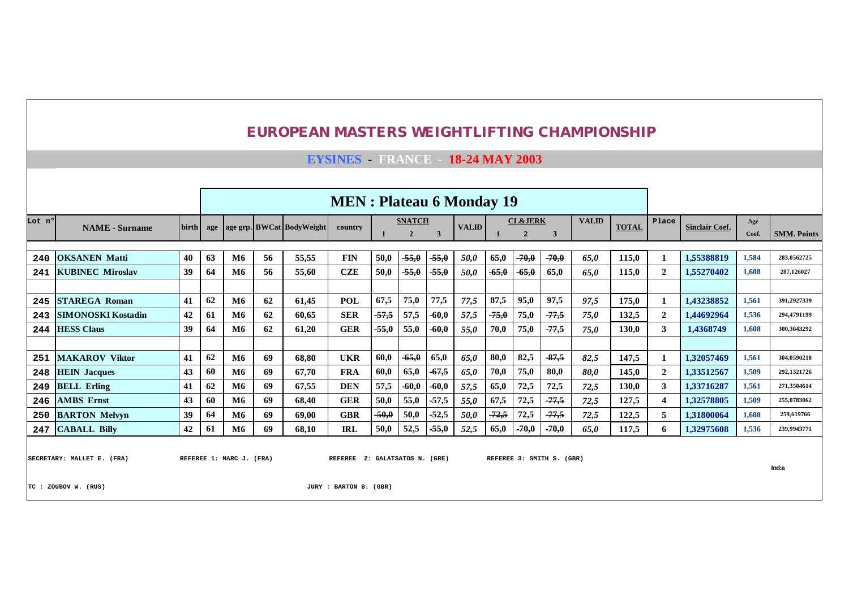|  | <b>EUROPEAN MASTERS WEIGHTLIFTING CHAMPIONSHIP</b> |  |
|--|----------------------------------------------------|--|
|--|----------------------------------------------------|--|

**EYSINES - FRANCE - 18-24 MAY 2003**

|        |                                                   |       |     |                          |    |                           | <b>MEN</b> : Plateau 6 Monday 19                         |         |                |         |              |         |                    |                           |              |              |                |                       |       |                    |
|--------|---------------------------------------------------|-------|-----|--------------------------|----|---------------------------|----------------------------------------------------------|---------|----------------|---------|--------------|---------|--------------------|---------------------------|--------------|--------------|----------------|-----------------------|-------|--------------------|
| Lot n° | <b>NAME</b> - Surname                             | birth | age |                          |    | age grp. BWCat BodyWeight | country                                                  |         | <b>SNATCH</b>  |         | <b>VALID</b> |         | <b>CL&amp;JERK</b> |                           | <b>VALID</b> | <b>TOTAL</b> | Place          | <b>Sinclair Coef.</b> | Age   |                    |
|        |                                                   |       |     |                          |    |                           |                                                          |         | $\overline{2}$ | 3       |              |         | $\overline{2}$     | 3                         |              |              |                |                       | Coef. | <b>SMM. Points</b> |
|        |                                                   |       |     |                          |    |                           |                                                          |         |                |         |              |         |                    |                           |              |              |                |                       |       |                    |
| 240    | <b>OKSANEN Matti</b>                              | 40    | 63  | M6                       | 56 | 55,55                     | <b>FIN</b>                                               | 50,0    | $-55,0$        | $-55,0$ | 50,0         | 65,0    | -70,0              | $-70,0$                   | 65.0         | 115,0        |                | 1,55388819            | 1,584 | 283,0562725        |
| 241    | <b>KUBINEC Miroslav</b>                           | 39    | 64  | M6                       | 56 | 55,60                     | <b>CZE</b>                                               | 50,0    | $-55,0$        | $-55,0$ | 50,0         | $-65,0$ | $-65,0$            | 65,0                      | 65.0         | 115.0        | $\overline{2}$ | 1,55270402            | 1,608 | 287,126027         |
|        |                                                   |       |     |                          |    |                           |                                                          |         |                |         |              |         |                    |                           |              |              |                |                       |       |                    |
| 245    | <b>STAREGA Roman</b>                              | 41    | 62  | M6                       | 62 | 61.45                     | POL                                                      | 67,5    | 75,0           | 77,5    | 77,5         | 87,5    | 95,0               | 97,5                      | 97,5         | 175.0        |                | 1,43238852            | 1,561 | 391,2927339        |
| 243    | <b>SIMONOSKI Kostadin</b>                         | 42    | 61  | M6                       | 62 | 60,65                     | <b>SER</b>                                               | $-57,5$ | 57,5           | $-60,0$ | 57,5         | $-75,0$ | 75,0               | $-77,5$                   | 75,0         | 132,5        | $\overline{2}$ | 1.44692964            | 1,536 | 294.4791199        |
| 244    | <b>HESS Claus</b>                                 | 39    | 64  | <b>M6</b>                | 62 | 61,20                     | <b>GER</b>                                               | $-55,0$ | 55,0           | $-60,0$ | 55,0         | 70,0    | 75,0               | $-77,5$                   | 75.0         | <b>130.0</b> | $\mathbf{3}$   | 1.4368749             | 1.608 | 300.3643292        |
|        |                                                   |       |     |                          |    |                           |                                                          |         |                |         |              |         |                    |                           |              |              |                |                       |       |                    |
| 251    | <b>MAKAROV Viktor</b>                             | 41    | 62  | <b>M6</b>                | 69 | 68.80                     | <b>UKR</b>                                               | 60,0    | $-65,0$        | 65,0    | 65,0         | 80,0    | 82,5               | $-87,5$                   | 82,5         | 147.5        |                | 1.32057469            | 1,561 | 304,0590218        |
| 248    | <b>HEIN Jacques</b>                               | 43    | 60  | M6                       | 69 | 67.70                     | <b>FRA</b>                                               | 60,0    | 65,0           | $-67,5$ | 65,0         | 70,0    | 75,0               | 80,0                      | 80,0         | 145.0        | $\mathbf{2}$   | 1.33512567            | 1,509 | 292,1321726        |
| 249    | <b>BELL Erling</b>                                | 41    | 62  | <b>M6</b>                | 69 | 67,55                     | <b>DEN</b>                                               | 57,5    | $-60,0$        | $-60,0$ | 57,5         | 65,0    | 72,5               | 72,5                      | 72,5         | <b>130.0</b> | 3              | 1.33716287            | 1,561 | 271,3504614        |
| 246    | <b>AMBS</b> Ernst                                 | 43    | 60  | M6                       | 69 | 68.40                     | <b>GER</b>                                               | 50,0    | 55,0           | $-57,5$ | 55,0         | 67.5    | 72,5               | $-77.5$                   | 72,5         | 127,5        |                | 1,32578805            | 1,509 | 255,0783062        |
| 250    | <b>BARTON Melvyn</b>                              | 39    | 64  | <b>M6</b>                | 69 | 69,00                     | <b>GBR</b>                                               | $-50,0$ | 50,0           | $-52,5$ | 50,0         | $-72,5$ | 72,5               | $-77,5$                   | 72,5         | 122,5        | 5              | 1,31800064            | 1.608 | 259,619766         |
| 247    | <b>CABALL Billy</b>                               | 42    | 61  | M6                       | 69 | 68,10                     | <b>IRL</b>                                               | 50,0    | 52,5           | $-55,0$ | 52,5         | 65,0    | $-70,0$            | $-70,0$                   | 65,0         | 117,5        | 6              | 1,32975608            | 1,536 | 239,9943771        |
|        | SECRETARY: MALLET E. (FRA)<br>TC: ZOUBOV W. (RUS) |       |     | REFEREE 1: MARC J. (FRA) |    |                           | REFEREE 2: GALATSATOS N. (GRE)<br>JURY : BARTON B. (GBR) |         |                |         |              |         |                    | REFEREE 3: SMITH S. (GBR) |              |              |                |                       |       | Ind:a              |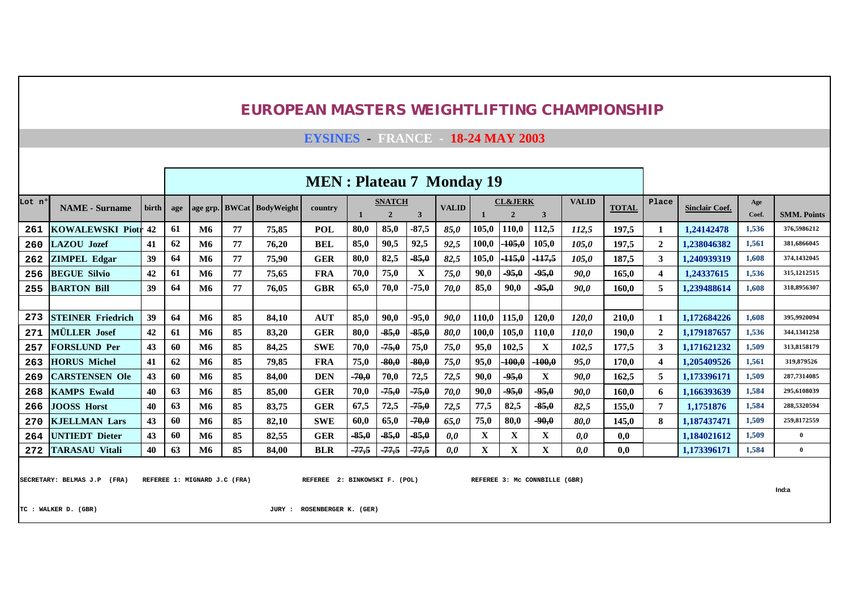**EYSINES - FRANCE - 18-24 MAY 2003**

|        |                          |       |     |           |    |                           | <b>MEN</b> : Plateau 7 Monday 19 |         |                                 |         |              |       |                                      |          |              |              |                |                       |              |                    |
|--------|--------------------------|-------|-----|-----------|----|---------------------------|----------------------------------|---------|---------------------------------|---------|--------------|-------|--------------------------------------|----------|--------------|--------------|----------------|-----------------------|--------------|--------------------|
| Lot nº | <b>NAME</b> - Surname    | birth | age |           |    | age grp. BWCat BodyWeight | country                          |         | <b>SNATCH</b><br>$\overline{2}$ | 3       | <b>VALID</b> |       | <b>CL&amp;JERK</b><br>$\overline{2}$ | 3        | <b>VALID</b> | <b>TOTAL</b> | Place          | <b>Sinclair Coef.</b> | Age<br>Coef. | <b>SMM. Points</b> |
| 261    | <b>KOWALEWSKI Piotr</b>  | $-42$ | 61  | <b>M6</b> | 77 | 75,85                     | <b>POL</b>                       | 80,0    | 85,0                            | $-87,5$ | 85,0         | 105,0 | 110,0                                | 112,5    | 112,5        | 197,5        |                | 1,24142478            | 1,536        | 376.5986212        |
| 260    | <b>LAZOU</b> Jozef       | 41    | 62  | <b>M6</b> | 77 | 76,20                     | <b>BEL</b>                       | 85,0    | 90,5                            | 92,5    | 92,5         | 100,0 | $-105,0$                             | 105,0    | 105,0        | 197,5        | $\overline{2}$ | 1,238046382           | 1,561        | 381,6866045        |
| 262    | <b>ZIMPEL Edgar</b>      | 39    | 64  | <b>M6</b> | 77 | 75,90                     | <b>GER</b>                       | 80,0    | 82,5                            | $-85,0$ | 82,5         | 105,0 | $-115,0$                             | $-117,5$ | 105,0        | 187,5        | 3              | 1,240939319           | 1,608        | 374,1432045        |
| 256    | <b>BEGUE Silvio</b>      | 42    | 61  | <b>M6</b> | 77 | 75,65                     | <b>FRA</b>                       | 70,0    | 75,0                            | X       | 75,0         | 90,0  | $-95,0$                              | $-95,0$  | 90,0         | 165,0        | 4              | 1,24337615            | 1,536        | 315, 1212515       |
| 255    | <b>BARTON Bill</b>       | 39    | 64  | M6        | 77 | 76,05                     | <b>GBR</b>                       | 65,0    | 70,0                            | $-75,0$ | 70,0         | 85,0  | 90,0                                 | $-95,0$  | 90,0         | 160.0        | 5              | 1,239488614           | 1,608        | 318,8956307        |
|        |                          |       |     |           |    |                           |                                  |         |                                 |         |              |       |                                      |          |              |              |                |                       |              |                    |
| 273    | <b>STEINER Friedrich</b> | 39    | 64  | M6        | 85 | 84,10                     | <b>AUT</b>                       | 85,0    | 90,0                            | $-95,0$ | 90,0         | 110,0 | 115,0                                | 120,0    | 120,0        | 210,0        |                | 1,172684226           | 1,608        | 395,9920094        |
| 271    | <b>MÜLLER</b> Josef      | 42    | 61  | M6        | 85 | 83,20                     | <b>GER</b>                       | 80,0    | $-85,0$                         | $-85,0$ | 80,0         | 100,0 | 105,0                                | 110,0    | 110,0        | 190,0        | $\mathbf{2}$   | 1,179187657           | 1,536        | 344,1341258        |
| 257    | <b>FORSLUND Per</b>      | 43    | 60  | M6        | 85 | 84,25                     | <b>SWE</b>                       | 70,0    | $-75,0$                         | 75,0    | 75,0         | 95,0  | 102,5                                | X        | 102,5        | 177,5        | 3              | 1,171621232           | 1,509        | 313,8158179        |
| 263    | <b>HORUS Michel</b>      | 41    | 62  | <b>M6</b> | 85 | 79,85                     | <b>FRA</b>                       | 75,0    | $-80,0$                         | $-80,0$ | 75,0         | 95,0  | $-100,0$                             | $-100,0$ | 95,0         | 170,0        | 4              | 1,205409526           | 1,561        | 319,879526         |
| 269    | <b>CARSTENSEN Ole</b>    | 43    | 60  | <b>M6</b> | 85 | 84,00                     | <b>DEN</b>                       | $-70,0$ | 70,0                            | 72,5    | 72,5         | 90,0  | $-95,0$                              | X        | 90,0         | 162,5        | 5              | 1,173396171           | 1,509        | 287,7314085        |
| 268    | <b>KAMPS Ewald</b>       | 40    | 63  | <b>M6</b> | 85 | 85,00                     | <b>GER</b>                       | 70,0    | $-75,0$                         | $-75,0$ | 70,0         | 90,0  | $-95,0$                              | $-95,0$  | 90,0         | 160,0        | 6              | 1,166393639           | 1,584        | 295.6108039        |
| 266    | <b>JOOSS Horst</b>       | 40    | 63  | <b>M6</b> | 85 | 83,75                     | <b>GER</b>                       | 67,5    | 72,5                            | $-75,0$ | 72,5         | 77,5  | 82,5                                 | $-85,0$  | 82,5         | 155,0        | 7              | 1,1751876             | 1,584        | 288,5320594        |
| 270    | <b>KJELLMAN Lars</b>     | 43    | 60  | <b>M6</b> | 85 | 82,10                     | <b>SWE</b>                       | 60,0    | 65,0                            | $-70,0$ | 65,0         | 75,0  | 80,0                                 | $-90,0$  | 80,0         | 145,0        | 8              | 1,187437471           | 1,509        | 259,8172559        |
| 264    | <b>UNTIEDT</b> Dieter    | 43    | 60  | M6        | 85 | 82,55                     | <b>GER</b>                       | $-85,0$ | $-85,0$                         | $-85,0$ | 0,0          | X     | X                                    | X        | 0,0          | 0,0          |                | 1,184021612           | 1,509        | $\overline{0}$     |
| 272    | <b>TARASAU Vitali</b>    | 40    | 63  | M6        | 85 | 84.00                     | <b>BLR</b>                       | $-77,5$ | $-77,5$                         | $-77,5$ | 0,0          | X     | X                                    | X        | 0.0          | 0.0          |                | 1.173396171           | 1.584        | $\overline{0}$     |

SECRETARY: BELMAS J.P (FRA) REFEREE 1: MIGNARD J.C (FRA) REFEREE 2: BINKOWSKI F. (POL) REFEREE 3: MC CONNBILLE (GBR)

**Ind:a**

**TC : WALKER D. (GBR) JURY : ROSENBERGER K. (GER)**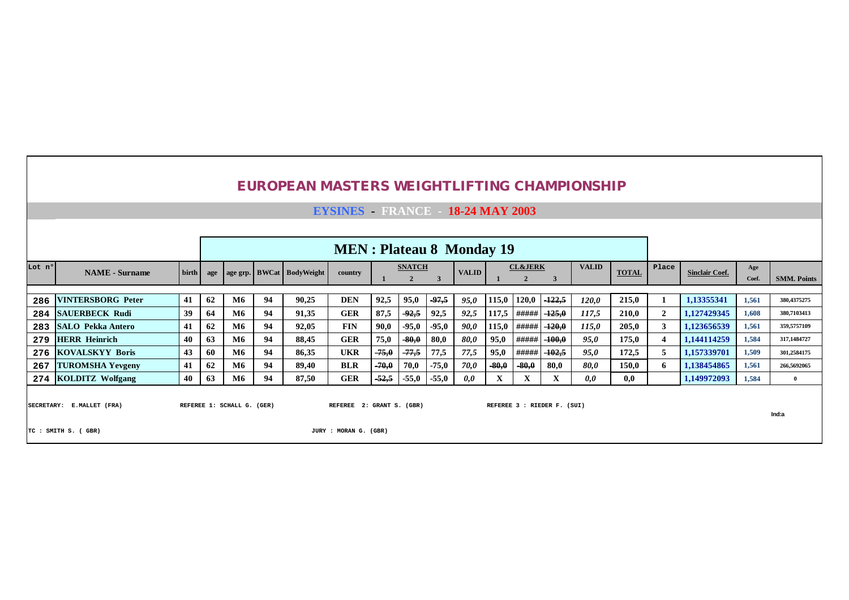|        |                                                  |       |     |                            |    | <b>EUROPEAN MASTERS WEIGHTLIFTING CHAMPIONSHIP</b> |                                                    |         |                                 |         |              |         |                                      |                             |              |              |                |                       |              |                    |
|--------|--------------------------------------------------|-------|-----|----------------------------|----|----------------------------------------------------|----------------------------------------------------|---------|---------------------------------|---------|--------------|---------|--------------------------------------|-----------------------------|--------------|--------------|----------------|-----------------------|--------------|--------------------|
|        |                                                  |       |     |                            |    |                                                    | <b>EYSINES</b> FRANCE 18-24 MAY 2003               |         |                                 |         |              |         |                                      |                             |              |              |                |                       |              |                    |
|        |                                                  |       |     |                            |    |                                                    |                                                    |         |                                 |         |              |         |                                      |                             |              |              |                |                       |              |                    |
|        |                                                  |       |     |                            |    |                                                    | <b>MEN</b> : Plateau 8 Monday 19                   |         |                                 |         |              |         |                                      |                             |              |              |                |                       |              |                    |
| Lot nº | <b>NAME</b> - Surname                            | birth | age |                            |    | age grp. BWCat BodyWeight                          | country                                            |         | <b>SNATCH</b><br>$\overline{2}$ | 3       | <b>VALID</b> |         | <b>CL&amp;JERK</b><br>$\overline{2}$ | 3                           | <b>VALID</b> | <b>TOTAL</b> | Place          | <b>Sinclair Coef.</b> | Age<br>Coef. | <b>SMM. Points</b> |
| 286    | <b>VINTERSBORG</b> Peter                         | 41    | 62  | <b>M6</b>                  | 94 | 90,25                                              | <b>DEN</b>                                         | 92,5    | 95,0                            | $-97,5$ | 95,0         | 115,0   | 120,0                                | $-122,5$                    | 120,0        | 215,0        | 1              | 1,13355341            | 1,561        | 380,4375275        |
| 284    | <b>SAUERBECK Rudi</b>                            | 39    | 64  | M6                         | 94 | 91,35                                              | <b>GER</b>                                         | 87,5    | $-92,5$                         | 92,5    | 92,5         | 117,5   | #####                                | $-125,0$                    | 117,5        | <b>210,0</b> | $\mathbf{2}$   | 1,127429345           | 1.608        | 380,7103413        |
| 283    | <b>SALO Pekka Antero</b>                         | 41    | 62  | M6                         | 94 | 92,05                                              | <b>FIN</b>                                         | 90,0    | $-95,0$                         | $-95,0$ | 90,0         | 115,0   | #####                                | $-120,0$                    | 115,0        | 205,0        | 3 <sup>1</sup> | 1,123656539           | 1,561        | 359,5757109        |
| 279    | <b>HERR Heinrich</b>                             | 40    | 63  | <b>M6</b>                  | 94 | 88,45                                              | <b>GER</b>                                         | 75,0    | $-80,0$                         | 80,0    | 80,0         | 95,0    | #####                                | $-100,0$                    | 95,0         | 175,0        | $\overline{4}$ | 1,144114259           | 1,584        | 317,1484727        |
| 276    | <b>KOVALSKYY Boris</b>                           | 43    | 60  | <b>M6</b>                  | 94 | 86,35                                              | <b>UKR</b>                                         | $-75,0$ | $-77,5$                         | 77,5    | 77,5         | 95,0    | #####                                | $-102,5$                    | 95,0         | 172,5        | 5              | 1,157339701           | 1,509        | 301,2584175        |
| 267    | <b>TUROMSHA Yevgeny</b>                          | 41    | 62  | <b>M6</b>                  | 94 | 89,40                                              | <b>BLR</b>                                         | $-70,0$ | 70,0                            | $-75,0$ | 70,0         | $-80,0$ | $-80,0$                              | 80,0                        | 80.0         | 150,0        | 6              | 1,138454865           | 1,561        | 266,5692065        |
|        | 274 KOLDITZ Wolfgang                             | 40    | 63  | <b>M6</b>                  | 94 | 87,50                                              | <b>GER</b>                                         | -52,5   | $-55,0$                         | $-55,0$ | 0,0          | X       | X                                    | X                           | 0,0          | 0,0          |                | 1,149972093           | 1,584        | $\overline{0}$     |
|        | SECRETARY: E.MALLET (FRA)<br>TC : SMITH S. (GBR) |       |     | REFEREE 1: SCHALL G. (GER) |    |                                                    | REFEREE 2: GRANT S. (GBR)<br>JURY : MORAN G. (GBR) |         |                                 |         |              |         |                                      | REFEREE 3 : RIEDER F. (SUI) |              |              |                |                       |              | Ind:a              |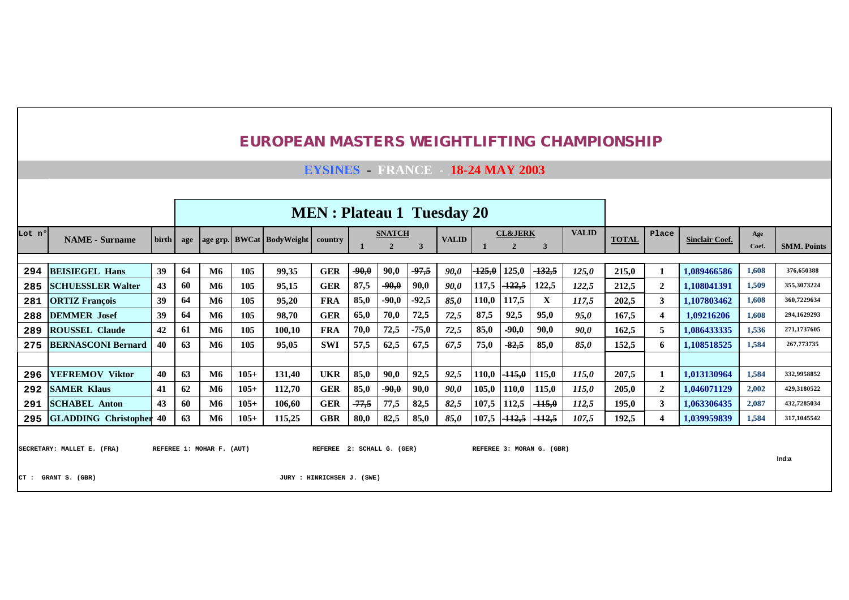**EYSINES - FRANCE - 18-24 MAY 2003**

|                                                                                                                                                                   |                                                   |          |          |                        |            |                           | <b>MEN</b> : Plateau 1 Tuesday 20 |                 |                 |                 |              |                |                                    |                   |                |                |                         |                            |                |                    |
|-------------------------------------------------------------------------------------------------------------------------------------------------------------------|---------------------------------------------------|----------|----------|------------------------|------------|---------------------------|-----------------------------------|-----------------|-----------------|-----------------|--------------|----------------|------------------------------------|-------------------|----------------|----------------|-------------------------|----------------------------|----------------|--------------------|
| Lot n°                                                                                                                                                            | <b>NAME</b> - Surname                             | birth    | age      |                        |            | age grp. BWCat BodyWeight | country                           |                 | <b>SNATCH</b>   | 3               | <b>VALID</b> |                | <b>CL&amp;JERK</b><br>$\mathbf{2}$ | 3                 | <b>VALID</b>   | <b>TOTAL</b>   | Place                   | <b>Sinclair Coef.</b>      | Age<br>Coef.   | <b>SMM. Points</b> |
|                                                                                                                                                                   |                                                   |          |          |                        |            |                           |                                   |                 |                 |                 |              |                |                                    |                   |                |                |                         |                            |                | 376,650388         |
| 294                                                                                                                                                               | <b>BEISIEGEL Hans</b><br><b>SCHUESSLER Walter</b> | 39<br>43 | 64<br>60 | <b>M6</b><br><b>M6</b> | 105<br>105 | 99,35<br>95,15            | <b>GER</b><br><b>GER</b>          | $-90,0$<br>87,5 | 90,0<br>$-90,0$ | $-97,5$<br>90,0 | 90,0<br>90,0 | 425,0<br>117,5 | 125,0<br>$-122,5$                  | $-132,5$<br>122,5 | 125,0<br>122,5 | 215.0<br>212,5 | $\overline{2}$          | 1.089466586<br>1,108041391 | 1,608<br>1,509 | 355,3073224        |
| 285<br>281                                                                                                                                                        | <b>ORTIZ François</b>                             | 39       | 64       | <b>M6</b>              | 105        | 95,20                     | <b>FRA</b>                        | 85,0            | $-90,0$         | $-92,5$         | 85,0         | 110,0          | 117,5                              | X                 | 117,5          | 202,5          | 3                       | 1.107803462                | 1,608          | 360.7229634        |
| 288                                                                                                                                                               | <b>DEMMER</b> Josef                               | 39       | 64       | M6                     | 105        | 98,70                     | <b>GER</b>                        | 65,0            | 70,0            | 72,5            | 72,5         | 87,5           | 92,5                               | 95,0              | 95,0           | 167,5          | 4                       | 1.09216206                 | 1,608          | 294.1629293        |
| 289                                                                                                                                                               | <b>ROUSSEL Claude</b>                             | 42       | 61       | M6                     | 105        | 100,10                    | <b>FRA</b>                        | 70,0            | 72,5            | $-75,0$         | 72,5         | 85,0           | $-90,0$                            | 90,0              | 90.0           | 162,5          | 5                       | 1,086433335                | 1,536          | 271,1737605        |
| 275                                                                                                                                                               | <b>BERNASCONI Bernard</b>                         | 40       | 63       | <b>M6</b>              | 105        | 95,05                     | <b>SWI</b>                        | 57.5            | 62,5            | 67.5            | 67,5         | 75,0           | $-82,5$                            | 85.0              | 85.0           | 152,5          | 6                       | 1.108518525                | 1,584          | 267,773735         |
|                                                                                                                                                                   |                                                   |          |          |                        |            |                           |                                   |                 |                 |                 |              |                |                                    |                   |                |                |                         |                            |                |                    |
| 296                                                                                                                                                               | <b>YEFREMOV Viktor</b>                            | 40       | 63       | <b>M6</b>              | $105+$     | 131.40                    | <b>UKR</b>                        | 85,0            | 90,0            | 92,5            | 92,5         | 110,0          | $-115,0$                           | 115,0             | 115,0          | 207,5          |                         | 1.013130964                | 1,584          | 332.9958852        |
| 292                                                                                                                                                               | <b>SAMER Klaus</b>                                | 41       | 62       | <b>M6</b>              | $105+$     | 112,70                    | <b>GER</b>                        | 85,0            | $-90,0$         | 90,0            | 90,0         | 105,0          | 110,0                              | 115,0             | 115,0          | 205,0          | $\mathbf{2}$            | 1,046071129                | 2,002          | 429,3180522        |
| 291                                                                                                                                                               | <b>SCHABEL Anton</b>                              | 43       | 60       | M6                     | $105+$     | 106,60                    | <b>GER</b>                        | $-77,5$         | 77,5            | 82,5            | 82,5         | 107,5          | 112,5                              | $-115,0$          | 112,5          | 195,0          | 3                       | 1,063306435                | 2,087          | 432,7285034        |
|                                                                                                                                                                   |                                                   | 40       | 63       | <b>M6</b>              | $105+$     | 115,25                    | <b>GBR</b>                        | 80,0            | 82,5            | 85,0            | 85,0         | 107,5          | $-112,5$                           | $-112.5$          | 107,5          | 192,5          | $\overline{\mathbf{4}}$ | 1,039959839                | 1,584          | 317,1045542        |
| 295 GLADDING Christopher<br>REFEREE 1: MOHAR F. (AUT)<br>2: SCHALL G. (GER)<br>REFEREE 3: MORAN G. (GBR)<br>SECRETARY: MALLET E. (FRA)<br><b>REFEREE</b><br>Ind:a |                                                   |          |          |                        |            |                           |                                   |                 |                 |                 |              |                |                                    |                   |                |                |                         |                            |                |                    |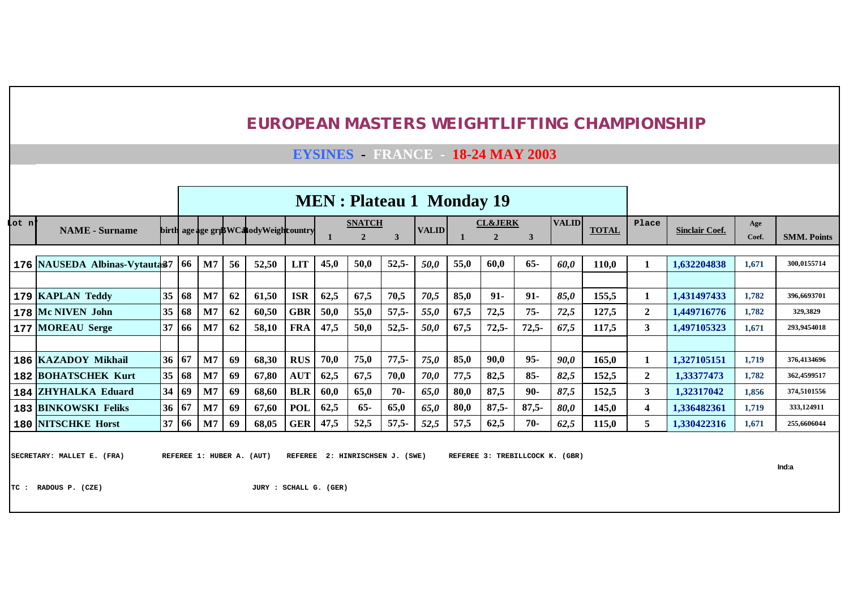## **EYSINES - FRANCE - 18-24 MAY 2003**

|        |                               |                 |    |                |    |                                       |            |      | <b>MEN</b> : Plateau 1 Monday 19 |         |              |      |                    |         |              |              |              |                       |       |                    |
|--------|-------------------------------|-----------------|----|----------------|----|---------------------------------------|------------|------|----------------------------------|---------|--------------|------|--------------------|---------|--------------|--------------|--------------|-----------------------|-------|--------------------|
| Lot n' |                               |                 |    |                |    |                                       |            |      | <b>SNATCH</b>                    |         | <b>VALID</b> |      | <b>CL&amp;JERK</b> |         | <b>VALID</b> | <b>TOTAL</b> | Place        |                       | Age   |                    |
|        | <b>NAME</b> - Surname         |                 |    |                |    | birth age age griBWCatodyWeightountry |            |      | $\overline{2}$                   |         |              |      | $\mathbf{2}$       | 3       |              |              |              | <b>Sinclair Coef.</b> | Coef. | <b>SMM. Points</b> |
|        |                               |                 |    |                |    |                                       |            |      |                                  |         |              |      |                    |         |              |              |              |                       |       |                    |
|        | 176 NAUSEDA Albinas-Vytauta37 |                 | 66 | M7             | 56 | 52,50                                 | <b>LIT</b> | 45,0 | 50,0                             | $52,5-$ | 50,0         | 55,0 | 60,0               | $65 -$  | 60,0         | 110,0        |              | 1,632204838           | 1,671 | 300.0155714        |
|        |                               |                 |    |                |    |                                       |            |      |                                  |         |              |      |                    |         |              |              |              |                       |       |                    |
|        | 179 KAPLAN Teddy              | 35 <sup>5</sup> | 68 | $\mathbf{M}$ 7 | 62 | 61,50                                 | <b>ISR</b> | 62,5 | 67,5                             | 70,5    | 70,5         | 85,0 | $91 -$             | $91 -$  | 85,0         | 155,5        |              | 1,431497433           | 1,782 | 396,6693701        |
|        | 178 Mc NIVEN John             | 35              | 68 | M <sub>7</sub> | 62 | 60,50                                 | <b>GBR</b> | 50,0 | 55,0                             | $57,5-$ | 55,0         | 67,5 | 72,5               | $75 -$  | 72,5         | 127,5        | $\mathbf{2}$ | 1,449716776           | 1,782 | 329,3829           |
|        | 177   MOREAU Serge            | 37              | 66 | M7             | 62 | 58,10                                 | <b>FRA</b> | 47,5 | 50,0                             | $52,5-$ | 50,0         | 67,5 | $72,5-$            | $72,5-$ | 67,5         | 117,5        | 3            | 1,497105323           | 1,671 | 293,9454018        |
|        |                               |                 |    |                |    |                                       |            |      |                                  |         |              |      |                    |         |              |              |              |                       |       |                    |
|        | 186   KAZADOY Mikhail         | 36 <sup>1</sup> | 67 | M7             | 69 | 68,30                                 | <b>RUS</b> | 70,0 | 75,0                             | $77,5-$ | 75,0         | 85,0 | 90,0               | $95 -$  | 90,0         | 165,0        | 1            | 1.327105151           | 1,719 | 376,4134696        |
|        | <b>182 BOHATSCHEK Kurt</b>    | 35              | 68 | M <sub>7</sub> | 69 | 67,80                                 | <b>AUT</b> | 62.5 | 67,5                             | 70,0    | 70,0         | 77,5 | 82,5               | $85 -$  | 82,5         | 152,5        | $\mathbf{2}$ | 1,33377473            | 1,782 | 362,4599517        |
|        | 184 ZHYHALKA Eduard           | 34              | 69 | M7             | 69 | 68,60                                 | <b>BLR</b> | 60,0 | 65,0                             | $70-$   | 65,0         | 80,0 | 87,5               | $90-$   | 87,5         | 152,5        | 3            | 1,32317042            | 1,856 | 374.5101556        |
|        | 183 BINKOWSKI Feliks          | 36 <sup>1</sup> | 67 | M7             | 69 | 67,60                                 | <b>POL</b> | 62.5 | $65-$                            | 65,0    | 65,0         | 80.0 | $87,5-$            | $87,5-$ | 80,0         | 145,0        | 4            | 1,336482361           | 1,719 | 333.124911         |
|        | <b>180 NITSCHKE Horst</b>     | 37              | 66 | $\mathbf{M}$   | 69 | 68,05                                 | <b>GER</b> | 47,5 | 52,5                             | $57,5-$ | 52,5         | 57,5 | 62,5               | $70-$   | 62,5         | 115,0        | 5            | 1,330422316           | 1,671 | 255,6606044        |
|        |                               |                 |    |                |    |                                       |            |      |                                  |         |              |      |                    |         |              |              |              |                       |       |                    |

SECRETARY: MALLET E. (FRA) REFEREE 1: HUBER A. (AUT) REFEREE 2: HINRISCHSEN J. (SWE) REFEREE 3: TREBILLCOCK K. (GBR)

**Ind:a**

**TC : RADOUS P. (CZE) JURY : SCHALL G. (GER)**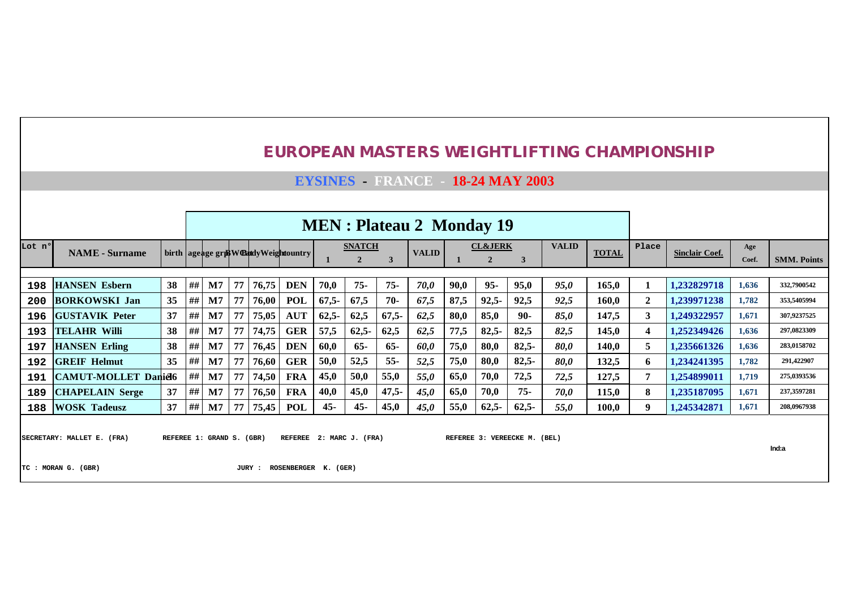**EYSINES - FRANCE - 18-24 MAY 2003**

|        | <b>MEN</b> : Plateau 2 Monday 19<br><b>VALID</b><br><b>SNATCH</b><br><b>CL&amp;JERK</b>                                                         |    |    |                |    |       |                                       |         |              |          |              |      |          |         |             |              |                |                       |              |                    |
|--------|-------------------------------------------------------------------------------------------------------------------------------------------------|----|----|----------------|----|-------|---------------------------------------|---------|--------------|----------|--------------|------|----------|---------|-------------|--------------|----------------|-----------------------|--------------|--------------------|
| Lot nº | <b>NAME</b> - Surname                                                                                                                           |    |    |                |    |       | birth ageage gris Westdy Weightountry |         | $\mathbf{2}$ | 3        | <b>VALID</b> |      |          | 3       |             | <b>TOTAL</b> | Place          | <b>Sinclair Coef.</b> | Age<br>Coef. | <b>SMM. Points</b> |
| 198    | <b>HANSEN Esbern</b>                                                                                                                            | 38 | ## | $\mathbf{M}$   | 77 | 76,75 | <b>DEN</b>                            | 70,0    | $75 -$       | $75 -$   | 70,0         | 90,0 | $95 -$   | 95,0    | 95,0        | 165,0        | 1              | 1.232829718           | 1,636        | 332,7900542        |
| 200    | <b>BORKOWSKI Jan</b>                                                                                                                            | 35 | ## | M <sub>7</sub> | 77 | 76.00 | <b>POL</b>                            | $67,5-$ | 67,5         | $70-$    | 67,5         | 87,5 | $92.5 -$ | 92.5    | 92,5        | 160.0        | $\overline{2}$ | 1.239971238           | 1,782        | 353,5405994        |
| 196    | <b>IGUSTAVIK Peter</b>                                                                                                                          | 37 | ## | $\mathbf{M}$   | 77 | 75,05 | <b>AUT</b>                            | $62,5-$ | 62,5         | $67.5 -$ | 62,5         | 80,0 | 85,0     | $90 -$  | 85,0        | 147,5        | 3              | 1,249322957           | 1,671        | 307,9237525        |
| 193    | <b>TELAHR Willi</b>                                                                                                                             | 38 | ## | $\mathbf{M}$   | 77 | 74,75 | <b>GER</b>                            | 57,5    | $62,5-$      | 62.5     | 62,5         | 77,5 | $82,5-$  | 82.5    | 82,5        | 145,0        | 4              | 1.252349426           | 1,636        | 297,0823309        |
| 197    | <b>HANSEN</b> Erling                                                                                                                            | 38 | ## | M <sub>7</sub> | 77 | 76,45 | <b>DEN</b>                            | 60,0    | $65 -$       | $65-$    | 60,0         | 75,0 | 80,0     | $82,5-$ | <i>80.0</i> | 140,0        | 5              | 1.235661326           | 1,636        | 283,0158702        |
| 192    | <b>GREIF Helmut</b>                                                                                                                             | 35 | ## | M <sub>7</sub> | 77 | 76,60 | <b>GER</b>                            | 50,0    | 52,5         | $55 -$   | 52,5         | 75,0 | 80,0     | $82,5-$ | 80,0        | 132,5        | 6              | 1,234241395           | 1,782        | 291,422907         |
| 191    | <b>CAMUT-MOLLET Daniel6</b>                                                                                                                     |    | ## | M <sub>7</sub> | 77 | 74,50 | <b>FRA</b>                            | 45,0    | 50,0         | 55,0     | 55,0         | 65,0 | 70,0     | 72,5    | 72,5        | 127,5        | $\overline{7}$ | 1.254899011           | 1,719        | 275,0393536        |
| 189    | <b>CHAPELAIN Serge</b>                                                                                                                          | 37 | ## | $\mathbf{M}$   | 77 | 76,50 | FRA                                   | 40,0    | 45,0         | $47,5-$  | 45,0         | 65,0 | 70,0     | $75 -$  | 70,0        | 115,0        | 8              | 1.235187095           | 1,671        | 237,3597281        |
| 188    | <b>WOSK Tadeusz</b>                                                                                                                             | 37 | ## | $\mathbf{M}$   | 77 |       | <b>POL</b>                            | $45 -$  | $45 -$       | 45,0     | 45,0         | 55,0 | $62,5-$  | $62,5-$ | 55,0        | 100,0        | 9              | 1,245342871           | 1,671        | 208,0967938        |
|        | 75,45<br>SECRETARY: MALLET E. (FRA)<br>2: MARC J. (FRA)<br>REFEREE 3: VEREECKE M. (BEL)<br>REFEREE 1: GRAND S. (GBR)<br><b>REFEREE</b><br>Ind:a |    |    |                |    |       |                                       |         |              |          |              |      |          |         |             |              |                |                       |              |                    |

**TC : MORAN G. (GBR) JURY : ROSENBERGER K. (GER)**

**Ind:a**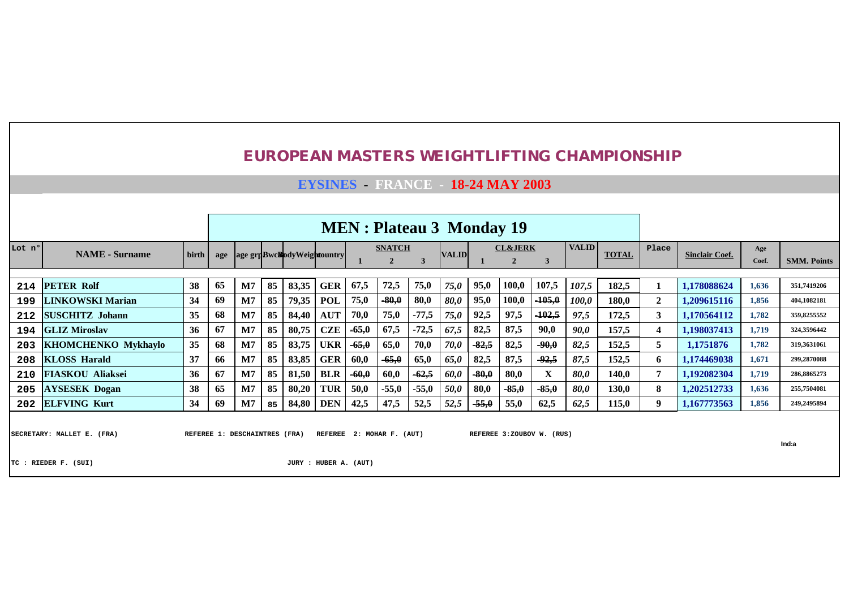#### **EYSINES - FRANCE - 18-24 MAY 2003**

|        |                            |       |     |                |    |                            |            |         | <b>MEN</b> : Plateau 3 Monday 19 |         |              |         |                    |          |              |              |       |                       |       |                    |
|--------|----------------------------|-------|-----|----------------|----|----------------------------|------------|---------|----------------------------------|---------|--------------|---------|--------------------|----------|--------------|--------------|-------|-----------------------|-------|--------------------|
| Lot nº | <b>NAME</b> - Surname      | birth | age |                |    | age grpBwcBodyWeightountry |            |         | <b>SNATCH</b>                    |         | <b>VALID</b> |         | <b>CL&amp;JERK</b> |          | <b>VALID</b> | <b>TOTAL</b> | Place | <b>Sinclair Coef.</b> | Age   |                    |
|        |                            |       |     |                |    |                            |            |         | $\overline{2}$                   |         |              |         |                    | 3        |              |              |       |                       | Coef. | <b>SMM. Points</b> |
| 214    | <b>PETER Rolf</b>          | 38    | 65  | M7             | 85 | 83,35                      | <b>GER</b> | 67,5    | 72,5                             | 75,0    | 75,0         | 95,0    | 100,0              | 107,5    | 107,5        | 182,5        |       | 1,178088624           | 1,636 | 351,7419206        |
| 199    | <b>LINKOWSKI Marian</b>    | 34    | 69  | M <sub>7</sub> | 85 | 79,35                      | <b>POL</b> | 75,0    | $-80,0$                          | 80,0    | 80,0         | 95,0    | 100,0              | $-105,0$ | <i>100,0</i> | 180,0        | 2     | 1.209615116           | 1.856 | 404,1082181        |
| 212    | <b>SUSCHITZ Johann</b>     | 35    | 68  | M <sub>7</sub> | 85 | 84,40                      | <b>AUT</b> | 70,0    | 75,0                             | $-77,5$ | 75,0         | 92,5    | 97,5               | $-102,5$ | 97,5         | 172,5        | 3     | 1,170564112           | 1,782 | 359,8255552        |
| 194    | <b>GLIZ Miroslav</b>       | 36    | 67  | M7             | 85 | 80,75                      | <b>CZE</b> | $-65,0$ | 67,5                             | $-72,5$ | 67,5         | 82,5    | 87,5               | 90,0     | 90,0         | 157,5        |       | 1.198037413           | 1.719 | 324,3596442        |
| 203    | <b>KHOMCHENKO Mykhaylo</b> | 35    | 68  | M7             | 85 | 83,75                      | <b>UKR</b> | $-65,0$ | 65,0                             | 70,0    | 70,0         | $-82,5$ | 82,5               | $-90,0$  | 82,5         | 152,5        | 5     | 1.1751876             | 1,782 | 319,3631061        |
| 208    | <b>KLOSS Harald</b>        | 37    | 66  | M <sub>7</sub> | 85 | 83,85                      | <b>GER</b> | 60,0    | $-65,0$                          | 65,0    | 65,0         | 82,5    | 87,5               | $-92,5$  | 87,5         | 152,5        | 6.    | 1.174469038           | 1,671 | 299,2870088        |
| 210    | <b>FIASKOU Aliaksei</b>    | 36    | 67  | M <sub>7</sub> | 85 | 81,50                      | <b>BLR</b> | $-60,0$ | 60,0                             | $-62,5$ | 60.0         | $-80,0$ | 80,0               | X        | 80,0         | 140,0        |       | 1.192082304           | 1,719 | 286,8865273        |
| 205    | <b>AYSESEK Dogan</b>       | 38    | 65  | M <sub>7</sub> | 85 | 80,20                      | <b>TUR</b> | 50,0    | $-55,0$                          | $-55,0$ | 50,0         | 80,0    | $-85,0$            | $-85,0$  | 80,0         | 130,0        | 8     | 1,202512733           | 1,636 | 255,7504081        |
|        | 202 ELFVING Kurt           | 34    | 69  | M <sub>7</sub> | 85 | 84,80                      | <b>DEN</b> | 42,5    | 47,5                             | 52,5    | 52,5         | $-55,0$ | 55,0               | 62,5     | 62,5         | 115,0        | 9     | 1.167773563           | 1,856 | 249,2495894        |
|        |                            |       |     |                |    |                            |            |         |                                  |         |              |         |                    |          |              |              |       |                       |       |                    |

SECRETARY: MALLET E. (FRA) REFEREE 1: DESCHAINTRES (FRA) REFEREE 2: MOHAR F. (AUT) REFEREE 3:ZOUBOV W. (RUS)

**Ind:a**

**TC : RIEDER F. (SUI) JURY : HUBER A. (AUT)**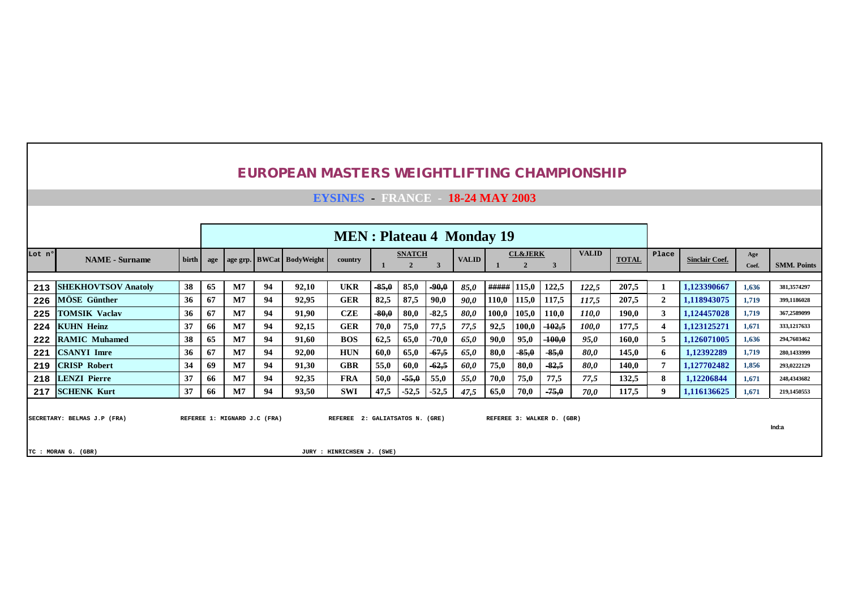| <b>EUROPEAN MASTERS WEIGHTLIFTING CHAMPIONSHIP</b> |  |
|----------------------------------------------------|--|
|----------------------------------------------------|--|

**EYSINES - FRANCE - 18-24 MAY 2003**

|        |                             |       |     |                              |    |                           | <b>MEN</b> : Plateau 4 Monday 19 |         |                                 |         |              |       |                                      |                            |              |              |       |                       |              |                    |
|--------|-----------------------------|-------|-----|------------------------------|----|---------------------------|----------------------------------|---------|---------------------------------|---------|--------------|-------|--------------------------------------|----------------------------|--------------|--------------|-------|-----------------------|--------------|--------------------|
| Lot nº | <b>NAME</b> - Surname       | birth | age |                              |    | age grp. BWCat BodyWeight | country                          |         | <b>SNATCH</b><br>$\overline{2}$ |         | <b>VALID</b> |       | <b>CL&amp;JERK</b><br>$\overline{2}$ |                            | <b>VALID</b> | <b>TOTAL</b> | Place | <b>Sinclair Coef.</b> | Age<br>Coef. | <b>SMM. Points</b> |
| 213    | <b>SHEKHOVTSOV Anatoly</b>  | 38    | 65  | M7                           | 94 | 92,10                     | <b>UKR</b>                       | $-85,0$ | 85,0                            | $-90,0$ | 85,0         | ##### | 115.0                                | 122,5                      | 122,5        | 207,5        |       | 1,123390667           | 1,636        | 381,3574297        |
| 226    | <b>MOSE</b> Günther         | 36    | 67  | M7                           | 94 | 92,95                     | <b>GER</b>                       | 82,5    | 87,5                            | 90.0    | 90.0         | 110,0 | 115,0                                | 117,5                      | 117.5        | 207,5        | 2     | 1,118943075           | 1,719        | 399,1186028        |
| 225    | <b>TOMSIK Vaclav</b>        | 36    | 67  | M7                           | 94 | 91,90                     | <b>CZE</b>                       | $-80,0$ | 80,0                            | $-82,5$ | 80,0         | 100,0 | 105,0                                | 110,0                      | 110,0        | 190,0        | 3     | 1,124457028           | 1,719        | 367,2589099        |
| 224    | <b>KUHN Heinz</b>           | 37    | 66  | M7                           | 94 | 92,15                     | <b>GER</b>                       | 70,0    | 75,0                            | 77,5    | 77,5         | 92,5  | 100,0                                | $-102.5$                   | 100,0        | 177,5        |       | 1,123125271           | 1,671        | 333,1217633        |
| 222    | <b>RAMIC Muhamed</b>        | 38    | 65  | M7                           | 94 | 91,60                     | <b>BOS</b>                       | 62,5    | 65,0                            | $-70,0$ | 65,0         | 90,0  | 95,0                                 | $-100,0$                   | 95.0         | 160,0        | 5     | 1.126071005           | 1,636        | 294,7603462        |
| 221    | <b>CSANYI Imre</b>          | 36    | 67  | M7                           | 94 | 92,00                     | <b>HUN</b>                       | 60,0    | 65,0                            | $-67,5$ | 65,0         | 80,0  | $-85,0$                              | $-85,0$                    | 80.0         | 145,0        | 6.    | 1,12392289            | 1,719        | 280,1433999        |
| 219    | <b>CRISP Robert</b>         | 34    | 69  | M7                           | 94 | 91,30                     | <b>GBR</b>                       | 55,0    | 60,0                            | $-62,5$ | 60,0         | 75,0  | 80,0                                 | $-82.5$                    | 80.0         | 140,0        |       | 1,127702482           | 1,856        | 293,0222129        |
| 218    | <b>LENZI Pierre</b>         | 37    | 66  | M <sub>7</sub>               | 94 | 92,35                     | <b>FRA</b>                       | 50,0    | $-55,0$                         | 55,0    | 55,0         | 70,0  | 75,0                                 | 77,5                       | 77.5         | 132,5        | 8     | 1,12206844            | 1,671        | 248.4343682        |
| 217    | <b>SCHENK Kurt</b>          | 37    | 66  | M7                           | 94 | 93,50                     | <b>SWI</b>                       | 47,5    | $-52,5$                         | $-52,5$ | 47,5         | 65,0  | 70,0                                 | $-75,0$                    | 70.0         | 117,5        | 9     | 1,116136625           | 1,671        | 219,1450553        |
|        | SECRETARY: BELMAS J.P (FRA) |       |     | REFEREE 1: MIGNARD J.C (FRA) |    |                           | REFEREE 2: GALIATSATOS N. (GRE)  |         |                                 |         |              |       |                                      | REFEREE 3: WALKER D. (GBR) |              |              |       |                       |              | Ind:a              |

**TC : MORAN G. (GBR) JURY : HINRICHSEN J. (SWE)**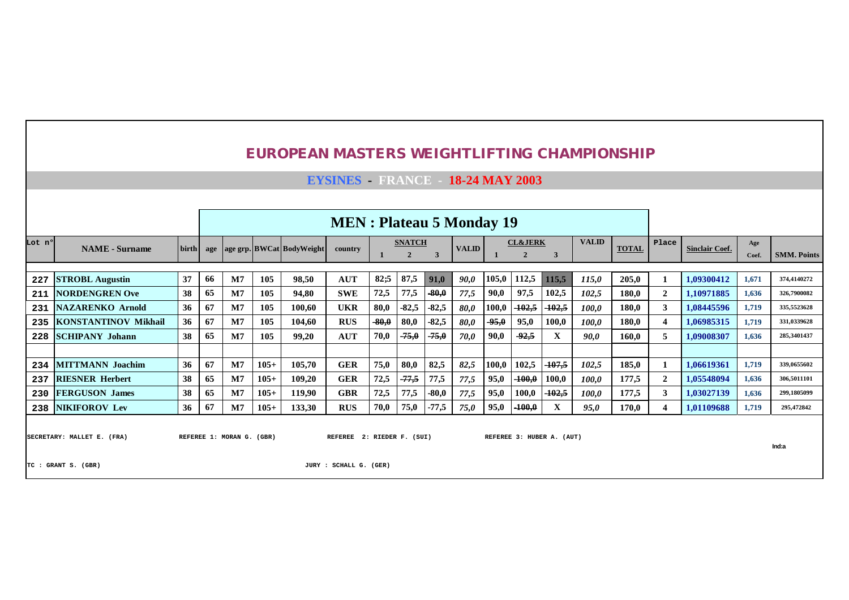|        |                             |       |     |                           |        | <b>EUROPEAN MASTERS WEIGHTLIFTING CHAMPIONSHIP</b> |                                        |         |                                 |         |              |         |                                      |                           |              |              |                |                       |              |                    |
|--------|-----------------------------|-------|-----|---------------------------|--------|----------------------------------------------------|----------------------------------------|---------|---------------------------------|---------|--------------|---------|--------------------------------------|---------------------------|--------------|--------------|----------------|-----------------------|--------------|--------------------|
|        |                             |       |     |                           |        |                                                    | <b>EYSINES</b> FRANCE - 18-24 MAY 2003 |         |                                 |         |              |         |                                      |                           |              |              |                |                       |              |                    |
|        |                             |       |     |                           |        |                                                    |                                        |         |                                 |         |              |         |                                      |                           |              |              |                |                       |              |                    |
|        |                             |       |     |                           |        |                                                    | <b>MEN</b> : Plateau 5 Monday 19       |         |                                 |         |              |         |                                      |                           |              |              |                |                       |              |                    |
| Lot nº | <b>NAME</b> - Surname       | birth | age |                           |        | age grp. BWCat BodyWeight                          | country                                |         | <b>SNATCH</b><br>$\overline{2}$ | 3       | <b>VALID</b> |         | <b>CL&amp;JERK</b><br>$\overline{2}$ | 3                         | <b>VALID</b> | <b>TOTAL</b> | Place          | <b>Sinclair Coef.</b> | Age<br>Coef. | <b>SMM. Points</b> |
| 227    | <b>STROBL Augustin</b>      | 37    | 66  | M7                        | 105    | 98,50                                              | <b>AUT</b>                             | 82:5    | 87,5                            | 91,0    | 90,0         | 105,0   | 112,5                                | 115,5                     | 115,0        | 205,0        | 1              | 1.09300412            | 1,671        | 374,4140272        |
| 211    | <b>NORDENGREN Ove</b>       | 38    | 65  | M7                        | 105    | 94.80                                              | <b>SWE</b>                             | 72,5    | 77,5                            | $-80,0$ | 77,5         | 90,0    | 97,5                                 | 102,5                     | 102,5        | 180.0        | $\overline{2}$ | 1.10971885            | 1.636        | 326,7900082        |
| 231    | <b>NAZARENKO Arnold</b>     | 36    | 67  | M7                        | 105    | 100.60                                             | <b>UKR</b>                             | 80,0    | $-82,5$                         | $-82,5$ | 80,0         | 100,0   | $-102,5$                             | $-102,5$                  | 100,0        | 180,0        | 3 <sup>1</sup> | 1.08445596            | 1,719        | 335,5523628        |
| 235    | <b>KONSTANTINOV Mikhail</b> | 36    | 67  | M7                        | 105    | 104.60                                             | <b>RUS</b>                             | $-80,0$ | 80,0                            | $-82,5$ | 80,0         | $-95,0$ | 95,0                                 | 100,0                     | 100.0        | 180.0        | $\overline{4}$ | 1.06985315            | 1,719        | 331,0339628        |
| 228    | <b>SCHIPANY Johann</b>      | 38    | 65  | M7                        | 105    | 99.20                                              | <b>AUT</b>                             | 70,0    | $-75,0$                         | $-75,0$ | 70,0         | 90,0    | $-92,5$                              | X                         | 90.0         | 160.0        | 5              | 1.09008307            | 1,636        | 285,3401437        |
|        |                             |       |     |                           |        |                                                    |                                        |         |                                 |         |              |         |                                      |                           |              |              |                |                       |              |                    |
| 234    | <b>MITTMANN</b> Joachim     | 36    | 67  | M7                        | $105+$ | 105.70                                             | <b>GER</b>                             | 75,0    | 80,0                            | 82,5    | 82,5         | 100,0   | 102,5                                | $-107,5$                  | 102.5        | 185.0        |                | 1.06619361            | 1,719        | 339,0655602        |
| 237    | <b>RIESNER Herbert</b>      | 38    | 65  | M7                        | $105+$ | 109,20                                             | <b>GER</b>                             | 72,5    | $-77,5$                         | 77,5    | 77,5         | 95,0    | $-100,0$                             | 100,0                     | 100.0        | 177,5        | $\overline{2}$ | 1.05548094            | 1,636        | 306,5011101        |
| 230    | <b>FERGUSON James</b>       | 38    | 65  | M7                        | $105+$ | 119,90                                             | <b>GBR</b>                             | 72,5    | 77,5                            | $-80,0$ | 77,5         | 95,0    | 100,0                                | $-102,5$                  | 100,0        | 177,5        | 3              | 1.03027139            | 1,636        | 299,1805099        |
|        | 238 NIKIFOROV Lev           | 36    | 67  | M7                        | $105+$ | 133,30                                             | <b>RUS</b>                             | 70,0    | 75,0                            | $-77,5$ | 75,0         | 95,0    | $-100,0$                             | X                         | 95.0         | 170,0        | 4              | 1,01109688            | 1,719        | 295,472842         |
|        | SECRETARY: MALLET E. (FRA)  |       |     | REFEREE 1: MORAN G. (GBR) |        |                                                    | REFEREE 2: RIEDER F. (SUI)             |         |                                 |         |              |         |                                      | REFEREE 3: HUBER A. (AUT) |              |              |                |                       |              | Ind:a              |
|        | TC: GRANT S. (GBR)          |       |     |                           |        |                                                    | JURY : SCHALL G. (GER)                 |         |                                 |         |              |         |                                      |                           |              |              |                |                       |              |                    |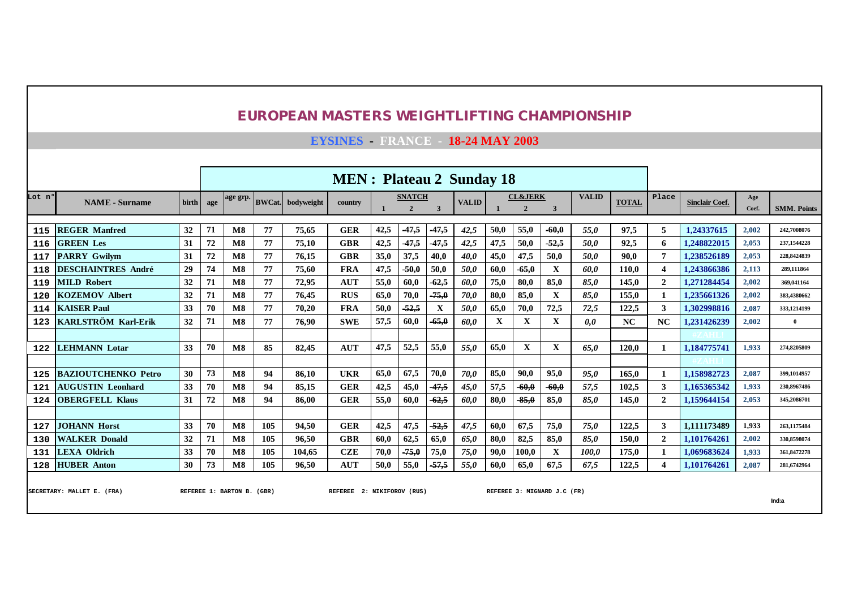**EYSINES - FRANCE - 18-24 MAY 2003**

|        |                            |       |     |                        |     |                          | <b>MEN</b> : Plateau 2 Sunday 18 |      |                                 |                |              |      |                                      |         |              |              |                |                       |              |                    |
|--------|----------------------------|-------|-----|------------------------|-----|--------------------------|----------------------------------|------|---------------------------------|----------------|--------------|------|--------------------------------------|---------|--------------|--------------|----------------|-----------------------|--------------|--------------------|
| Lot nº | <b>NAME</b> - Surname      | birth | age | age grp.               |     | <b>BWCat.</b> bodyweight | country                          |      | <b>SNATCH</b><br>$\overline{2}$ | $\overline{3}$ | <b>VALID</b> |      | <b>CL&amp;JERK</b><br>$\overline{2}$ | 3       | <b>VALID</b> | <b>TOTAL</b> | Place          | <b>Sinclair Coef.</b> | Age<br>Coef. | <b>SMM. Points</b> |
|        |                            |       |     |                        |     |                          |                                  |      |                                 |                |              |      |                                      |         |              |              |                |                       |              |                    |
| 115    | <b>REGER Manfred</b>       | 32    | 71  | $\bf M8$               | 77  | 75.65                    | <b>GER</b>                       | 42,5 | $-47,5$                         | $-47,5$        | 42,5         | 50,0 | 55,0                                 | $-60,0$ | 55.0         | 97.5         | 5              | 1.24337615            | 2.002        | 242,7008076        |
| 116    | <b>GREEN Les</b>           | 31    | 72  | $\mathbf{M8}$          | 77  | 75.10                    | <b>GBR</b>                       | 42,5 | 47,5                            | $-47,5$        | 42,5         | 47,5 | 50,0                                 | $-52,5$ | 50.0         | 92.5         | 6              | 1.248822015           | 2,053        | 237,1544228        |
| 117    | <b>PARRY Gwilvm</b>        | 31    | 72  | $\overline{\text{M8}}$ | 77  | 76.15                    | <b>GBR</b>                       | 35,0 | 37,5                            | 40,0           | 40.0         | 45,0 | 47,5                                 | 50,0    | 50.0         | 90.0         | $\overline{7}$ | 1,238526189           | 2,053        | 228,8424839        |
| 118    | <b>DESCHAINTRES André</b>  | 29    | 74  | $\overline{\text{M8}}$ | 77  | 75,60                    | <b>FRA</b>                       | 47,5 | $-50,0$                         | 50,0           | 50,0         | 60,0 | $-65,0$                              | X       | 60.0         | 110.0        | 4              | 1.243866386           | 2,113        | 289,111864         |
| 119    | <b>MILD Robert</b>         | 32    | 71  | $\bf M8$               | 77  | 72.95                    | <b>AUT</b>                       | 55,0 | 60,0                            | $-62.5$        | 60.0         | 75,0 | 80,0                                 | 85,0    | 85.0         | 145.0        | $\overline{2}$ | 1.271284454           | 2,002        | 369,041164         |
| 120    | <b>KOZEMOV Albert</b>      | 32    | 71  | $\bf M8$               | 77  | 76.45                    | <b>RUS</b>                       | 65,0 | 70,0                            | $-75,0$        | 70,0         | 80,0 | 85,0                                 | X       | 85.0         | 155.0        |                | 1.235661326           | 2,002        | 383,4380662        |
| 114    | <b>KAISER Paul</b>         | 33    | 70  | $\bf M8$               | 77  | 70.20                    | <b>FRA</b>                       | 50,0 | $-52,5$                         | X              | <i>50.0</i>  | 65,0 | 70,0                                 | 72,5    | 72,5         | 122.5        | 3              | 1.302998816           | 2,087        | 333,1214199        |
| 123    | KARLSTRÖM Karl-Erik        | 32    | 71  | $\bf M8$               | 77  | 76.90                    | <b>SWE</b>                       | 57,5 | 60.0                            | $-65,0$        | 60.0         | X    | X                                    | X       | 0.0          | NC           | NC             | 1.231426239           | 2.002        | $\overline{0}$     |
|        |                            |       |     |                        |     |                          |                                  |      |                                 |                |              |      |                                      |         |              |              |                |                       |              |                    |
| 122    | <b>LEHMANN Lotar</b>       | 33    | 70  | $\bf M8$               | 85  | 82.45                    | <b>AUT</b>                       | 47,5 | 52,5                            | 55,0           | 55.0         | 65,0 | X                                    | X       | 65.0         | 120.0        |                | 1.184775741           | 1,933        | 274,8205809        |
|        |                            |       |     |                        |     |                          |                                  |      |                                 |                |              |      |                                      |         |              |              |                |                       |              |                    |
| 125    | <b>BAZIOUTCHENKO Petro</b> | 30    | 73  | $\overline{\text{M8}}$ | 94  | 86.10                    | <b>UKR</b>                       | 65,0 | 67,5                            | 70,0           | 70.0         | 85,0 | 90,0                                 | 95,0    | 95.0         | 165.0        |                | 1.158982723           | 2,087        | 399, 1014957       |
| 121    | <b>AUGUSTIN Leonhard</b>   | 33    | 70  | $\bf M8$               | 94  | 85.15                    | <b>GER</b>                       | 42,5 | 45,0                            | 47,5           | 45,0         | 57,5 | $-60,0$                              | $-60,0$ | 57.5         | 102.5        | $\mathbf{3}$   | 1.165365342           | 1,933        | 230,8967486        |
| 124    | <b>OBERGFELL Klaus</b>     | 31    | 72  | $\bf M8$               | 94  | 86.00                    | <b>GER</b>                       | 55,0 | 60,0                            | $-62.5$        | 60.0         | 80,0 | $-85,0$                              | 85,0    | 85.0         | 145.0        | $\overline{2}$ | 1,159644154           | 2,053        | 345,2086701        |
|        |                            |       |     |                        |     |                          |                                  |      |                                 |                |              |      |                                      |         |              |              |                |                       |              |                    |
| 127    | <b>JOHANN Horst</b>        | 33    | 70  | $\bf M8$               | 105 | 94.50                    | <b>GER</b>                       | 42,5 | 47,5                            | $-52.5$        | 47,5         | 60,0 | 67.5                                 | 75,0    | 75.0         | 122.5        | 3              | 1.111173489           | 1,933        | 263,1175484        |
| 130    | <b>WALKER Donald</b>       | 32    | 71  | $\overline{\text{M8}}$ | 105 | 96.50                    | <b>GBR</b>                       | 60,0 | 62,5                            | 65,0           | 65,0         | 80,0 | 82,5                                 | 85,0    | 85.0         | 150.0        | $\overline{2}$ | 1.101764261           | 2,002        | 330,8598074        |
| 131    | <b>LEXA Oldrich</b>        | 33    | 70  | $\bf M8$               | 105 | 104.65                   | <b>CZE</b>                       | 70,0 | $-75,0$                         | 75,0           | 75,0         | 90,0 | 100,0                                | X       | 100.0        | 175,0        |                | 1.069683624           | 1.933        | 361,8472278        |
| 128    | <b>HUBER Anton</b>         | 30    | 73  | $\bf M8$               | 105 | 96,50                    | <b>AUT</b>                       | 50,0 | 55,0                            | $-57,5$        | 55,0         | 60,0 | 65,0                                 | 67,5    | 67,5         | 122,5        |                | 1,101764261           | 2,087        | 281,6742964        |
|        |                            |       |     |                        |     |                          |                                  |      |                                 |                |              |      |                                      |         |              |              |                |                       |              |                    |

SECRETARY: MALLET E. (FRA) REFEREE 1: BARTON B. (GBR) REFEREE 2: NIKIFOROV (RUS) REFEREE 3: MIGNARD J.C (FR)

**Ind:a**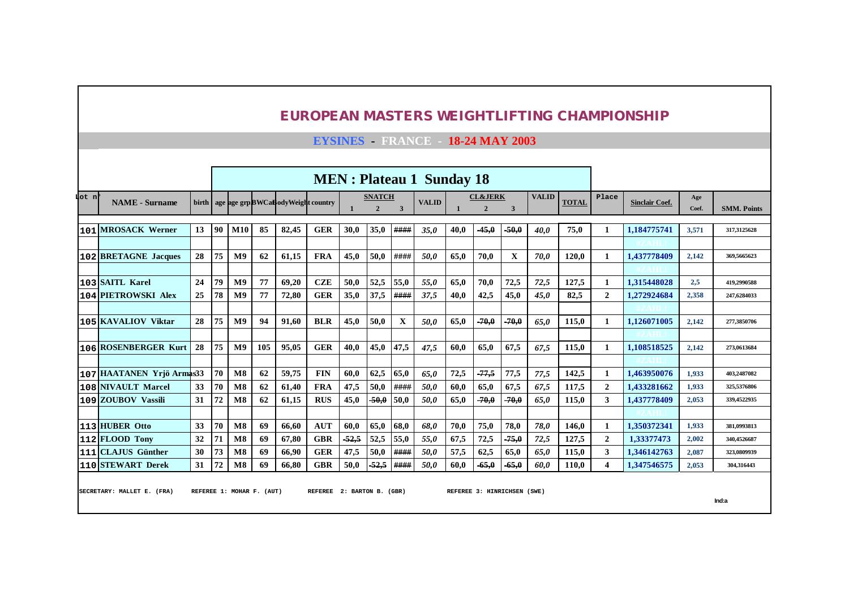**EYSINES - FRANCE - 18-24 MAY 2003**

|        |                             |    |    |                |                           |                                         |                            |         |                                 |              | <b>MEN</b> : Plateau 1 Sunday 18 |      |                                      |         |              |              |                |                       |              |                    |
|--------|-----------------------------|----|----|----------------|---------------------------|-----------------------------------------|----------------------------|---------|---------------------------------|--------------|----------------------------------|------|--------------------------------------|---------|--------------|--------------|----------------|-----------------------|--------------|--------------------|
| Lot nP | <b>NAME</b> - Surname       |    |    |                |                           | birth age age grpBWCaBodyWeight country |                            |         | <b>SNATCH</b><br>$\overline{2}$ | $\mathbf{3}$ | <b>VALID</b>                     |      | <b>CL&amp;JERK</b><br>$\overline{2}$ | 3       | <b>VALID</b> | <b>TOTAL</b> | Place          | <b>Sinclair Coef.</b> | Age<br>Coef. | <b>SMM. Points</b> |
|        |                             |    |    |                |                           |                                         |                            |         |                                 |              |                                  |      |                                      |         |              |              |                |                       |              |                    |
|        | <b>101 MROSACK Werner</b>   | 13 | 90 | <b>M10</b>     | 85                        | 82,45                                   | <b>GER</b>                 | 30.0    | 35.0                            | ####         | 35.0                             | 40.0 | $-45,0$                              | $-50,0$ | 40.0         | 75,0         | 1              | 1.184775741           | 3,571        | 317,3125628        |
|        |                             |    |    |                |                           |                                         |                            |         |                                 |              |                                  |      |                                      |         |              |              |                |                       |              |                    |
|        | <b>102 BRETAGNE Jacques</b> | 28 | 75 | <b>M9</b>      | 62                        | 61.15                                   | <b>FRA</b>                 | 45.0    | 50.0                            | ####         | 50.0                             | 65.0 | 70.0                                 | X       | 70.0         | 120.0        | 1              | 1,437778409           | 2,142        | 369,5665623        |
|        |                             |    |    |                |                           |                                         |                            |         |                                 |              |                                  |      |                                      |         |              |              |                |                       |              |                    |
|        | 103 SAITL Karel             | 24 | 79 | $\mathbf{M9}$  | 77                        | 69.20                                   | <b>CZE</b>                 | 50.0    | 52,5                            | 55,0         | 55,0                             | 65.0 | 70.0                                 | 72,5    | 72,5         | 127.5        | 1              | 1.315448028           | 2.5          | 419.2990588        |
|        | 104 PIETROWSKI Alex         | 25 | 78 | M <sub>9</sub> | 77                        | 72,80                                   | <b>GER</b>                 | 35.0    | 37,5                            | ####         | 37,5                             | 40.0 | 42,5                                 | 45,0    | 45,0         | 82,5         | $\mathbf{2}$   | 1.272924684           | 2,358        | 247,6284033        |
|        |                             |    |    |                |                           |                                         |                            |         |                                 |              |                                  |      |                                      |         |              |              |                |                       |              |                    |
|        | 105 KAVALIOV Viktar         | 28 | 75 | M <sub>9</sub> | 94                        | 91.60                                   | <b>BLR</b>                 | 45.0    | 50.0                            | X            | 50.0                             | 65.0 | $-70,0$                              | $-70,0$ | 65.0         | 115.0        | 1              | 1.126071005           | 2,142        | 277,3850706        |
|        |                             |    |    |                |                           |                                         |                            |         |                                 |              |                                  |      |                                      |         |              |              |                |                       |              |                    |
|        | 106 ROSENBERGER Kurt        | 28 | 75 | M <sub>9</sub> | 105                       | 95.05                                   | <b>GER</b>                 | 40.0    | 45,0                            | 47,5         | 47.5                             | 60.0 | 65,0                                 | 67.5    | 67.5         | 115.0        | 1              | 1.108518525           | 2,142        | 273,0613684        |
|        |                             |    |    |                |                           |                                         |                            |         |                                 |              |                                  |      |                                      |         |              |              |                |                       |              |                    |
|        | 107 HAATANEN Yrjö Armas33   |    | 70 | M8             | 62                        | 59,75                                   | <b>FIN</b>                 | 60,0    | 62,5                            | 65,0         | 65,0                             | 72,5 | $-77,5$                              | 77,5    | 77.5         | 142.5        | 1              | 1.463950076           | 1,933        | 403.2487082        |
|        | 108 NIVAULT Marcel          | 33 | 70 | $\mathbf{M}$ 8 | 62                        | 61,40                                   | <b>FRA</b>                 | 47,5    | 50,0                            | ####         | 50,0                             | 60.0 | 65,0                                 | 67,5    | 67,5         | 117.5        | $\overline{2}$ | 1,433281662           | 1,933        | 325,5376806        |
|        | 109 ZOUBOV Vassili          | 31 | 72 | $\mathbf{M}8$  | 62                        | 61,15                                   | <b>RUS</b>                 | 45,0    | 50,0                            | 50,0         | 50.0                             | 65.0 | $-70,0$                              | $-70,0$ | 65,0         | 115,0        | 3              | 1,437778409           | 2,053        | 339,4522935        |
|        |                             |    |    |                |                           |                                         |                            |         |                                 |              |                                  |      |                                      |         |              |              |                |                       |              |                    |
|        | 113 HUBER Otto              | 33 | 70 | $\mathbf{M}$ 8 | 69                        | 66.60                                   | <b>AUT</b>                 | 60.0    | 65,0                            | 68.0         | 68.0                             | 70.0 | 75,0                                 | 78,0    | 78.0         | 146.0        | 1              | 1.350372341           | 1,933        | 381,0993813        |
|        | 112 FLOOD Tony              | 32 | 71 | M8             | 69                        | 67,80                                   | <b>GBR</b>                 | $-52,5$ | 52,5                            | 55,0         | 55,0                             | 67.5 | 72,5                                 | $-75,0$ | 72,5         | 127.5        | $\mathbf{2}$   | 1.33377473            | 2,002        | 340,4526687        |
|        | 111 CLAJUS Günther          | 30 | 73 | M8             | 69                        | 66,90                                   | <b>GER</b>                 | 47,5    | 50,0                            | $\#$ # # # # | 50,0                             | 57.5 | 62,5                                 | 65,0    | 65,0         | 115,0        | 3              | 1.346142763           | 2,087        | 323,0809939        |
|        | 110 STEWART Derek           | 31 | 72 | $\bf M8$       | 69                        | 66.80                                   | <b>GBR</b>                 | 50.0    | $-52,5$                         | $\#$ # # # # | 50.0                             | 60.0 | $-65,0$                              | 65,0    | 60.0         | 110.0        | 4              | 1,347546575           | 2,053        | 304,316443         |
|        | SECRETARY: MALLET E. (FRA)  |    |    |                | REFEREE 1: MOHAR F. (AUT) |                                         | REFEREE 2: BARTON B. (GBR) |         |                                 |              |                                  |      | REFEREE 3: HINRICHSEN (SWE)          |         |              |              |                |                       |              | Ind:a              |